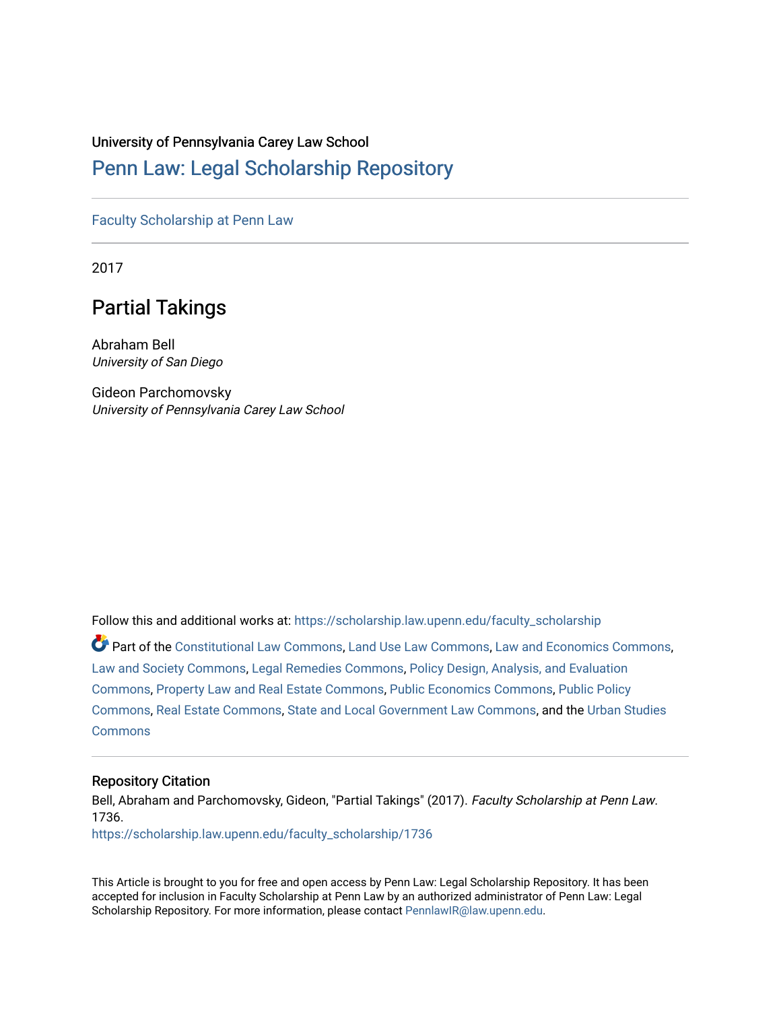### University of Pennsylvania Carey Law School

## [Penn Law: Legal Scholarship Repository](https://scholarship.law.upenn.edu/)

[Faculty Scholarship at Penn Law](https://scholarship.law.upenn.edu/faculty_scholarship)

2017

# Partial Takings

Abraham Bell University of San Diego

Gideon Parchomovsky University of Pennsylvania Carey Law School

Follow this and additional works at: [https://scholarship.law.upenn.edu/faculty\\_scholarship](https://scholarship.law.upenn.edu/faculty_scholarship?utm_source=scholarship.law.upenn.edu%2Ffaculty_scholarship%2F1736&utm_medium=PDF&utm_campaign=PDFCoverPages) 

Part of the [Constitutional Law Commons,](http://network.bepress.com/hgg/discipline/589?utm_source=scholarship.law.upenn.edu%2Ffaculty_scholarship%2F1736&utm_medium=PDF&utm_campaign=PDFCoverPages) [Land Use Law Commons](http://network.bepress.com/hgg/discipline/852?utm_source=scholarship.law.upenn.edu%2Ffaculty_scholarship%2F1736&utm_medium=PDF&utm_campaign=PDFCoverPages), [Law and Economics Commons](http://network.bepress.com/hgg/discipline/612?utm_source=scholarship.law.upenn.edu%2Ffaculty_scholarship%2F1736&utm_medium=PDF&utm_campaign=PDFCoverPages), [Law and Society Commons](http://network.bepress.com/hgg/discipline/853?utm_source=scholarship.law.upenn.edu%2Ffaculty_scholarship%2F1736&utm_medium=PDF&utm_campaign=PDFCoverPages), [Legal Remedies Commons,](http://network.bepress.com/hgg/discipline/618?utm_source=scholarship.law.upenn.edu%2Ffaculty_scholarship%2F1736&utm_medium=PDF&utm_campaign=PDFCoverPages) [Policy Design, Analysis, and Evaluation](http://network.bepress.com/hgg/discipline/1032?utm_source=scholarship.law.upenn.edu%2Ffaculty_scholarship%2F1736&utm_medium=PDF&utm_campaign=PDFCoverPages) [Commons](http://network.bepress.com/hgg/discipline/1032?utm_source=scholarship.law.upenn.edu%2Ffaculty_scholarship%2F1736&utm_medium=PDF&utm_campaign=PDFCoverPages), [Property Law and Real Estate Commons](http://network.bepress.com/hgg/discipline/897?utm_source=scholarship.law.upenn.edu%2Ffaculty_scholarship%2F1736&utm_medium=PDF&utm_campaign=PDFCoverPages), [Public Economics Commons,](http://network.bepress.com/hgg/discipline/351?utm_source=scholarship.law.upenn.edu%2Ffaculty_scholarship%2F1736&utm_medium=PDF&utm_campaign=PDFCoverPages) [Public Policy](http://network.bepress.com/hgg/discipline/400?utm_source=scholarship.law.upenn.edu%2Ffaculty_scholarship%2F1736&utm_medium=PDF&utm_campaign=PDFCoverPages)  [Commons](http://network.bepress.com/hgg/discipline/400?utm_source=scholarship.law.upenn.edu%2Ffaculty_scholarship%2F1736&utm_medium=PDF&utm_campaign=PDFCoverPages), [Real Estate Commons](http://network.bepress.com/hgg/discipline/641?utm_source=scholarship.law.upenn.edu%2Ffaculty_scholarship%2F1736&utm_medium=PDF&utm_campaign=PDFCoverPages), [State and Local Government Law Commons,](http://network.bepress.com/hgg/discipline/879?utm_source=scholarship.law.upenn.edu%2Ffaculty_scholarship%2F1736&utm_medium=PDF&utm_campaign=PDFCoverPages) and the [Urban Studies](http://network.bepress.com/hgg/discipline/402?utm_source=scholarship.law.upenn.edu%2Ffaculty_scholarship%2F1736&utm_medium=PDF&utm_campaign=PDFCoverPages)  **[Commons](http://network.bepress.com/hgg/discipline/402?utm_source=scholarship.law.upenn.edu%2Ffaculty_scholarship%2F1736&utm_medium=PDF&utm_campaign=PDFCoverPages)** 

#### Repository Citation

Bell, Abraham and Parchomovsky, Gideon, "Partial Takings" (2017). Faculty Scholarship at Penn Law. 1736.

[https://scholarship.law.upenn.edu/faculty\\_scholarship/1736](https://scholarship.law.upenn.edu/faculty_scholarship/1736?utm_source=scholarship.law.upenn.edu%2Ffaculty_scholarship%2F1736&utm_medium=PDF&utm_campaign=PDFCoverPages)

This Article is brought to you for free and open access by Penn Law: Legal Scholarship Repository. It has been accepted for inclusion in Faculty Scholarship at Penn Law by an authorized administrator of Penn Law: Legal Scholarship Repository. For more information, please contact [PennlawIR@law.upenn.edu.](mailto:PennlawIR@law.upenn.edu)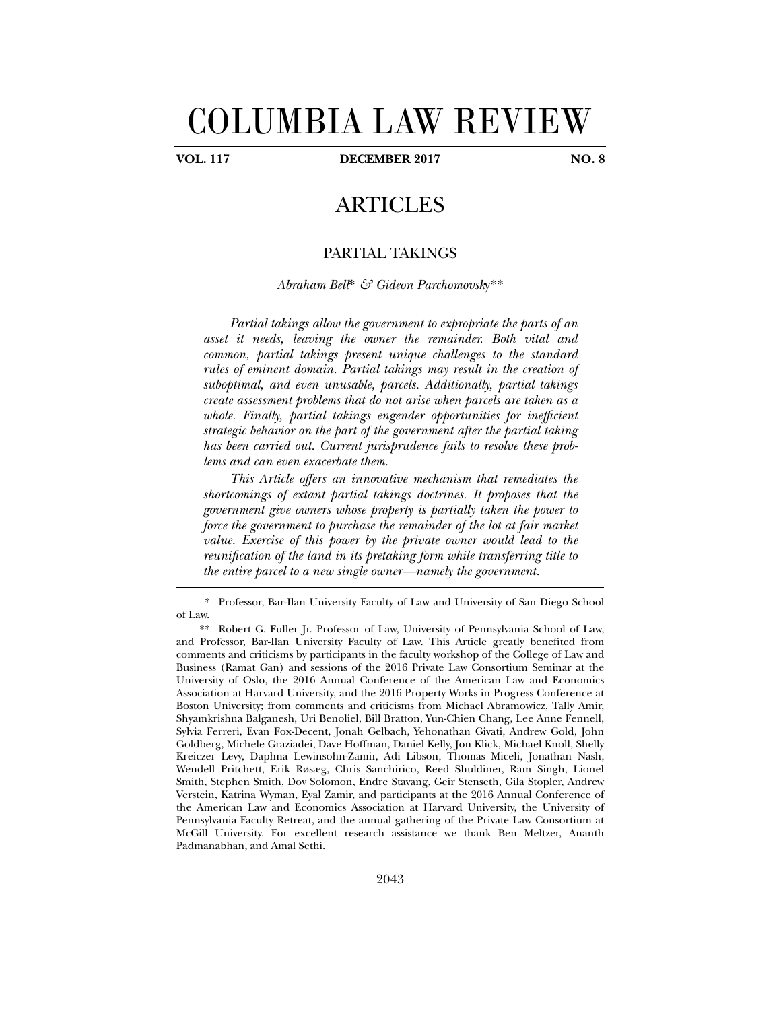# COLUMBIA LAW REVIEW

j

**VOL. 117 DECEMBER 2017 NO. 8** 

# ARTICLES

#### PARTIAL TAKINGS

*Abraham Bell*\* *& Gideon Parchomovsk*y\*\*

*Partial takings allow the government to expropriate the parts of an asset it needs, leaving the owner the remainder. Both vital and common, partial takings present unique challenges to the standard rules of eminent domain. Partial takings may result in the creation of suboptimal, and even unusable, parcels. Additionally, partial takings create assessment problems that do not arise when parcels are taken as a whole. Finally, partial takings engender opportunities for inefficient strategic behavior on the part of the government after the partial taking has been carried out. Current jurisprudence fails to resolve these problems and can even exacerbate them.* 

*This Article offers an innovative mechanism that remediates the shortcomings of extant partial takings doctrines. It proposes that the government give owners whose property is partially taken the power to force the government to purchase the remainder of the lot at fair market value. Exercise of this power by the private owner would lead to the reunification of the land in its pretaking form while transferring title to the entire parcel to a new single owner—namely the government.* 

 <sup>\*.</sup> Professor, Bar-Ilan University Faculty of Law and University of San Diego School of Law.

 <sup>\*\*.</sup> Robert G. Fuller Jr. Professor of Law, University of Pennsylvania School of Law, and Professor, Bar-Ilan University Faculty of Law. This Article greatly benefited from comments and criticisms by participants in the faculty workshop of the College of Law and Business (Ramat Gan) and sessions of the 2016 Private Law Consortium Seminar at the University of Oslo, the 2016 Annual Conference of the American Law and Economics Association at Harvard University, and the 2016 Property Works in Progress Conference at Boston University; from comments and criticisms from Michael Abramowicz, Tally Amir, Shyamkrishna Balganesh, Uri Benoliel, Bill Bratton, Yun-Chien Chang, Lee Anne Fennell, Sylvia Ferreri, Evan Fox-Decent, Jonah Gelbach, Yehonathan Givati, Andrew Gold, John Goldberg, Michele Graziadei, Dave Hoffman, Daniel Kelly, Jon Klick, Michael Knoll, Shelly Kreiczer Levy, Daphna Lewinsohn-Zamir, Adi Libson, Thomas Miceli, Jonathan Nash, Wendell Pritchett, Erik Røsæg, Chris Sanchirico, Reed Shuldiner, Ram Singh, Lionel Smith, Stephen Smith, Dov Solomon, Endre Stavang, Geir Stenseth, Gila Stopler, Andrew Verstein, Katrina Wyman, Eyal Zamir, and participants at the 2016 Annual Conference of the American Law and Economics Association at Harvard University, the University of Pennsylvania Faculty Retreat, and the annual gathering of the Private Law Consortium at McGill University. For excellent research assistance we thank Ben Meltzer, Ananth Padmanabhan, and Amal Sethi.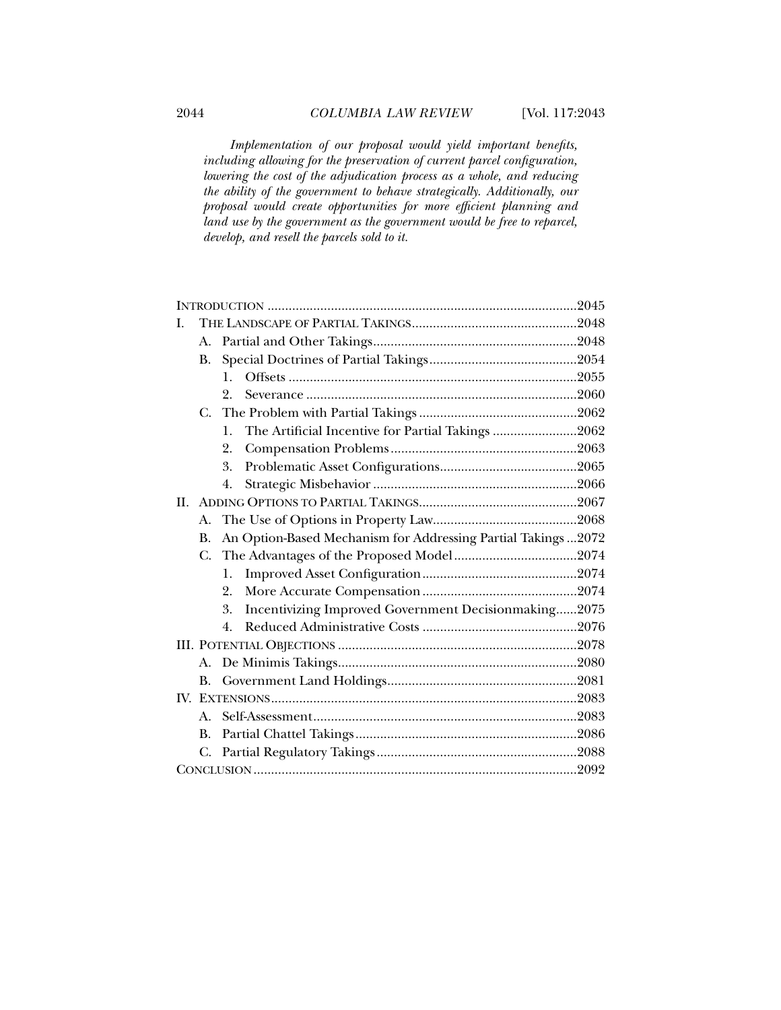*Implementation of our proposal would yield important benefits, including allowing for the preservation of current parcel configuration, lowering the cost of the adjudication process as a whole, and reducing the ability of the government to behave strategically. Additionally, our proposal would create opportunities for more efficient planning and land use by the government as the government would be free to reparcel, develop, and resell the parcels sold to it.* 

| L  |             |                  |                                                                |  |
|----|-------------|------------------|----------------------------------------------------------------|--|
|    | A.          |                  |                                                                |  |
|    | <b>B.</b>   |                  |                                                                |  |
|    |             | $\mathbf{1}$ .   |                                                                |  |
|    |             | $\overline{2}$ . |                                                                |  |
|    | C.          |                  |                                                                |  |
|    |             | $\mathbf{1}$ .   | The Artificial Incentive for Partial Takings 2062              |  |
|    |             | 2.               |                                                                |  |
|    |             | 3.               |                                                                |  |
|    |             | 4.               |                                                                |  |
| H. |             |                  |                                                                |  |
|    | А.          |                  |                                                                |  |
|    | <b>B.</b>   |                  | An Option-Based Mechanism for Addressing Partial Takings  2072 |  |
|    | $C_{\cdot}$ |                  |                                                                |  |
|    |             | 1.               |                                                                |  |
|    |             | 2.               |                                                                |  |
|    |             | 3.               | Incentivizing Improved Government Decisionmaking2075           |  |
|    |             | $\overline{4}$ . |                                                                |  |
|    |             |                  |                                                                |  |
|    | A.          |                  |                                                                |  |
|    | <b>B.</b>   |                  |                                                                |  |
|    | $A_{\cdot}$ |                  |                                                                |  |
|    |             |                  |                                                                |  |
|    | <b>B.</b>   |                  |                                                                |  |
|    | C.          |                  |                                                                |  |
|    |             |                  |                                                                |  |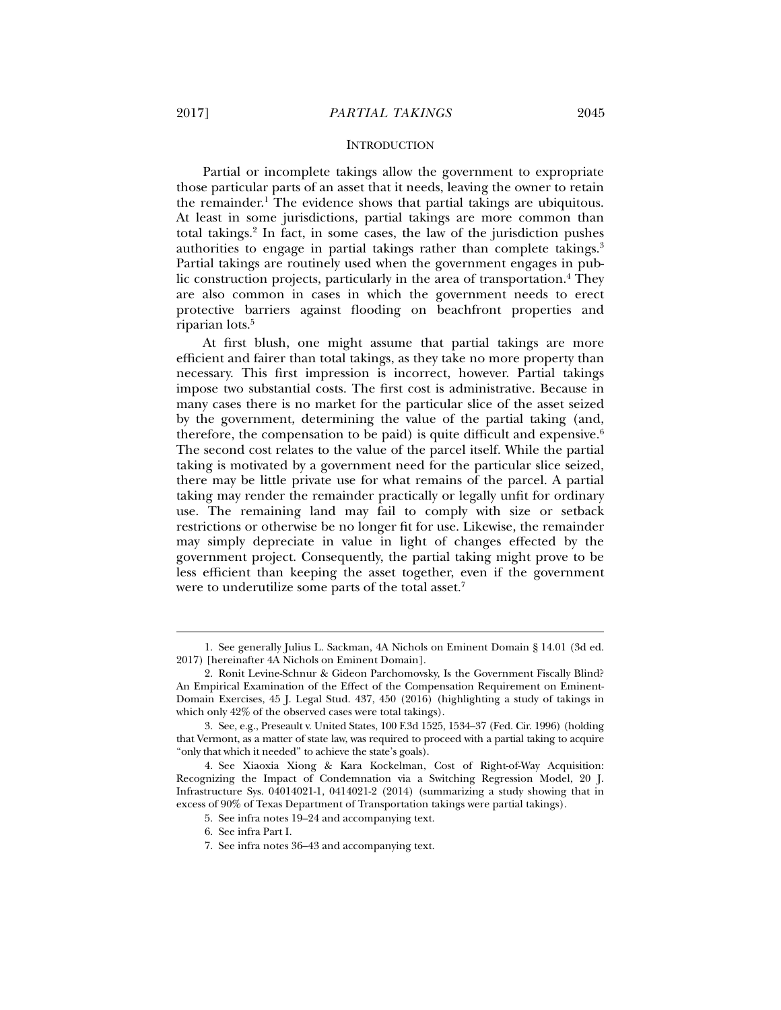Partial or incomplete takings allow the government to expropriate those particular parts of an asset that it needs, leaving the owner to retain the remainder.1 The evidence shows that partial takings are ubiquitous. At least in some jurisdictions, partial takings are more common than total takings.2 In fact, in some cases, the law of the jurisdiction pushes authorities to engage in partial takings rather than complete takings.<sup>3</sup> Partial takings are routinely used when the government engages in public construction projects, particularly in the area of transportation.<sup>4</sup> They are also common in cases in which the government needs to erect protective barriers against flooding on beachfront properties and riparian lots.5

At first blush, one might assume that partial takings are more efficient and fairer than total takings, as they take no more property than necessary. This first impression is incorrect, however. Partial takings impose two substantial costs. The first cost is administrative. Because in many cases there is no market for the particular slice of the asset seized by the government, determining the value of the partial taking (and, therefore, the compensation to be paid) is quite difficult and expensive. $6$ The second cost relates to the value of the parcel itself. While the partial taking is motivated by a government need for the particular slice seized, there may be little private use for what remains of the parcel. A partial taking may render the remainder practically or legally unfit for ordinary use. The remaining land may fail to comply with size or setback restrictions or otherwise be no longer fit for use. Likewise, the remainder may simply depreciate in value in light of changes effected by the government project. Consequently, the partial taking might prove to be less efficient than keeping the asset together, even if the government were to underutilize some parts of the total asset.<sup>7</sup>

5. See infra notes 19–24 and accompanying text.

 <sup>1.</sup> See generally Julius L. Sackman, 4A Nichols on Eminent Domain § 14.01 (3d ed. 2017) [hereinafter 4A Nichols on Eminent Domain].

 <sup>2.</sup> Ronit Levine-Schnur & Gideon Parchomovsky, Is the Government Fiscally Blind? An Empirical Examination of the Effect of the Compensation Requirement on Eminent-Domain Exercises, 45 J. Legal Stud. 437, 450 (2016) (highlighting a study of takings in which only 42% of the observed cases were total takings).

 <sup>3.</sup> See, e.g., Preseault v. United States, 100 F.3d 1525, 1534–37 (Fed. Cir. 1996) (holding that Vermont, as a matter of state law, was required to proceed with a partial taking to acquire "only that which it needed" to achieve the state's goals).

 <sup>4.</sup> See Xiaoxia Xiong & Kara Kockelman, Cost of Right-of-Way Acquisition: Recognizing the Impact of Condemnation via a Switching Regression Model, 20 J. Infrastructure Sys. 04014021-1, 0414021-2 (2014) (summarizing a study showing that in excess of 90% of Texas Department of Transportation takings were partial takings).

 <sup>6.</sup> See infra Part I.

 <sup>7.</sup> See infra notes 36–43 and accompanying text.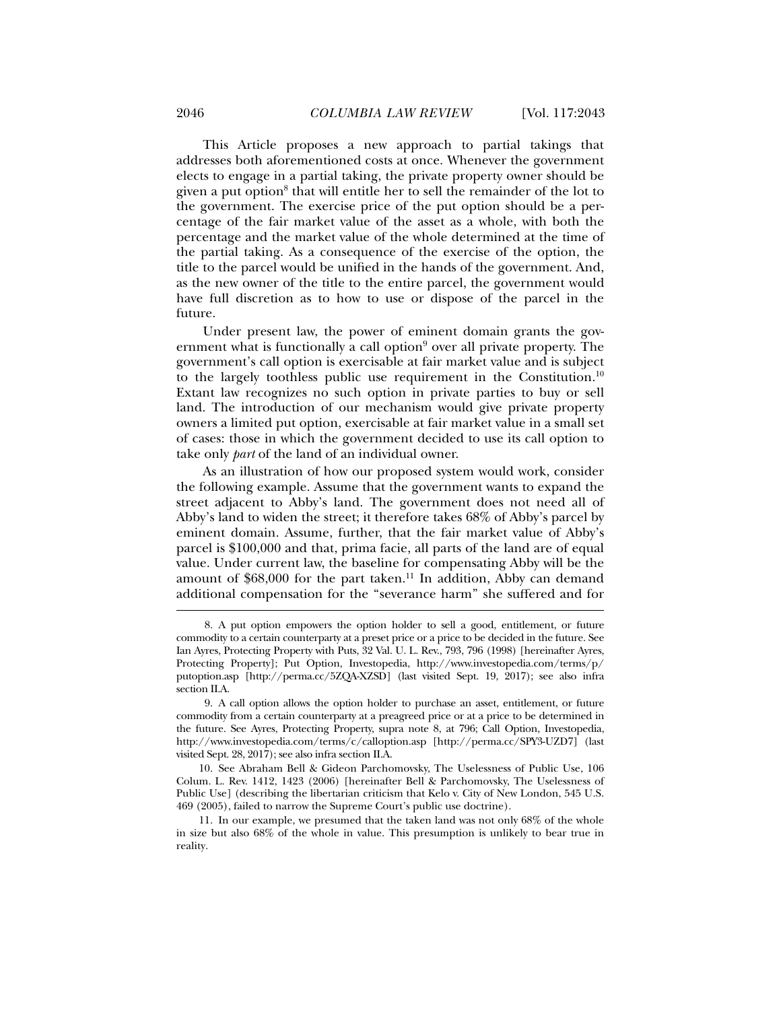This Article proposes a new approach to partial takings that addresses both aforementioned costs at once. Whenever the government elects to engage in a partial taking, the private property owner should be given a put option<sup>8</sup> that will entitle her to sell the remainder of the lot to the government. The exercise price of the put option should be a percentage of the fair market value of the asset as a whole, with both the percentage and the market value of the whole determined at the time of the partial taking. As a consequence of the exercise of the option, the title to the parcel would be unified in the hands of the government. And, as the new owner of the title to the entire parcel, the government would have full discretion as to how to use or dispose of the parcel in the future.

Under present law, the power of eminent domain grants the government what is functionally a call option<sup>9</sup> over all private property. The government's call option is exercisable at fair market value and is subject to the largely toothless public use requirement in the Constitution.<sup>10</sup> Extant law recognizes no such option in private parties to buy or sell land. The introduction of our mechanism would give private property owners a limited put option, exercisable at fair market value in a small set of cases: those in which the government decided to use its call option to take only *part* of the land of an individual owner.

As an illustration of how our proposed system would work, consider the following example. Assume that the government wants to expand the street adjacent to Abby's land. The government does not need all of Abby's land to widen the street; it therefore takes 68% of Abby's parcel by eminent domain. Assume, further, that the fair market value of Abby's parcel is \$100,000 and that, prima facie, all parts of the land are of equal value. Under current law, the baseline for compensating Abby will be the amount of \$68,000 for the part taken.<sup>11</sup> In addition, Abby can demand additional compensation for the "severance harm" she suffered and for

 <sup>8.</sup> A put option empowers the option holder to sell a good, entitlement, or future commodity to a certain counterparty at a preset price or a price to be decided in the future. See Ian Ayres, Protecting Property with Puts, 32 Val. U. L. Rev., 793, 796 (1998) [hereinafter Ayres, Protecting Property]; Put Option, Investopedia, http://www.investopedia.com/terms/p/ putoption.asp [http://perma.cc/5ZQA-XZSD] (last visited Sept. 19, 2017); see also infra section II.A.

 <sup>9.</sup> A call option allows the option holder to purchase an asset, entitlement, or future commodity from a certain counterparty at a preagreed price or at a price to be determined in the future. See Ayres, Protecting Property, supra note 8, at 796; Call Option, Investopedia, http://www.investopedia.com/terms/c/calloption.asp [http://perma.cc/SPY3-UZD7] (last visited Sept. 28, 2017); see also infra section II.A.

 <sup>10.</sup> See Abraham Bell & Gideon Parchomovsky, The Uselessness of Public Use, 106 Colum. L. Rev. 1412, 1423 (2006) [hereinafter Bell & Parchomovsky, The Uselessness of Public Use] (describing the libertarian criticism that Kelo v. City of New London, 545 U.S. 469 (2005), failed to narrow the Supreme Court's public use doctrine).

 <sup>11.</sup> In our example, we presumed that the taken land was not only 68% of the whole in size but also 68% of the whole in value. This presumption is unlikely to bear true in reality.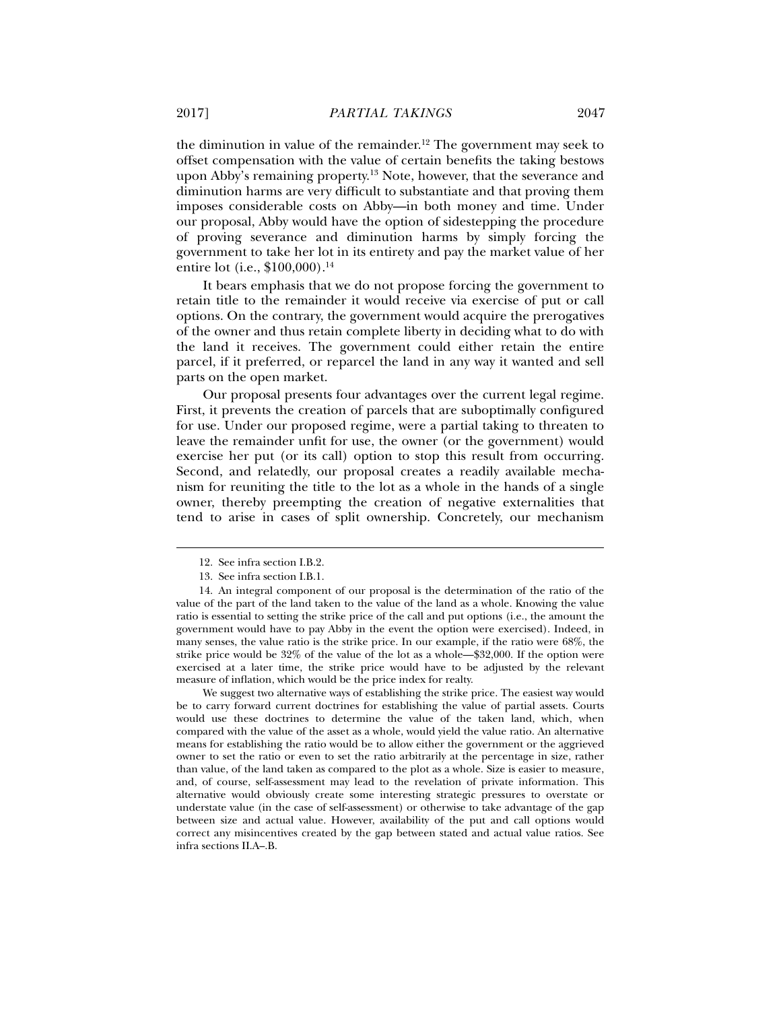the diminution in value of the remainder.<sup>12</sup> The government may seek to offset compensation with the value of certain benefits the taking bestows upon Abby's remaining property.13 Note, however, that the severance and diminution harms are very difficult to substantiate and that proving them imposes considerable costs on Abby—in both money and time. Under our proposal, Abby would have the option of sidestepping the procedure of proving severance and diminution harms by simply forcing the government to take her lot in its entirety and pay the market value of her

It bears emphasis that we do not propose forcing the government to retain title to the remainder it would receive via exercise of put or call options. On the contrary, the government would acquire the prerogatives of the owner and thus retain complete liberty in deciding what to do with the land it receives. The government could either retain the entire parcel, if it preferred, or reparcel the land in any way it wanted and sell parts on the open market.

Our proposal presents four advantages over the current legal regime. First, it prevents the creation of parcels that are suboptimally configured for use. Under our proposed regime, were a partial taking to threaten to leave the remainder unfit for use, the owner (or the government) would exercise her put (or its call) option to stop this result from occurring. Second, and relatedly, our proposal creates a readily available mechanism for reuniting the title to the lot as a whole in the hands of a single owner, thereby preempting the creation of negative externalities that tend to arise in cases of split ownership. Concretely, our mechanism

j

entire lot (i.e., \$100,000).<sup>14</sup>

We suggest two alternative ways of establishing the strike price. The easiest way would be to carry forward current doctrines for establishing the value of partial assets. Courts would use these doctrines to determine the value of the taken land, which, when compared with the value of the asset as a whole, would yield the value ratio. An alternative means for establishing the ratio would be to allow either the government or the aggrieved owner to set the ratio or even to set the ratio arbitrarily at the percentage in size, rather than value, of the land taken as compared to the plot as a whole. Size is easier to measure, and, of course, self-assessment may lead to the revelation of private information. This alternative would obviously create some interesting strategic pressures to overstate or understate value (in the case of self-assessment) or otherwise to take advantage of the gap between size and actual value. However, availability of the put and call options would correct any misincentives created by the gap between stated and actual value ratios. See infra sections II.A–.B.

 <sup>12.</sup> See infra section I.B.2.

 <sup>13.</sup> See infra section I.B.1.

 <sup>14.</sup> An integral component of our proposal is the determination of the ratio of the value of the part of the land taken to the value of the land as a whole. Knowing the value ratio is essential to setting the strike price of the call and put options (i.e., the amount the government would have to pay Abby in the event the option were exercised). Indeed, in many senses, the value ratio is the strike price. In our example, if the ratio were 68%, the strike price would be 32% of the value of the lot as a whole—\$32,000. If the option were exercised at a later time, the strike price would have to be adjusted by the relevant measure of inflation, which would be the price index for realty.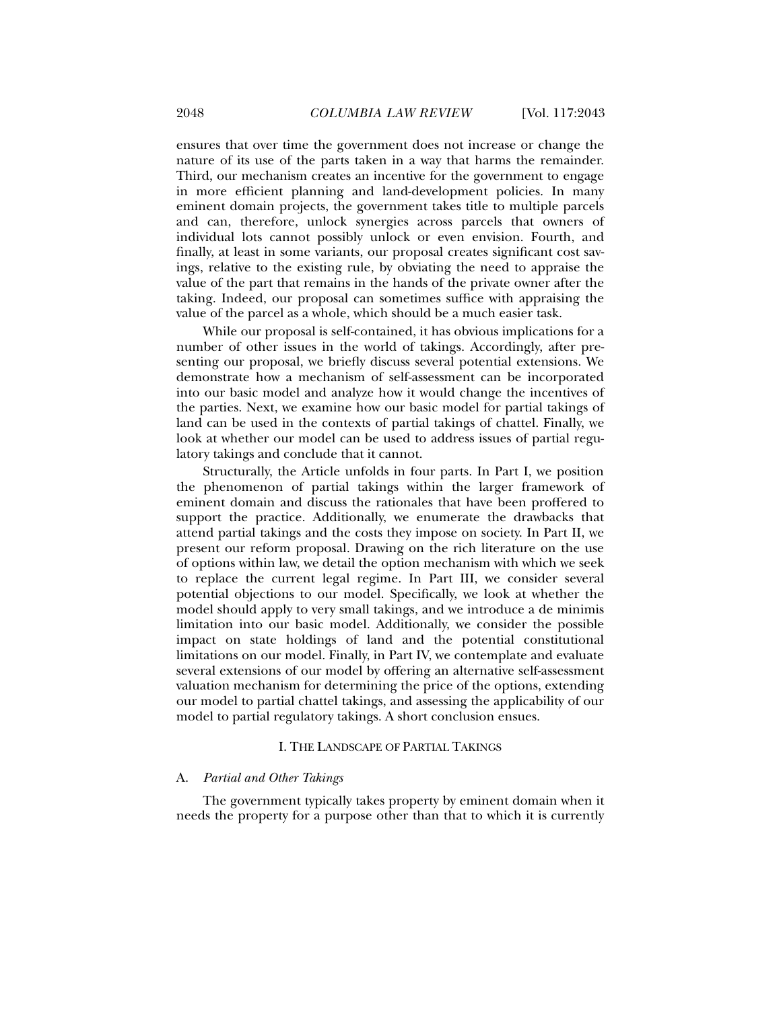ensures that over time the government does not increase or change the nature of its use of the parts taken in a way that harms the remainder. Third, our mechanism creates an incentive for the government to engage in more efficient planning and land-development policies. In many eminent domain projects, the government takes title to multiple parcels and can, therefore, unlock synergies across parcels that owners of individual lots cannot possibly unlock or even envision. Fourth, and finally, at least in some variants, our proposal creates significant cost savings, relative to the existing rule, by obviating the need to appraise the value of the part that remains in the hands of the private owner after the taking. Indeed, our proposal can sometimes suffice with appraising the value of the parcel as a whole, which should be a much easier task.

While our proposal is self-contained, it has obvious implications for a number of other issues in the world of takings. Accordingly, after presenting our proposal, we briefly discuss several potential extensions. We demonstrate how a mechanism of self-assessment can be incorporated into our basic model and analyze how it would change the incentives of the parties. Next, we examine how our basic model for partial takings of land can be used in the contexts of partial takings of chattel. Finally, we look at whether our model can be used to address issues of partial regulatory takings and conclude that it cannot.

Structurally, the Article unfolds in four parts. In Part I, we position the phenomenon of partial takings within the larger framework of eminent domain and discuss the rationales that have been proffered to support the practice. Additionally, we enumerate the drawbacks that attend partial takings and the costs they impose on society. In Part II, we present our reform proposal. Drawing on the rich literature on the use of options within law, we detail the option mechanism with which we seek to replace the current legal regime. In Part III, we consider several potential objections to our model. Specifically, we look at whether the model should apply to very small takings, and we introduce a de minimis limitation into our basic model. Additionally, we consider the possible impact on state holdings of land and the potential constitutional limitations on our model. Finally, in Part IV, we contemplate and evaluate several extensions of our model by offering an alternative self-assessment valuation mechanism for determining the price of the options, extending our model to partial chattel takings, and assessing the applicability of our model to partial regulatory takings. A short conclusion ensues.

#### I. THE LANDSCAPE OF PARTIAL TAKINGS

#### A. *Partial and Other Takings*

The government typically takes property by eminent domain when it needs the property for a purpose other than that to which it is currently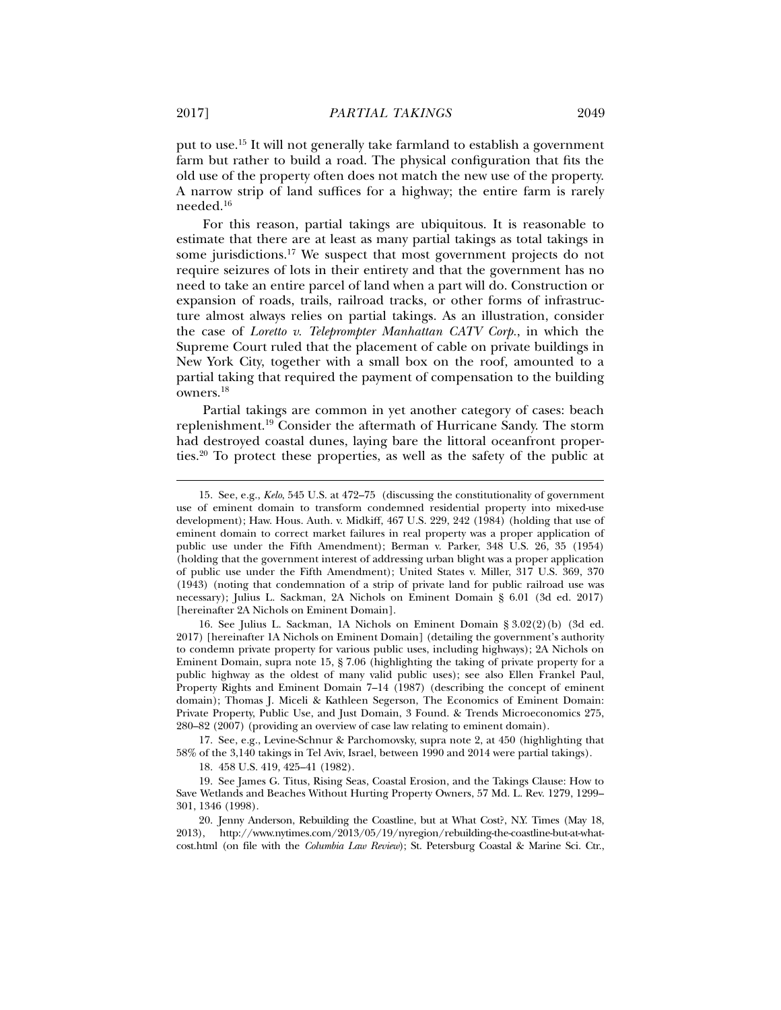put to use.15 It will not generally take farmland to establish a government farm but rather to build a road. The physical configuration that fits the old use of the property often does not match the new use of the property. A narrow strip of land suffices for a highway; the entire farm is rarely needed.16

For this reason, partial takings are ubiquitous. It is reasonable to estimate that there are at least as many partial takings as total takings in some jurisdictions.<sup>17</sup> We suspect that most government projects do not require seizures of lots in their entirety and that the government has no need to take an entire parcel of land when a part will do. Construction or expansion of roads, trails, railroad tracks, or other forms of infrastructure almost always relies on partial takings. As an illustration, consider the case of *Loretto v. Teleprompter Manhattan CATV Corp.*, in which the Supreme Court ruled that the placement of cable on private buildings in New York City, together with a small box on the roof, amounted to a partial taking that required the payment of compensation to the building owners.18

Partial takings are common in yet another category of cases: beach replenishment.19 Consider the aftermath of Hurricane Sandy. The storm had destroyed coastal dunes, laying bare the littoral oceanfront properties.20 To protect these properties, as well as the safety of the public at

 17. See, e.g., Levine-Schnur & Parchomovsky, supra note 2, at 450 (highlighting that 58% of the 3,140 takings in Tel Aviv, Israel, between 1990 and 2014 were partial takings).

18. 458 U.S. 419, 425–41 (1982).

 <sup>15.</sup> See, e.g., *Kelo*, 545 U.S. at 472–75 (discussing the constitutionality of government use of eminent domain to transform condemned residential property into mixed-use development); Haw. Hous. Auth. v. Midkiff, 467 U.S. 229, 242 (1984) (holding that use of eminent domain to correct market failures in real property was a proper application of public use under the Fifth Amendment); Berman v. Parker, 348 U.S. 26, 35 (1954) (holding that the government interest of addressing urban blight was a proper application of public use under the Fifth Amendment); United States v. Miller, 317 U.S. 369, 370 (1943) (noting that condemnation of a strip of private land for public railroad use was necessary); Julius L. Sackman, 2A Nichols on Eminent Domain § 6.01 (3d ed. 2017) [hereinafter 2A Nichols on Eminent Domain].

 <sup>16.</sup> See Julius L. Sackman, 1A Nichols on Eminent Domain § 3.02(2)(b) (3d ed. 2017) [hereinafter 1A Nichols on Eminent Domain] (detailing the government's authority to condemn private property for various public uses, including highways); 2A Nichols on Eminent Domain, supra note 15, § 7.06 (highlighting the taking of private property for a public highway as the oldest of many valid public uses); see also Ellen Frankel Paul, Property Rights and Eminent Domain 7–14 (1987) (describing the concept of eminent domain); Thomas J. Miceli & Kathleen Segerson, The Economics of Eminent Domain: Private Property, Public Use, and Just Domain, 3 Found. & Trends Microeconomics 275, 280–82 (2007) (providing an overview of case law relating to eminent domain).

 <sup>19.</sup> See James G. Titus, Rising Seas, Coastal Erosion, and the Takings Clause: How to Save Wetlands and Beaches Without Hurting Property Owners, 57 Md. L. Rev. 1279, 1299– 301, 1346 (1998).

 <sup>20.</sup> Jenny Anderson, Rebuilding the Coastline, but at What Cost?, N.Y. Times (May 18, 2013), http://www.nytimes.com/2013/05/19/nyregion/rebuilding-the-coastline-but-at-whatcost.html (on file with the *Columbia Law Review*); St. Petersburg Coastal & Marine Sci. Ctr.,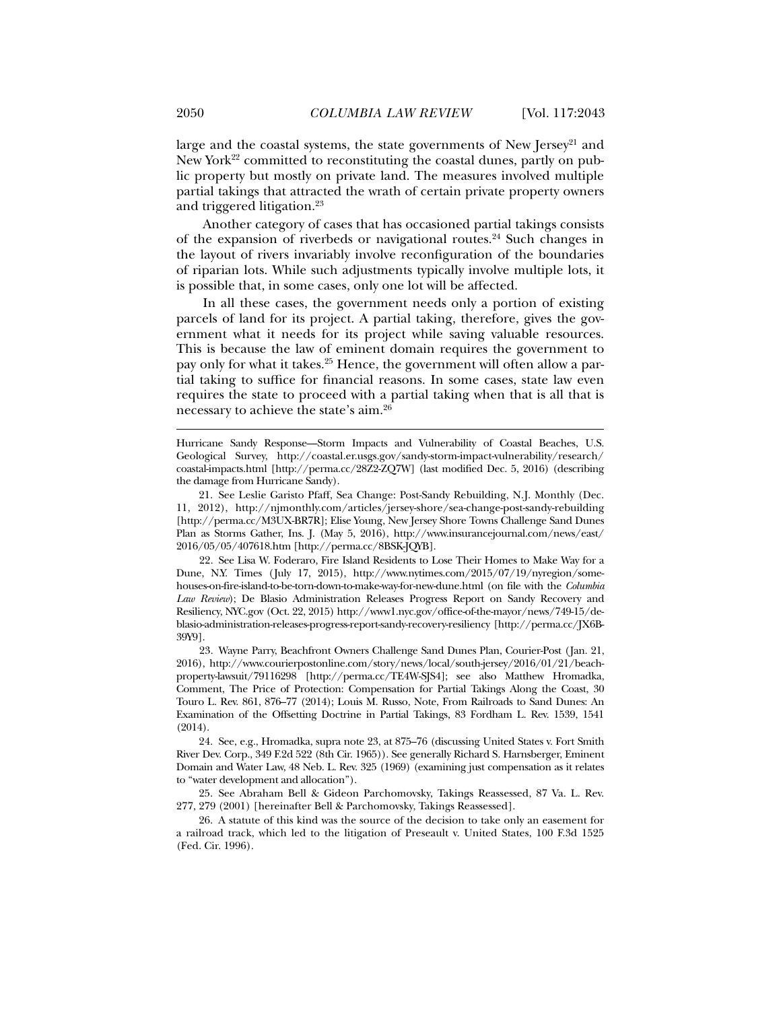large and the coastal systems, the state governments of New Jersey<sup>21</sup> and New York<sup>22</sup> committed to reconstituting the coastal dunes, partly on public property but mostly on private land. The measures involved multiple partial takings that attracted the wrath of certain private property owners and triggered litigation.23

Another category of cases that has occasioned partial takings consists of the expansion of riverbeds or navigational routes.24 Such changes in the layout of rivers invariably involve reconfiguration of the boundaries of riparian lots. While such adjustments typically involve multiple lots, it is possible that, in some cases, only one lot will be affected.

In all these cases, the government needs only a portion of existing parcels of land for its project. A partial taking, therefore, gives the government what it needs for its project while saving valuable resources. This is because the law of eminent domain requires the government to pay only for what it takes.<sup>25</sup> Hence, the government will often allow a partial taking to suffice for financial reasons. In some cases, state law even requires the state to proceed with a partial taking when that is all that is necessary to achieve the state's aim.26

 22. See Lisa W. Foderaro, Fire Island Residents to Lose Their Homes to Make Way for a Dune, N.Y. Times (July 17, 2015), http://www.nytimes.com/2015/07/19/nyregion/somehouses-on-fire-island-to-be-torn-down-to-make-way-for-new-dune.html (on file with the *Columbia Law Review*); De Blasio Administration Releases Progress Report on Sandy Recovery and Resiliency, NYC.gov (Oct. 22, 2015) http://www1.nyc.gov/office-of-the-mayor/news/749-15/deblasio-administration-releases-progress-report-sandy-recovery-resiliency [http://perma.cc/JX6B-39Y9].

 23. Wayne Parry, Beachfront Owners Challenge Sand Dunes Plan, Courier-Post (Jan. 21, 2016), http://www.courierpostonline.com/story/news/local/south-jersey/2016/01/21/beachproperty-lawsuit/79116298 [http://perma.cc/TE4W-SJS4]; see also Matthew Hromadka, Comment, The Price of Protection: Compensation for Partial Takings Along the Coast, 30 Touro L. Rev. 861, 876–77 (2014); Louis M. Russo, Note, From Railroads to Sand Dunes: An Examination of the Offsetting Doctrine in Partial Takings, 83 Fordham L. Rev. 1539, 1541 (2014).

 24. See, e.g., Hromadka, supra note 23, at 875–76 (discussing United States v. Fort Smith River Dev. Corp., 349 F.2d 522 (8th Cir. 1965)). See generally Richard S. Harnsberger, Eminent Domain and Water Law, 48 Neb. L. Rev. 325 (1969) (examining just compensation as it relates to "water development and allocation").

 25. See Abraham Bell & Gideon Parchomovsky, Takings Reassessed, 87 Va. L. Rev. 277, 279 (2001) [hereinafter Bell & Parchomovsky, Takings Reassessed].

 26. A statute of this kind was the source of the decision to take only an easement for a railroad track, which led to the litigation of Preseault v. United States, 100 F.3d 1525 (Fed. Cir. 1996).

Hurricane Sandy Response—Storm Impacts and Vulnerability of Coastal Beaches, U.S. Geological Survey, http://coastal.er.usgs.gov/sandy-storm-impact-vulnerability/research/ coastal-impacts.html [http://perma.cc/28Z2-ZQ7W] (last modified Dec. 5, 2016) (describing the damage from Hurricane Sandy).

 <sup>21.</sup> See Leslie Garisto Pfaff, Sea Change: Post-Sandy Rebuilding, N.J. Monthly (Dec. 11, 2012), http://njmonthly.com/articles/jersey-shore/sea-change-post-sandy-rebuilding [http://perma.cc/M3UX-BR7R]; Elise Young, New Jersey Shore Towns Challenge Sand Dunes Plan as Storms Gather, Ins. J. (May 5, 2016), http://www.insurancejournal.com/news/east/ 2016/05/05/407618.htm [http://perma.cc/8BSK-JQYB].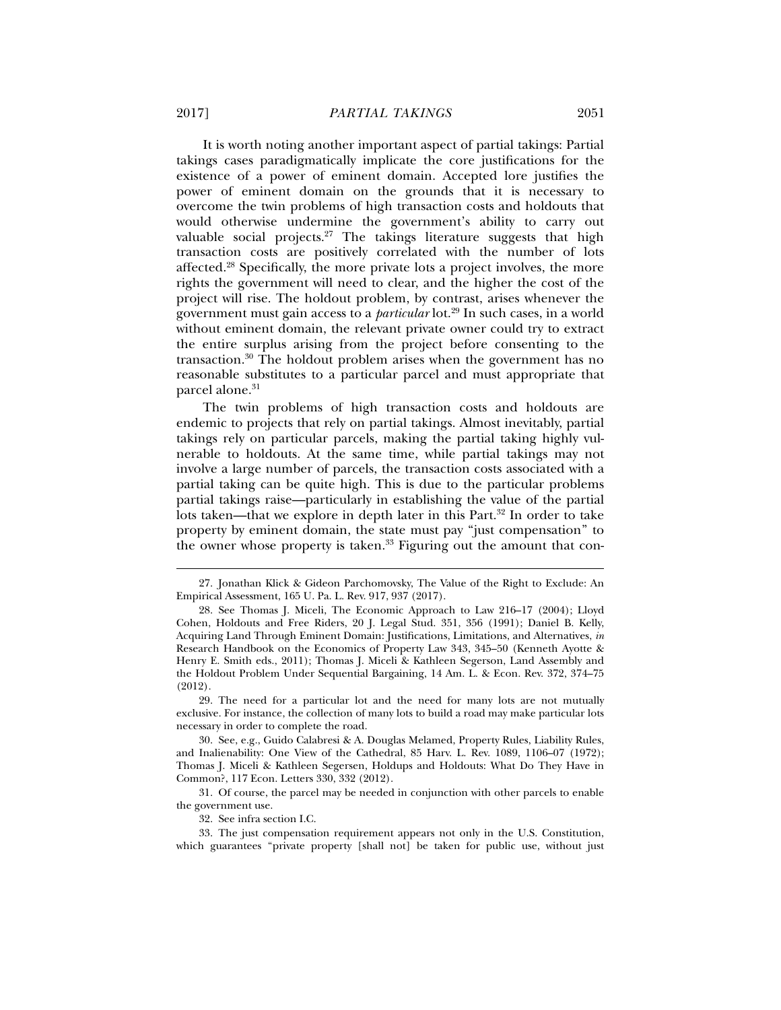It is worth noting another important aspect of partial takings: Partial takings cases paradigmatically implicate the core justifications for the existence of a power of eminent domain. Accepted lore justifies the power of eminent domain on the grounds that it is necessary to overcome the twin problems of high transaction costs and holdouts that would otherwise undermine the government's ability to carry out valuable social projects.<sup>27</sup> The takings literature suggests that high transaction costs are positively correlated with the number of lots affected.28 Specifically, the more private lots a project involves, the more rights the government will need to clear, and the higher the cost of the project will rise. The holdout problem, by contrast, arises whenever the government must gain access to a *particular* lot.29 In such cases, in a world without eminent domain, the relevant private owner could try to extract the entire surplus arising from the project before consenting to the transaction.30 The holdout problem arises when the government has no reasonable substitutes to a particular parcel and must appropriate that parcel alone.<sup>31</sup>

The twin problems of high transaction costs and holdouts are endemic to projects that rely on partial takings. Almost inevitably, partial takings rely on particular parcels, making the partial taking highly vulnerable to holdouts. At the same time, while partial takings may not involve a large number of parcels, the transaction costs associated with a partial taking can be quite high. This is due to the particular problems partial takings raise—particularly in establishing the value of the partial lots taken—that we explore in depth later in this  $Part.^{32}$  In order to take property by eminent domain, the state must pay "just compensation" to the owner whose property is taken.<sup>33</sup> Figuring out the amount that con-

 29. The need for a particular lot and the need for many lots are not mutually exclusive. For instance, the collection of many lots to build a road may make particular lots necessary in order to complete the road.

 30. See, e.g., Guido Calabresi & A. Douglas Melamed, Property Rules, Liability Rules, and Inalienability: One View of the Cathedral, 85 Harv. L. Rev. 1089, 1106–07 (1972); Thomas J. Miceli & Kathleen Segersen, Holdups and Holdouts: What Do They Have in Common?, 117 Econ. Letters 330, 332 (2012).

 31. Of course, the parcel may be needed in conjunction with other parcels to enable the government use.

32. See infra section I.C.

 33. The just compensation requirement appears not only in the U.S. Constitution, which guarantees "private property [shall not] be taken for public use, without just

 <sup>27.</sup> Jonathan Klick & Gideon Parchomovsky, The Value of the Right to Exclude: An Empirical Assessment, 165 U. Pa. L. Rev. 917, 937 (2017).

 <sup>28.</sup> See Thomas J. Miceli, The Economic Approach to Law 216–17 (2004); Lloyd Cohen, Holdouts and Free Riders, 20 J. Legal Stud. 351, 356 (1991); Daniel B. Kelly, Acquiring Land Through Eminent Domain: Justifications, Limitations, and Alternatives, *in* Research Handbook on the Economics of Property Law 343, 345–50 (Kenneth Ayotte & Henry E. Smith eds., 2011); Thomas J. Miceli & Kathleen Segerson, Land Assembly and the Holdout Problem Under Sequential Bargaining, 14 Am. L. & Econ. Rev. 372, 374–75 (2012).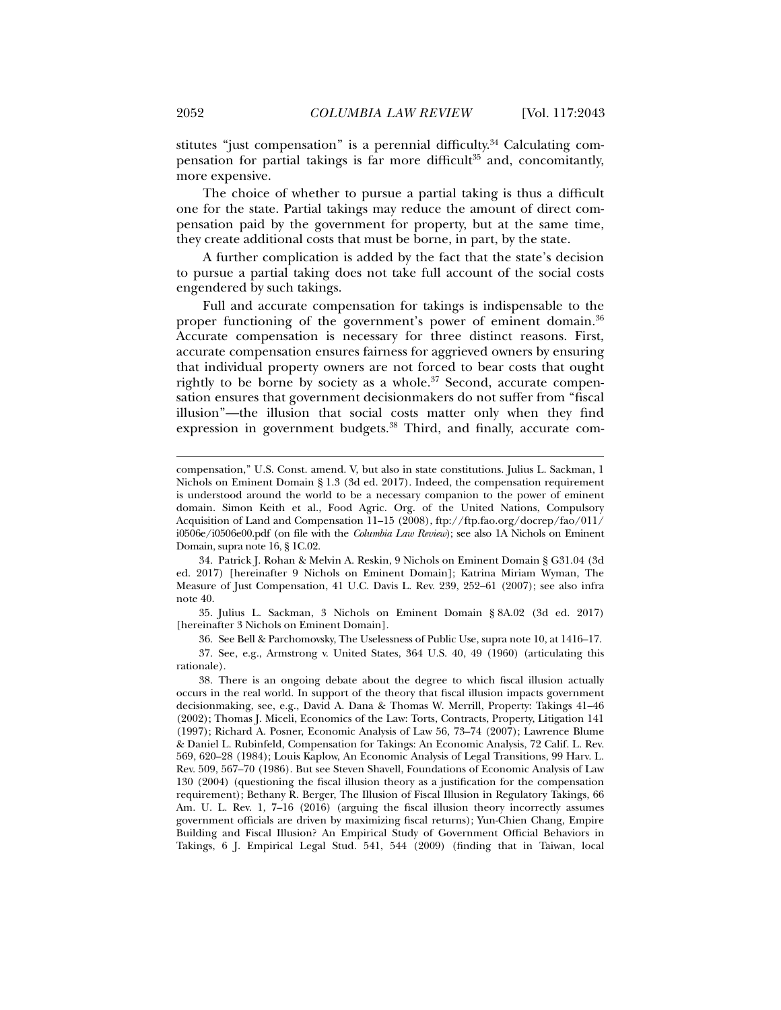stitutes "just compensation" is a perennial difficulty.<sup>34</sup> Calculating compensation for partial takings is far more difficult<sup>35</sup> and, concomitantly, more expensive.

The choice of whether to pursue a partial taking is thus a difficult one for the state. Partial takings may reduce the amount of direct compensation paid by the government for property, but at the same time, they create additional costs that must be borne, in part, by the state.

A further complication is added by the fact that the state's decision to pursue a partial taking does not take full account of the social costs engendered by such takings.

Full and accurate compensation for takings is indispensable to the proper functioning of the government's power of eminent domain.<sup>36</sup> Accurate compensation is necessary for three distinct reasons. First, accurate compensation ensures fairness for aggrieved owners by ensuring that individual property owners are not forced to bear costs that ought rightly to be borne by society as a whole. $37$  Second, accurate compensation ensures that government decisionmakers do not suffer from "fiscal illusion"—the illusion that social costs matter only when they find expression in government budgets.<sup>38</sup> Third, and finally, accurate com-

 34. Patrick J. Rohan & Melvin A. Reskin, 9 Nichols on Eminent Domain § G31.04 (3d ed. 2017) [hereinafter 9 Nichols on Eminent Domain]; Katrina Miriam Wyman, The Measure of Just Compensation, 41 U.C. Davis L. Rev. 239, 252–61 (2007); see also infra note 40.

 35. Julius L. Sackman, 3 Nichols on Eminent Domain § 8A.02 (3d ed. 2017) [hereinafter 3 Nichols on Eminent Domain].

36. See Bell & Parchomovsky, The Uselessness of Public Use, supra note 10, at 1416–17.

 37. See, e.g., Armstrong v. United States, 364 U.S. 40, 49 (1960) (articulating this rationale).

 38. There is an ongoing debate about the degree to which fiscal illusion actually occurs in the real world. In support of the theory that fiscal illusion impacts government decisionmaking, see, e.g., David A. Dana & Thomas W. Merrill, Property: Takings 41–46 (2002); Thomas J. Miceli, Economics of the Law: Torts, Contracts, Property, Litigation 141 (1997); Richard A. Posner, Economic Analysis of Law 56, 73–74 (2007); Lawrence Blume & Daniel L. Rubinfeld, Compensation for Takings: An Economic Analysis, 72 Calif. L. Rev. 569, 620–28 (1984); Louis Kaplow, An Economic Analysis of Legal Transitions, 99 Harv. L. Rev. 509, 567–70 (1986). But see Steven Shavell, Foundations of Economic Analysis of Law 130 (2004) (questioning the fiscal illusion theory as a justification for the compensation requirement); Bethany R. Berger, The Illusion of Fiscal Illusion in Regulatory Takings, 66 Am. U. L. Rev. 1, 7-16 (2016) (arguing the fiscal illusion theory incorrectly assumes government officials are driven by maximizing fiscal returns); Yun-Chien Chang, Empire Building and Fiscal Illusion? An Empirical Study of Government Official Behaviors in Takings, 6 J. Empirical Legal Stud. 541, 544 (2009) (finding that in Taiwan, local

compensation," U.S. Const. amend. V, but also in state constitutions. Julius L. Sackman, 1 Nichols on Eminent Domain § 1.3 (3d ed. 2017). Indeed, the compensation requirement is understood around the world to be a necessary companion to the power of eminent domain. Simon Keith et al., Food Agric. Org. of the United Nations, Compulsory Acquisition of Land and Compensation 11–15 (2008), ftp://ftp.fao.org/docrep/fao/011/ i0506e/i0506e00.pdf (on file with the *Columbia Law Review*); see also 1A Nichols on Eminent Domain, supra note 16, § 1C.02.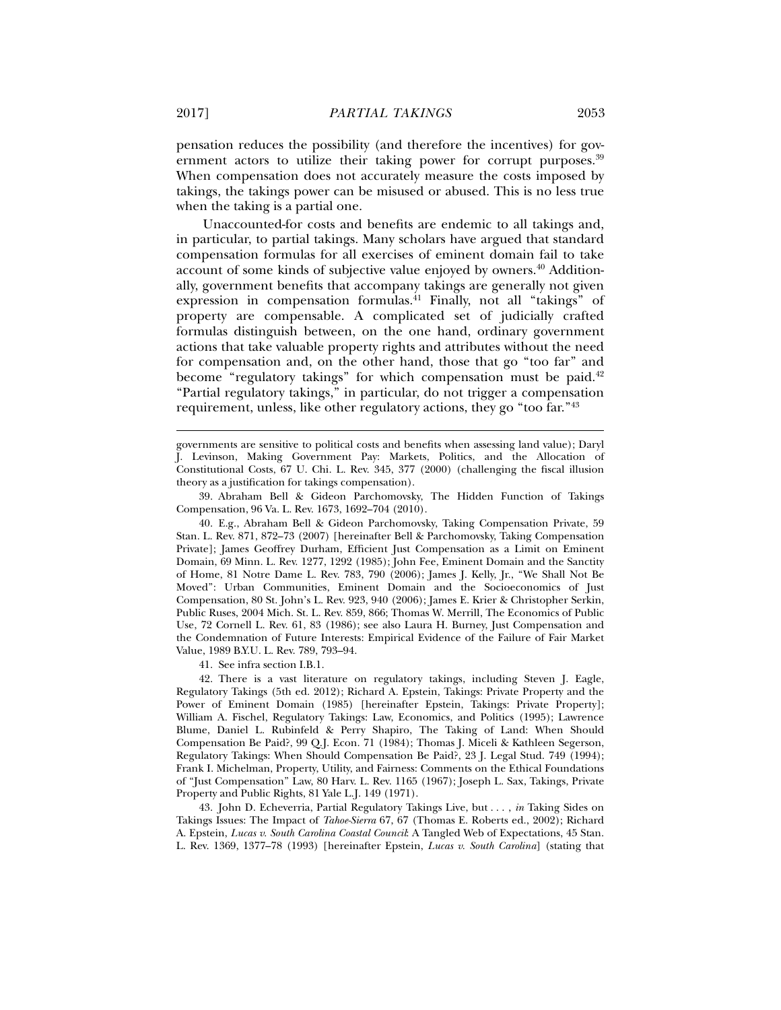pensation reduces the possibility (and therefore the incentives) for government actors to utilize their taking power for corrupt purposes.<sup>39</sup> When compensation does not accurately measure the costs imposed by takings, the takings power can be misused or abused. This is no less true when the taking is a partial one.

Unaccounted-for costs and benefits are endemic to all takings and, in particular, to partial takings. Many scholars have argued that standard compensation formulas for all exercises of eminent domain fail to take account of some kinds of subjective value enjoyed by owners.<sup>40</sup> Additionally, government benefits that accompany takings are generally not given expression in compensation formulas.41 Finally, not all "takings" of property are compensable. A complicated set of judicially crafted formulas distinguish between, on the one hand, ordinary government actions that take valuable property rights and attributes without the need for compensation and, on the other hand, those that go "too far" and become "regulatory takings" for which compensation must be paid.<sup>42</sup> "Partial regulatory takings," in particular, do not trigger a compensation requirement, unless, like other regulatory actions, they go "too far."43

governments are sensitive to political costs and benefits when assessing land value); Daryl J. Levinson, Making Government Pay: Markets, Politics, and the Allocation of Constitutional Costs, 67 U. Chi. L. Rev. 345, 377 (2000) (challenging the fiscal illusion theory as a justification for takings compensation).

 39. Abraham Bell & Gideon Parchomovsky, The Hidden Function of Takings Compensation, 96 Va. L. Rev. 1673, 1692–704 (2010).

 40. E.g., Abraham Bell & Gideon Parchomovsky, Taking Compensation Private, 59 Stan. L. Rev. 871, 872–73 (2007) [hereinafter Bell & Parchomovsky, Taking Compensation Private]; James Geoffrey Durham, Efficient Just Compensation as a Limit on Eminent Domain, 69 Minn. L. Rev. 1277, 1292 (1985); John Fee, Eminent Domain and the Sanctity of Home, 81 Notre Dame L. Rev. 783, 790 (2006); James J. Kelly, Jr., "We Shall Not Be Moved": Urban Communities, Eminent Domain and the Socioeconomics of Just Compensation, 80 St. John's L. Rev. 923, 940 (2006); James E. Krier & Christopher Serkin, Public Ruses, 2004 Mich. St. L. Rev. 859, 866; Thomas W. Merrill, The Economics of Public Use, 72 Cornell L. Rev. 61, 83 (1986); see also Laura H. Burney, Just Compensation and the Condemnation of Future Interests: Empirical Evidence of the Failure of Fair Market Value, 1989 B.Y.U. L. Rev. 789, 793–94.

41. See infra section I.B.1.

 42. There is a vast literature on regulatory takings, including Steven J. Eagle, Regulatory Takings (5th ed. 2012); Richard A. Epstein, Takings: Private Property and the Power of Eminent Domain (1985) [hereinafter Epstein, Takings: Private Property]; William A. Fischel, Regulatory Takings: Law, Economics, and Politics (1995); Lawrence Blume, Daniel L. Rubinfeld & Perry Shapiro, The Taking of Land: When Should Compensation Be Paid?, 99 Q.J. Econ. 71 (1984); Thomas J. Miceli & Kathleen Segerson, Regulatory Takings: When Should Compensation Be Paid?, 23 J. Legal Stud. 749 (1994); Frank I. Michelman, Property, Utility, and Fairness: Comments on the Ethical Foundations of "Just Compensation" Law, 80 Harv. L. Rev. 1165 (1967); Joseph L. Sax, Takings, Private Property and Public Rights, 81 Yale L.J. 149 (1971).

 43. John D. Echeverria, Partial Regulatory Takings Live, but . . . , *in* Taking Sides on Takings Issues: The Impact of *Tahoe-Sierra* 67, 67 (Thomas E. Roberts ed., 2002); Richard A. Epstein, *Lucas v. South Carolina Coastal Council*: A Tangled Web of Expectations, 45 Stan. L. Rev. 1369, 1377–78 (1993) [hereinafter Epstein, *Lucas v. South Carolina*] (stating that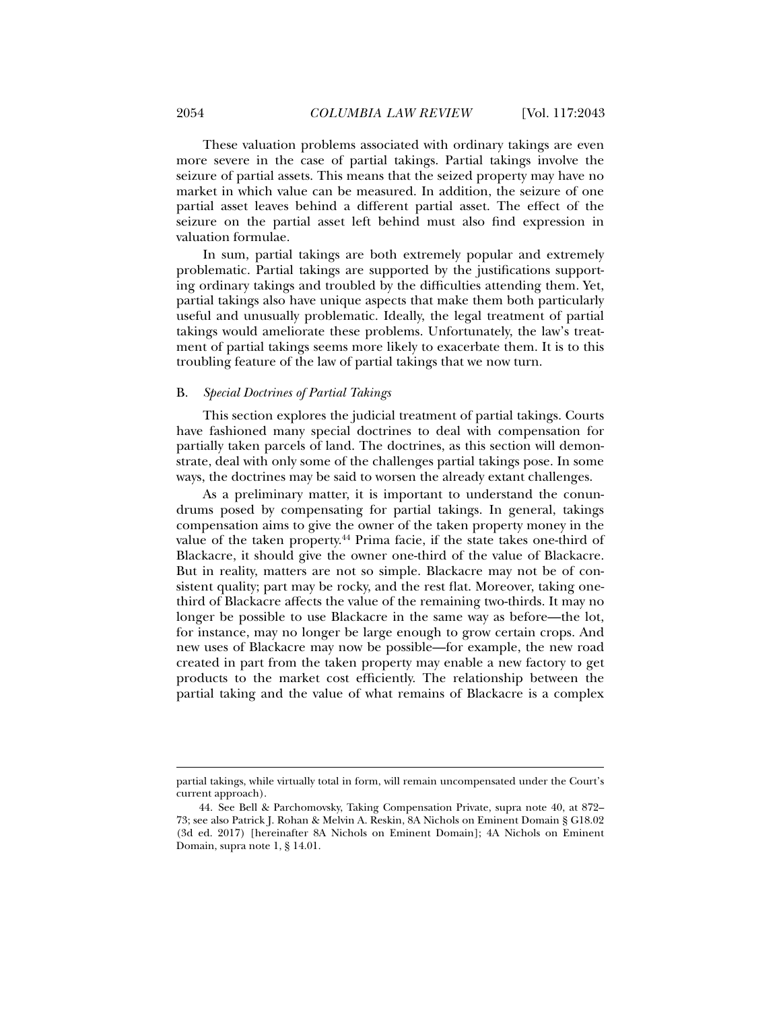These valuation problems associated with ordinary takings are even more severe in the case of partial takings. Partial takings involve the seizure of partial assets. This means that the seized property may have no market in which value can be measured. In addition, the seizure of one partial asset leaves behind a different partial asset. The effect of the seizure on the partial asset left behind must also find expression in valuation formulae.

In sum, partial takings are both extremely popular and extremely problematic. Partial takings are supported by the justifications supporting ordinary takings and troubled by the difficulties attending them. Yet, partial takings also have unique aspects that make them both particularly useful and unusually problematic. Ideally, the legal treatment of partial takings would ameliorate these problems. Unfortunately, the law's treatment of partial takings seems more likely to exacerbate them. It is to this troubling feature of the law of partial takings that we now turn.

#### B. *Special Doctrines of Partial Takings*

This section explores the judicial treatment of partial takings. Courts have fashioned many special doctrines to deal with compensation for partially taken parcels of land. The doctrines, as this section will demonstrate, deal with only some of the challenges partial takings pose. In some ways, the doctrines may be said to worsen the already extant challenges.

As a preliminary matter, it is important to understand the conundrums posed by compensating for partial takings. In general, takings compensation aims to give the owner of the taken property money in the value of the taken property.<sup>44</sup> Prima facie, if the state takes one-third of Blackacre, it should give the owner one-third of the value of Blackacre. But in reality, matters are not so simple. Blackacre may not be of consistent quality; part may be rocky, and the rest flat. Moreover, taking onethird of Blackacre affects the value of the remaining two-thirds. It may no longer be possible to use Blackacre in the same way as before—the lot, for instance, may no longer be large enough to grow certain crops. And new uses of Blackacre may now be possible—for example, the new road created in part from the taken property may enable a new factory to get products to the market cost efficiently. The relationship between the partial taking and the value of what remains of Blackacre is a complex

partial takings, while virtually total in form, will remain uncompensated under the Court's current approach).

 <sup>44.</sup> See Bell & Parchomovsky, Taking Compensation Private, supra note 40, at 872– 73; see also Patrick J. Rohan & Melvin A. Reskin, 8A Nichols on Eminent Domain § G18.02 (3d ed. 2017) [hereinafter 8A Nichols on Eminent Domain]; 4A Nichols on Eminent Domain, supra note 1, § 14.01.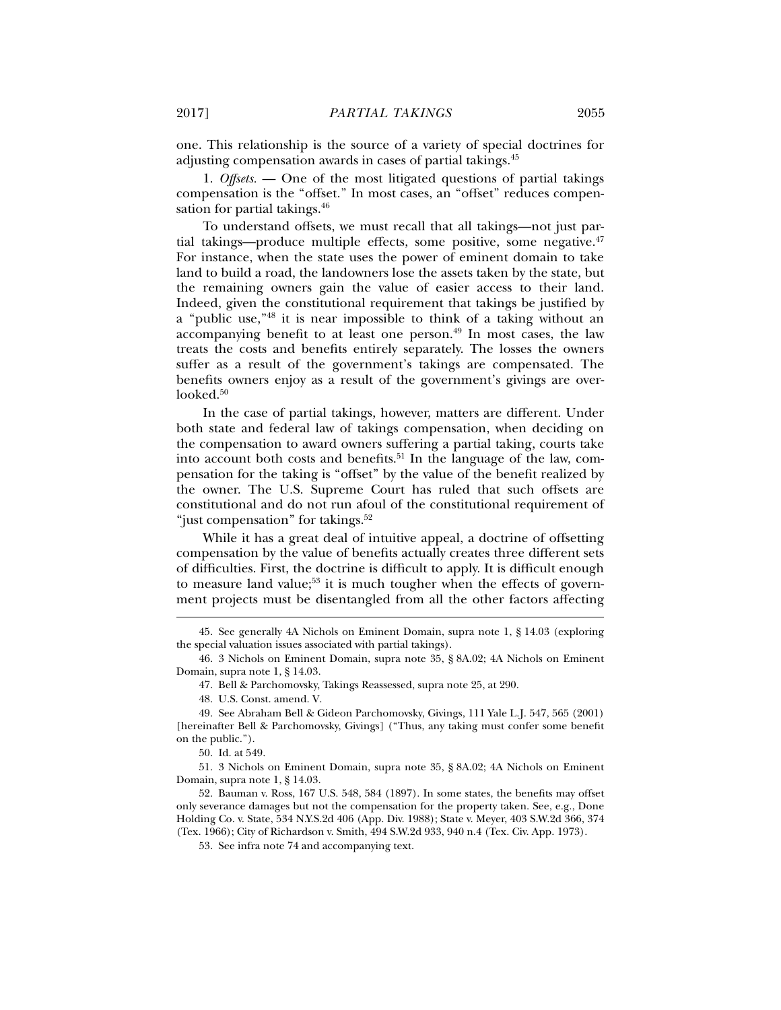one. This relationship is the source of a variety of special doctrines for adjusting compensation awards in cases of partial takings.45

1. *Offsets.* — One of the most litigated questions of partial takings compensation is the "offset." In most cases, an "offset" reduces compensation for partial takings.<sup>46</sup>

To understand offsets, we must recall that all takings—not just partial takings—produce multiple effects, some positive, some negative.47 For instance, when the state uses the power of eminent domain to take land to build a road, the landowners lose the assets taken by the state, but the remaining owners gain the value of easier access to their land. Indeed, given the constitutional requirement that takings be justified by a "public use,"48 it is near impossible to think of a taking without an accompanying benefit to at least one person. $49$  In most cases, the law treats the costs and benefits entirely separately. The losses the owners suffer as a result of the government's takings are compensated. The benefits owners enjoy as a result of the government's givings are overlooked.<sup>50</sup>

In the case of partial takings, however, matters are different. Under both state and federal law of takings compensation, when deciding on the compensation to award owners suffering a partial taking, courts take into account both costs and benefits.<sup>51</sup> In the language of the law, compensation for the taking is "offset" by the value of the benefit realized by the owner. The U.S. Supreme Court has ruled that such offsets are constitutional and do not run afoul of the constitutional requirement of "just compensation" for takings.<sup>52</sup>

While it has a great deal of intuitive appeal, a doctrine of offsetting compensation by the value of benefits actually creates three different sets of difficulties. First, the doctrine is difficult to apply. It is difficult enough to measure land value;<sup>53</sup> it is much tougher when the effects of government projects must be disentangled from all the other factors affecting

 <sup>45.</sup> See generally 4A Nichols on Eminent Domain, supra note 1, § 14.03 (exploring the special valuation issues associated with partial takings).

 <sup>46. 3</sup> Nichols on Eminent Domain, supra note 35, § 8A.02; 4A Nichols on Eminent Domain, supra note 1, § 14.03.

 <sup>47.</sup> Bell & Parchomovsky, Takings Reassessed, supra note 25, at 290.

 <sup>48.</sup> U.S. Const. amend. V.

 <sup>49.</sup> See Abraham Bell & Gideon Parchomovsky, Givings, 111 Yale L.J. 547, 565 (2001) [hereinafter Bell & Parchomovsky, Givings] ("Thus, any taking must confer some benefit on the public.").

 <sup>50.</sup> Id. at 549.

 <sup>51. 3</sup> Nichols on Eminent Domain, supra note 35, § 8A.02; 4A Nichols on Eminent Domain, supra note 1, § 14.03.

 <sup>52.</sup> Bauman v. Ross, 167 U.S. 548, 584 (1897). In some states, the benefits may offset only severance damages but not the compensation for the property taken. See, e.g., Done Holding Co. v. State, 534 N.Y.S.2d 406 (App. Div. 1988); State v. Meyer, 403 S.W.2d 366, 374 (Tex. 1966); City of Richardson v. Smith, 494 S.W.2d 933, 940 n.4 (Tex. Civ. App. 1973).

 <sup>53.</sup> See infra note 74 and accompanying text.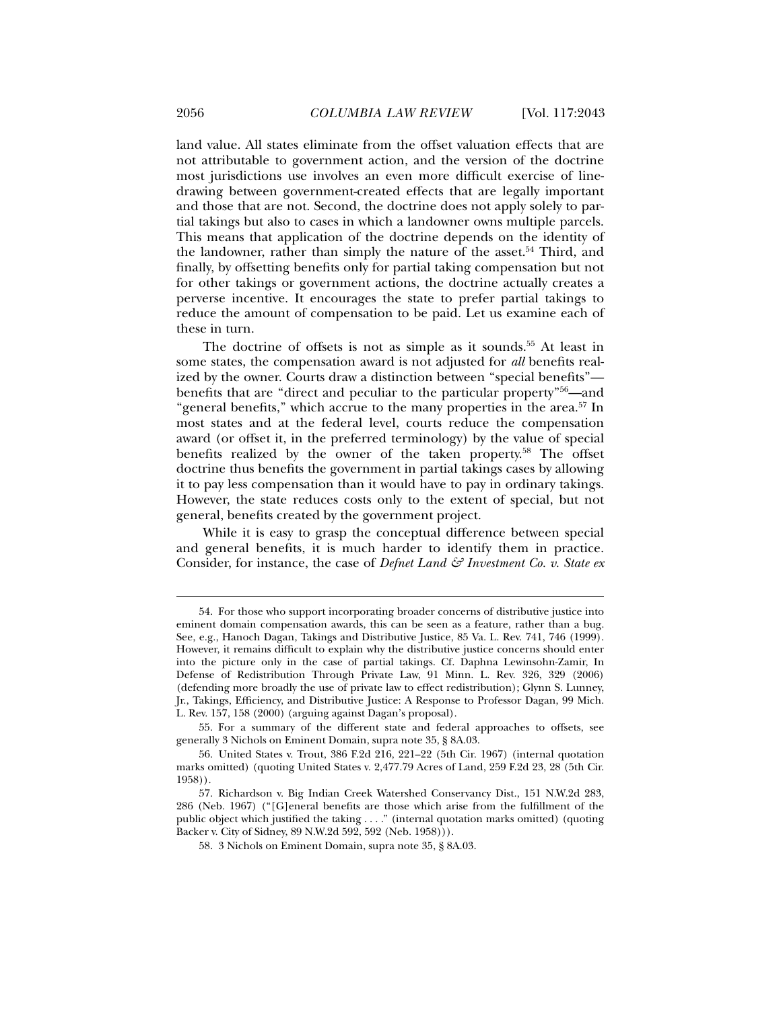land value. All states eliminate from the offset valuation effects that are not attributable to government action, and the version of the doctrine most jurisdictions use involves an even more difficult exercise of linedrawing between government-created effects that are legally important

and those that are not. Second, the doctrine does not apply solely to partial takings but also to cases in which a landowner owns multiple parcels. This means that application of the doctrine depends on the identity of the landowner, rather than simply the nature of the asset.<sup>54</sup> Third, and finally, by offsetting benefits only for partial taking compensation but not for other takings or government actions, the doctrine actually creates a perverse incentive. It encourages the state to prefer partial takings to reduce the amount of compensation to be paid. Let us examine each of these in turn.

The doctrine of offsets is not as simple as it sounds.<sup>55</sup> At least in some states, the compensation award is not adjusted for *all* benefits realized by the owner. Courts draw a distinction between "special benefits" benefits that are "direct and peculiar to the particular property"56—and "general benefits," which accrue to the many properties in the area.<sup>57</sup> In most states and at the federal level, courts reduce the compensation award (or offset it, in the preferred terminology) by the value of special benefits realized by the owner of the taken property.58 The offset doctrine thus benefits the government in partial takings cases by allowing it to pay less compensation than it would have to pay in ordinary takings. However, the state reduces costs only to the extent of special, but not general, benefits created by the government project.

While it is easy to grasp the conceptual difference between special and general benefits, it is much harder to identify them in practice. Consider, for instance, the case of *Defnet Land & Investment Co. v. State ex* 

 <sup>54.</sup> For those who support incorporating broader concerns of distributive justice into eminent domain compensation awards, this can be seen as a feature, rather than a bug. See, e.g., Hanoch Dagan, Takings and Distributive Justice, 85 Va. L. Rev. 741, 746 (1999). However, it remains difficult to explain why the distributive justice concerns should enter into the picture only in the case of partial takings. Cf. Daphna Lewinsohn-Zamir, In Defense of Redistribution Through Private Law, 91 Minn. L. Rev. 326, 329 (2006) (defending more broadly the use of private law to effect redistribution); Glynn S. Lunney, Jr., Takings, Efficiency, and Distributive Justice: A Response to Professor Dagan, 99 Mich. L. Rev. 157, 158 (2000) (arguing against Dagan's proposal).

 <sup>55.</sup> For a summary of the different state and federal approaches to offsets, see generally 3 Nichols on Eminent Domain, supra note 35, § 8A.03.

 <sup>56.</sup> United States v. Trout, 386 F.2d 216, 221–22 (5th Cir. 1967) (internal quotation marks omitted) (quoting United States v. 2,477.79 Acres of Land, 259 F.2d 23, 28 (5th Cir. 1958)).

 <sup>57.</sup> Richardson v. Big Indian Creek Watershed Conservancy Dist., 151 N.W.2d 283, 286 (Neb. 1967) ("[G]eneral benefits are those which arise from the fulfillment of the public object which justified the taking . . . ." (internal quotation marks omitted) (quoting Backer v. City of Sidney, 89 N.W.2d 592, 592 (Neb. 1958))).

 <sup>58. 3</sup> Nichols on Eminent Domain, supra note 35, § 8A.03.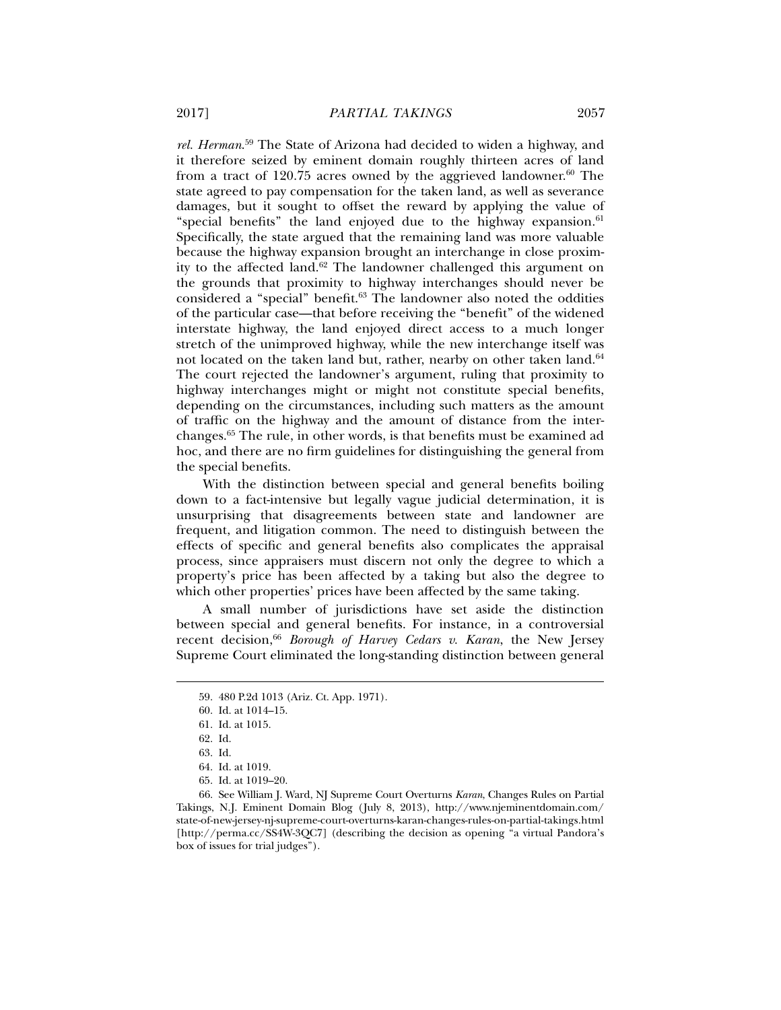*rel. Herman*. 59 The State of Arizona had decided to widen a highway, and it therefore seized by eminent domain roughly thirteen acres of land from a tract of 120.75 acres owned by the aggrieved landowner.<sup>60</sup> The state agreed to pay compensation for the taken land, as well as severance damages, but it sought to offset the reward by applying the value of "special benefits" the land enjoyed due to the highway expansion. $61$ Specifically, the state argued that the remaining land was more valuable because the highway expansion brought an interchange in close proximity to the affected land. $62$  The landowner challenged this argument on the grounds that proximity to highway interchanges should never be considered a "special" benefit.63 The landowner also noted the oddities of the particular case—that before receiving the "benefit" of the widened interstate highway, the land enjoyed direct access to a much longer stretch of the unimproved highway, while the new interchange itself was not located on the taken land but, rather, nearby on other taken land.<sup>64</sup> The court rejected the landowner's argument, ruling that proximity to highway interchanges might or might not constitute special benefits, depending on the circumstances, including such matters as the amount of traffic on the highway and the amount of distance from the interchanges.65 The rule, in other words, is that benefits must be examined ad hoc, and there are no firm guidelines for distinguishing the general from the special benefits.

With the distinction between special and general benefits boiling down to a fact-intensive but legally vague judicial determination, it is unsurprising that disagreements between state and landowner are frequent, and litigation common. The need to distinguish between the effects of specific and general benefits also complicates the appraisal process, since appraisers must discern not only the degree to which a property's price has been affected by a taking but also the degree to which other properties' prices have been affected by the same taking.

A small number of jurisdictions have set aside the distinction between special and general benefits. For instance, in a controversial recent decision,<sup>66</sup> *Borough of Harvey Cedars v. Karan*, the New Jersey Supreme Court eliminated the long-standing distinction between general

 <sup>59. 480</sup> P.2d 1013 (Ariz. Ct. App. 1971).

 <sup>60.</sup> Id. at 1014–15.

 <sup>61.</sup> Id. at 1015.

 <sup>62.</sup> Id.

 <sup>63.</sup> Id.

 <sup>64.</sup> Id. at 1019.

 <sup>65.</sup> Id. at 1019–20.

 <sup>66.</sup> See William J. Ward, NJ Supreme Court Overturns *Karan*, Changes Rules on Partial Takings, N.J. Eminent Domain Blog (July 8, 2013), http://www.njeminentdomain.com/ state-of-new-jersey-nj-supreme-court-overturns-karan-changes-rules-on-partial-takings.html [http://perma.cc/SS4W-3QC7] (describing the decision as opening "a virtual Pandora's box of issues for trial judges").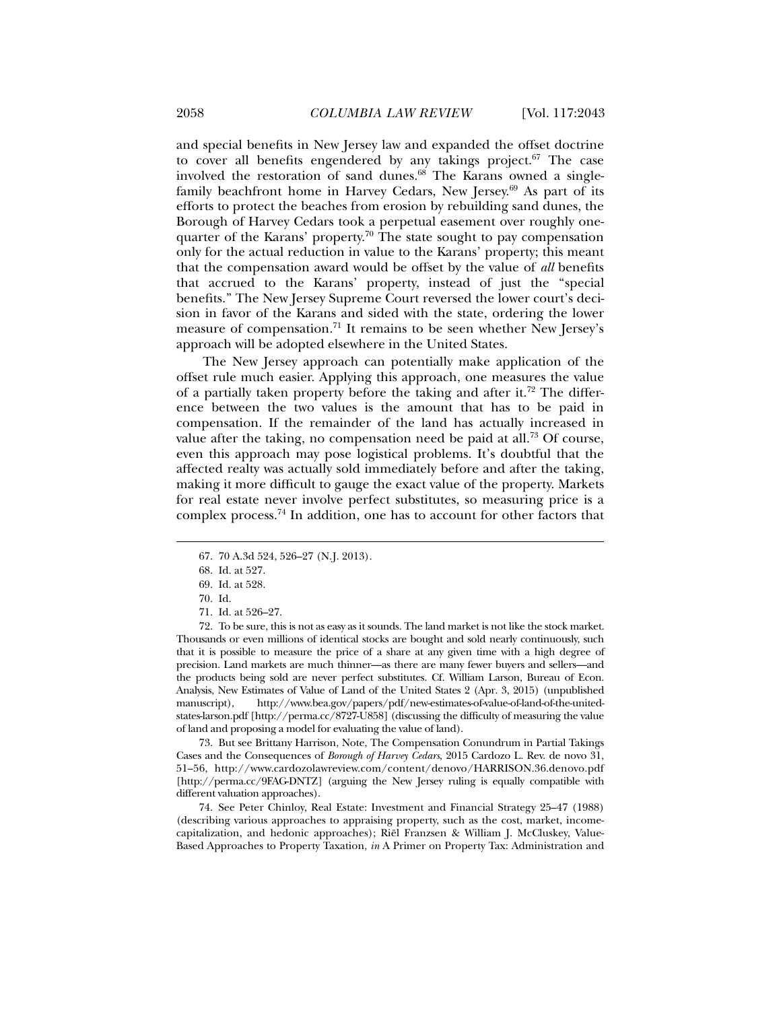and special benefits in New Jersey law and expanded the offset doctrine to cover all benefits engendered by any takings project. $67$  The case involved the restoration of sand dunes.<sup>68</sup> The Karans owned a singlefamily beachfront home in Harvey Cedars, New Jersey.69 As part of its efforts to protect the beaches from erosion by rebuilding sand dunes, the Borough of Harvey Cedars took a perpetual easement over roughly onequarter of the Karans' property.<sup>70</sup> The state sought to pay compensation only for the actual reduction in value to the Karans' property; this meant that the compensation award would be offset by the value of *all* benefits that accrued to the Karans' property, instead of just the "special benefits." The New Jersey Supreme Court reversed the lower court's decision in favor of the Karans and sided with the state, ordering the lower measure of compensation.71 It remains to be seen whether New Jersey's approach will be adopted elsewhere in the United States.

The New Jersey approach can potentially make application of the offset rule much easier. Applying this approach, one measures the value of a partially taken property before the taking and after it.<sup>72</sup> The difference between the two values is the amount that has to be paid in compensation. If the remainder of the land has actually increased in value after the taking, no compensation need be paid at all.<sup>73</sup> Of course, even this approach may pose logistical problems. It's doubtful that the affected realty was actually sold immediately before and after the taking, making it more difficult to gauge the exact value of the property. Markets for real estate never involve perfect substitutes, so measuring price is a complex process.74 In addition, one has to account for other factors that

j

 72. To be sure, this is not as easy as it sounds. The land market is not like the stock market. Thousands or even millions of identical stocks are bought and sold nearly continuously, such that it is possible to measure the price of a share at any given time with a high degree of precision. Land markets are much thinner—as there are many fewer buyers and sellers—and the products being sold are never perfect substitutes. Cf. William Larson, Bureau of Econ. Analysis, New Estimates of Value of Land of the United States 2 (Apr. 3, 2015) (unpublished manuscript), http://www.bea.gov/papers/pdf/new-estimates-of-value-of-land-of-the-unitedstates-larson.pdf [http://perma.cc/8727-U858] (discussing the difficulty of measuring the value of land and proposing a model for evaluating the value of land).

 73. But see Brittany Harrison, Note, The Compensation Conundrum in Partial Takings Cases and the Consequences of *Borough of Harvey Cedars*, 2015 Cardozo L. Rev. de novo 31, 51–56, http://www.cardozolawreview.com/content/denovo/HARRISON.36.denovo.pdf [http://perma.cc/9FAG-DNTZ] (arguing the New Jersey ruling is equally compatible with different valuation approaches).

 74. See Peter Chinloy, Real Estate: Investment and Financial Strategy 25–47 (1988) (describing various approaches to appraising property, such as the cost, market, incomecapitalization, and hedonic approaches); Riël Franzsen & William J. McCluskey, Value-Based Approaches to Property Taxation, *in* A Primer on Property Tax: Administration and

 <sup>67. 70</sup> A.3d 524, 526–27 (N.J. 2013).

 <sup>68.</sup> Id. at 527.

 <sup>69.</sup> Id. at 528.

 <sup>70.</sup> Id.

 <sup>71.</sup> Id. at 526–27.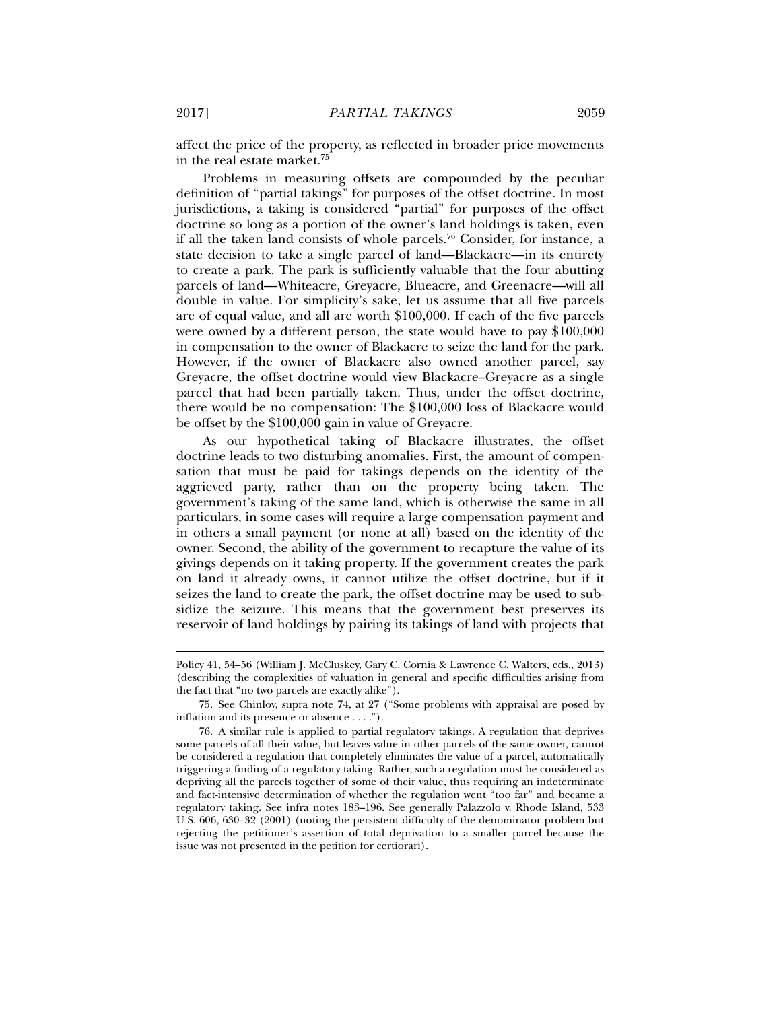affect the price of the property, as reflected in broader price movements in the real estate market.75

Problems in measuring offsets are compounded by the peculiar definition of "partial takings" for purposes of the offset doctrine. In most jurisdictions, a taking is considered "partial" for purposes of the offset doctrine so long as a portion of the owner's land holdings is taken, even if all the taken land consists of whole parcels.<sup>76</sup> Consider, for instance, a state decision to take a single parcel of land—Blackacre—in its entirety to create a park. The park is sufficiently valuable that the four abutting parcels of land—Whiteacre, Greyacre, Blueacre, and Greenacre—will all double in value. For simplicity's sake, let us assume that all five parcels are of equal value, and all are worth \$100,000. If each of the five parcels were owned by a different person, the state would have to pay \$100,000 in compensation to the owner of Blackacre to seize the land for the park. However, if the owner of Blackacre also owned another parcel, say Greyacre, the offset doctrine would view Blackacre–Greyacre as a single parcel that had been partially taken. Thus, under the offset doctrine, there would be no compensation: The \$100,000 loss of Blackacre would be offset by the \$100,000 gain in value of Greyacre.

As our hypothetical taking of Blackacre illustrates, the offset doctrine leads to two disturbing anomalies. First, the amount of compensation that must be paid for takings depends on the identity of the aggrieved party, rather than on the property being taken. The government's taking of the same land, which is otherwise the same in all particulars, in some cases will require a large compensation payment and in others a small payment (or none at all) based on the identity of the owner. Second, the ability of the government to recapture the value of its givings depends on it taking property. If the government creates the park on land it already owns, it cannot utilize the offset doctrine, but if it seizes the land to create the park, the offset doctrine may be used to subsidize the seizure. This means that the government best preserves its reservoir of land holdings by pairing its takings of land with projects that

Policy 41, 54–56 (William J. McCluskey, Gary C. Cornia & Lawrence C. Walters, eds., 2013) (describing the complexities of valuation in general and specific difficulties arising from the fact that "no two parcels are exactly alike").

 <sup>75.</sup> See Chinloy, supra note 74, at 27 ("Some problems with appraisal are posed by inflation and its presence or absence . . . .").

 <sup>76.</sup> A similar rule is applied to partial regulatory takings. A regulation that deprives some parcels of all their value, but leaves value in other parcels of the same owner, cannot be considered a regulation that completely eliminates the value of a parcel, automatically triggering a finding of a regulatory taking. Rather, such a regulation must be considered as depriving all the parcels together of some of their value, thus requiring an indeterminate and fact-intensive determination of whether the regulation went "too far" and became a regulatory taking. See infra notes 183–196. See generally Palazzolo v. Rhode Island, 533 U.S. 606, 630–32 (2001) (noting the persistent difficulty of the denominator problem but rejecting the petitioner's assertion of total deprivation to a smaller parcel because the issue was not presented in the petition for certiorari).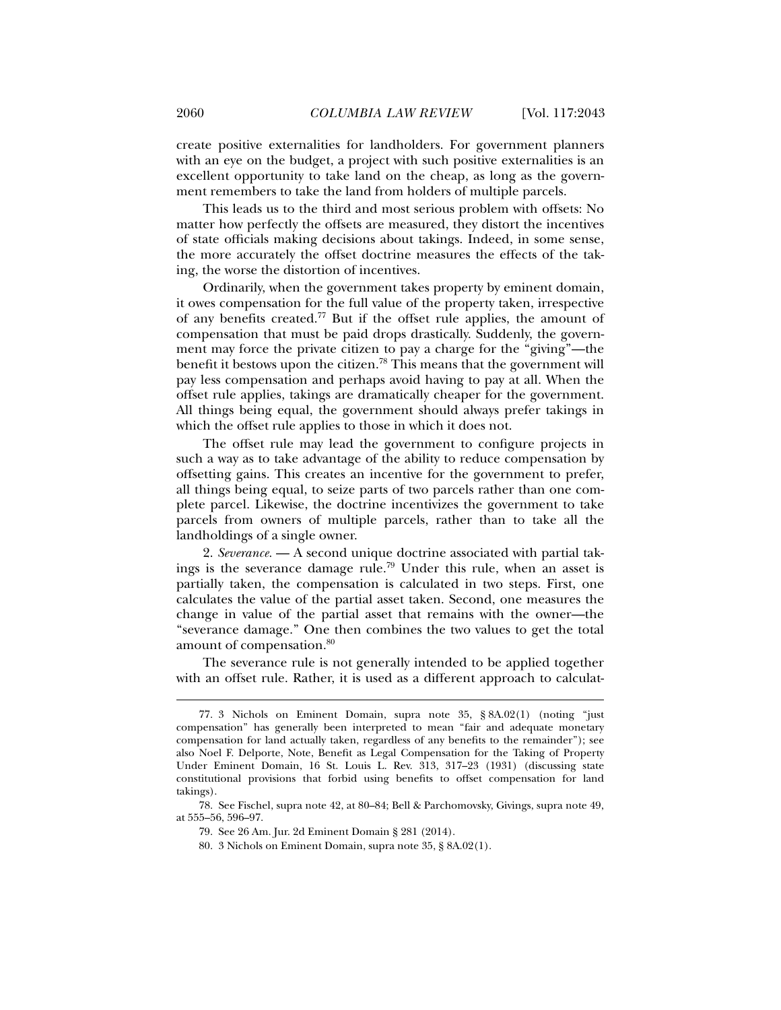create positive externalities for landholders. For government planners with an eye on the budget, a project with such positive externalities is an excellent opportunity to take land on the cheap, as long as the government remembers to take the land from holders of multiple parcels.

This leads us to the third and most serious problem with offsets: No matter how perfectly the offsets are measured, they distort the incentives of state officials making decisions about takings. Indeed, in some sense, the more accurately the offset doctrine measures the effects of the taking, the worse the distortion of incentives.

Ordinarily, when the government takes property by eminent domain, it owes compensation for the full value of the property taken, irrespective of any benefits created.77 But if the offset rule applies, the amount of compensation that must be paid drops drastically. Suddenly, the government may force the private citizen to pay a charge for the "giving"—the benefit it bestows upon the citizen.78 This means that the government will pay less compensation and perhaps avoid having to pay at all. When the offset rule applies, takings are dramatically cheaper for the government. All things being equal, the government should always prefer takings in which the offset rule applies to those in which it does not.

The offset rule may lead the government to configure projects in such a way as to take advantage of the ability to reduce compensation by offsetting gains. This creates an incentive for the government to prefer, all things being equal, to seize parts of two parcels rather than one complete parcel. Likewise, the doctrine incentivizes the government to take parcels from owners of multiple parcels, rather than to take all the landholdings of a single owner.

2. *Severance.* — A second unique doctrine associated with partial takings is the severance damage rule.<sup>79</sup> Under this rule, when an asset is partially taken, the compensation is calculated in two steps. First, one calculates the value of the partial asset taken. Second, one measures the change in value of the partial asset that remains with the owner—the "severance damage." One then combines the two values to get the total amount of compensation.<sup>80</sup>

The severance rule is not generally intended to be applied together with an offset rule. Rather, it is used as a different approach to calculat-

 <sup>77. 3</sup> Nichols on Eminent Domain, supra note 35, § 8A.02(1) (noting "just compensation" has generally been interpreted to mean "fair and adequate monetary compensation for land actually taken, regardless of any benefits to the remainder"); see also Noel F. Delporte, Note, Benefit as Legal Compensation for the Taking of Property Under Eminent Domain, 16 St. Louis L. Rev. 313, 317–23 (1931) (discussing state constitutional provisions that forbid using benefits to offset compensation for land takings).

 <sup>78.</sup> See Fischel, supra note 42, at 80–84; Bell & Parchomovsky, Givings, supra note 49, at 555–56, 596–97.

 <sup>79.</sup> See 26 Am. Jur. 2d Eminent Domain § 281 (2014).

 <sup>80. 3</sup> Nichols on Eminent Domain, supra note 35, § 8A.02(1).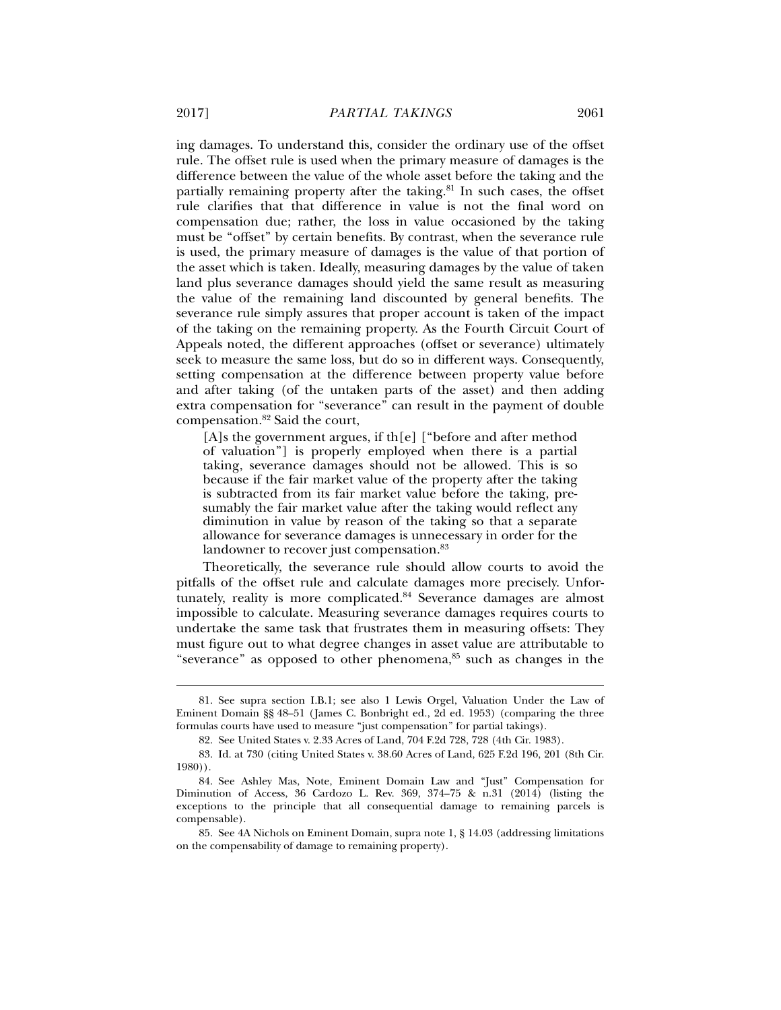ing damages. To understand this, consider the ordinary use of the offset rule. The offset rule is used when the primary measure of damages is the difference between the value of the whole asset before the taking and the partially remaining property after the taking. $81$  In such cases, the offset rule clarifies that that difference in value is not the final word on compensation due; rather, the loss in value occasioned by the taking must be "offset" by certain benefits. By contrast, when the severance rule is used, the primary measure of damages is the value of that portion of the asset which is taken. Ideally, measuring damages by the value of taken land plus severance damages should yield the same result as measuring the value of the remaining land discounted by general benefits. The severance rule simply assures that proper account is taken of the impact of the taking on the remaining property. As the Fourth Circuit Court of Appeals noted, the different approaches (offset or severance) ultimately seek to measure the same loss, but do so in different ways. Consequently, setting compensation at the difference between property value before and after taking (of the untaken parts of the asset) and then adding extra compensation for "severance" can result in the payment of double compensation.82 Said the court,

[A]s the government argues, if th[e] ["before and after method of valuation"] is properly employed when there is a partial taking, severance damages should not be allowed. This is so because if the fair market value of the property after the taking is subtracted from its fair market value before the taking, presumably the fair market value after the taking would reflect any diminution in value by reason of the taking so that a separate allowance for severance damages is unnecessary in order for the landowner to recover just compensation.<sup>83</sup>

Theoretically, the severance rule should allow courts to avoid the pitfalls of the offset rule and calculate damages more precisely. Unfortunately, reality is more complicated.<sup>84</sup> Severance damages are almost impossible to calculate. Measuring severance damages requires courts to undertake the same task that frustrates them in measuring offsets: They must figure out to what degree changes in asset value are attributable to "severance" as opposed to other phenomena, $85$  such as changes in the

 <sup>81.</sup> See supra section I.B.1; see also 1 Lewis Orgel, Valuation Under the Law of Eminent Domain §§ 48–51 (James C. Bonbright ed., 2d ed. 1953) (comparing the three formulas courts have used to measure "just compensation" for partial takings).

 <sup>82.</sup> See United States v. 2.33 Acres of Land, 704 F.2d 728, 728 (4th Cir. 1983).

 <sup>83.</sup> Id. at 730 (citing United States v. 38.60 Acres of Land, 625 F.2d 196, 201 (8th Cir. 1980)).

 <sup>84.</sup> See Ashley Mas, Note, Eminent Domain Law and "Just" Compensation for Diminution of Access, 36 Cardozo L. Rev. 369, 374–75 & n.31 (2014) (listing the exceptions to the principle that all consequential damage to remaining parcels is compensable).

 <sup>85.</sup> See 4A Nichols on Eminent Domain, supra note 1, § 14.03 (addressing limitations on the compensability of damage to remaining property).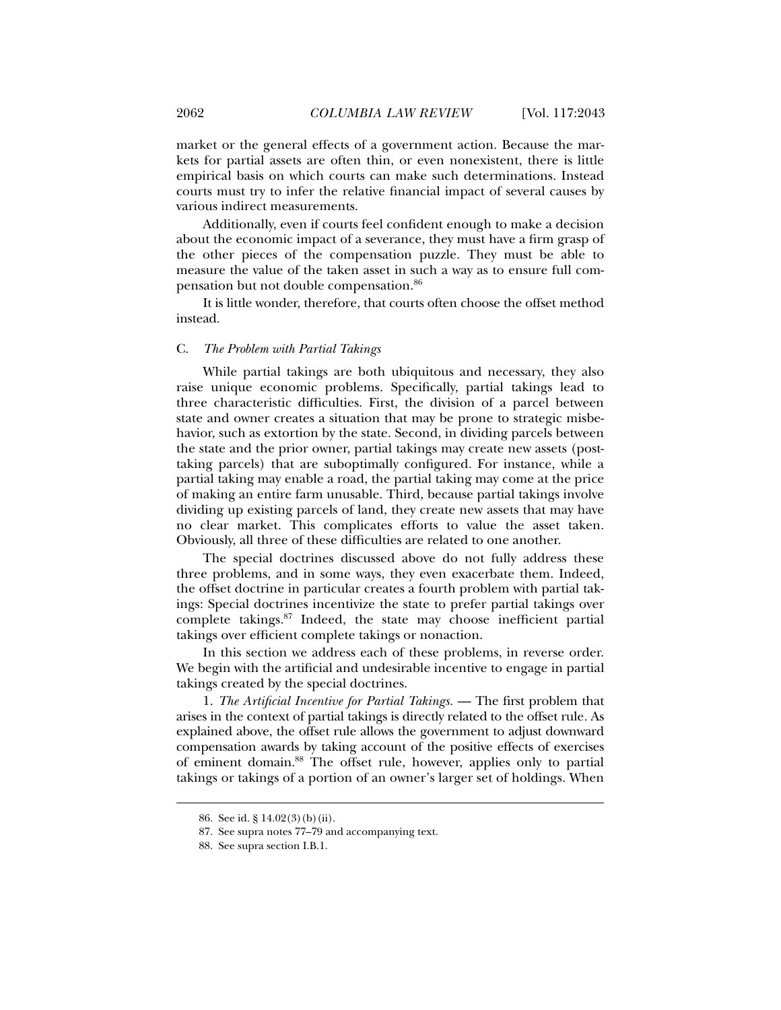market or the general effects of a government action. Because the markets for partial assets are often thin, or even nonexistent, there is little empirical basis on which courts can make such determinations. Instead courts must try to infer the relative financial impact of several causes by various indirect measurements.

Additionally, even if courts feel confident enough to make a decision about the economic impact of a severance, they must have a firm grasp of the other pieces of the compensation puzzle. They must be able to measure the value of the taken asset in such a way as to ensure full compensation but not double compensation.86

It is little wonder, therefore, that courts often choose the offset method instead.

#### C. *The Problem with Partial Takings*

While partial takings are both ubiquitous and necessary, they also raise unique economic problems. Specifically, partial takings lead to three characteristic difficulties. First, the division of a parcel between state and owner creates a situation that may be prone to strategic misbehavior, such as extortion by the state. Second, in dividing parcels between the state and the prior owner, partial takings may create new assets (posttaking parcels) that are suboptimally configured. For instance, while a partial taking may enable a road, the partial taking may come at the price of making an entire farm unusable. Third, because partial takings involve dividing up existing parcels of land, they create new assets that may have no clear market. This complicates efforts to value the asset taken. Obviously, all three of these difficulties are related to one another.

The special doctrines discussed above do not fully address these three problems, and in some ways, they even exacerbate them. Indeed, the offset doctrine in particular creates a fourth problem with partial takings: Special doctrines incentivize the state to prefer partial takings over complete takings.87 Indeed, the state may choose inefficient partial takings over efficient complete takings or nonaction.

In this section we address each of these problems, in reverse order. We begin with the artificial and undesirable incentive to engage in partial takings created by the special doctrines.

1. *The Artificial Incentive for Partial Takings.* — The first problem that arises in the context of partial takings is directly related to the offset rule*.* As explained above, the offset rule allows the government to adjust downward compensation awards by taking account of the positive effects of exercises of eminent domain.88 The offset rule, however, applies only to partial takings or takings of a portion of an owner's larger set of holdings. When

 <sup>86.</sup> See id. § 14.02(3)(b)(ii).

 <sup>87.</sup> See supra notes 77–79 and accompanying text.

 <sup>88.</sup> See supra section I.B.1.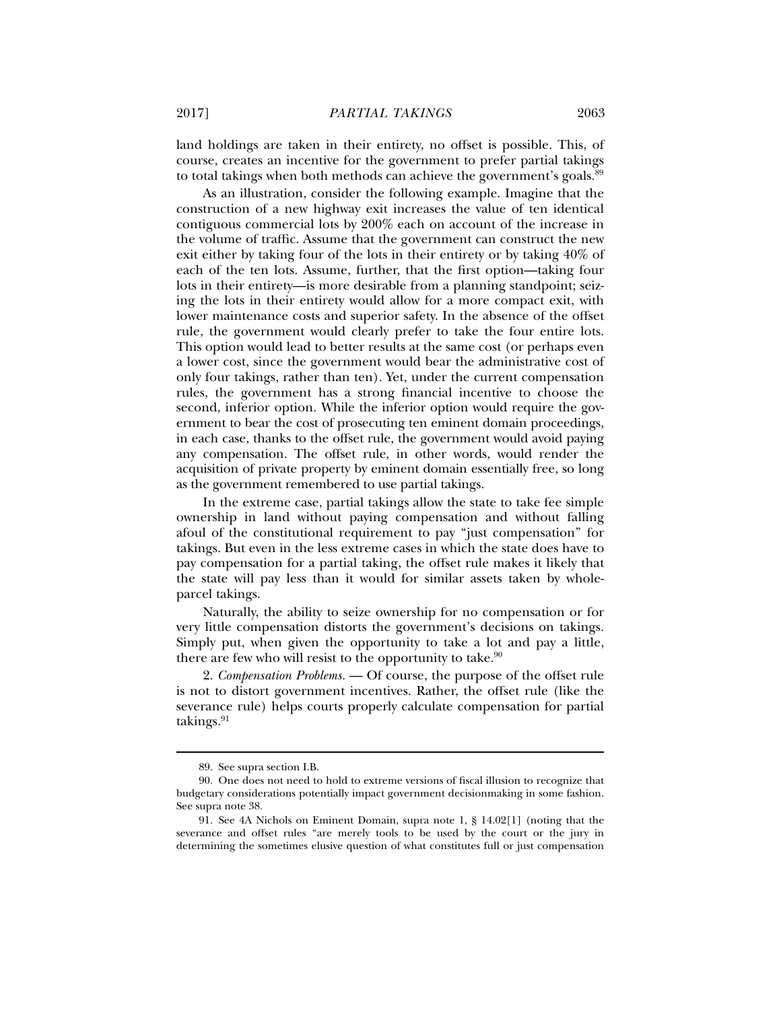land holdings are taken in their entirety, no offset is possible. This, of course, creates an incentive for the government to prefer partial takings to total takings when both methods can achieve the government's goals.<sup>89</sup>

As an illustration, consider the following example. Imagine that the construction of a new highway exit increases the value of ten identical contiguous commercial lots by 200% each on account of the increase in the volume of traffic. Assume that the government can construct the new exit either by taking four of the lots in their entirety or by taking 40% of each of the ten lots. Assume, further, that the first option—taking four lots in their entirety—is more desirable from a planning standpoint; seizing the lots in their entirety would allow for a more compact exit, with lower maintenance costs and superior safety. In the absence of the offset rule, the government would clearly prefer to take the four entire lots. This option would lead to better results at the same cost (or perhaps even a lower cost, since the government would bear the administrative cost of only four takings, rather than ten). Yet, under the current compensation rules, the government has a strong financial incentive to choose the second, inferior option. While the inferior option would require the government to bear the cost of prosecuting ten eminent domain proceedings, in each case, thanks to the offset rule, the government would avoid paying any compensation. The offset rule, in other words, would render the acquisition of private property by eminent domain essentially free, so long as the government remembered to use partial takings.

In the extreme case, partial takings allow the state to take fee simple ownership in land without paying compensation and without falling afoul of the constitutional requirement to pay "just compensation" for takings. But even in the less extreme cases in which the state does have to pay compensation for a partial taking, the offset rule makes it likely that the state will pay less than it would for similar assets taken by wholeparcel takings.

Naturally, the ability to seize ownership for no compensation or for very little compensation distorts the government's decisions on takings. Simply put, when given the opportunity to take a lot and pay a little, there are few who will resist to the opportunity to take. $90$ 

2. *Compensation Problems.* — Of course, the purpose of the offset rule is not to distort government incentives. Rather, the offset rule (like the severance rule) helps courts properly calculate compensation for partial takings. $91$ 

 <sup>89.</sup> See supra section I.B.

 <sup>90.</sup> One does not need to hold to extreme versions of fiscal illusion to recognize that budgetary considerations potentially impact government decisionmaking in some fashion. See supra note 38.

 <sup>91.</sup> See 4A Nichols on Eminent Domain, supra note 1, § 14.02[1] (noting that the severance and offset rules "are merely tools to be used by the court or the jury in determining the sometimes elusive question of what constitutes full or just compensation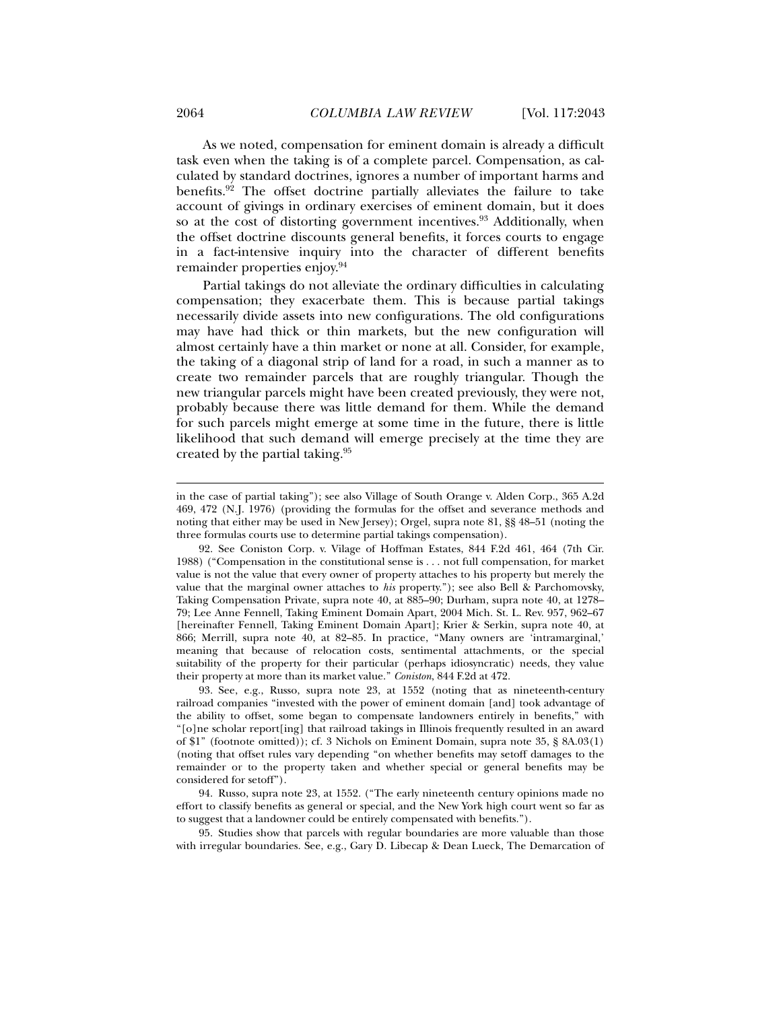As we noted, compensation for eminent domain is already a difficult task even when the taking is of a complete parcel. Compensation, as calculated by standard doctrines, ignores a number of important harms and benefits.92 The offset doctrine partially alleviates the failure to take account of givings in ordinary exercises of eminent domain, but it does so at the cost of distorting government incentives.<sup>93</sup> Additionally, when the offset doctrine discounts general benefits, it forces courts to engage in a fact-intensive inquiry into the character of different benefits remainder properties enjoy.94

Partial takings do not alleviate the ordinary difficulties in calculating compensation; they exacerbate them. This is because partial takings necessarily divide assets into new configurations. The old configurations may have had thick or thin markets, but the new configuration will almost certainly have a thin market or none at all. Consider, for example, the taking of a diagonal strip of land for a road, in such a manner as to create two remainder parcels that are roughly triangular. Though the new triangular parcels might have been created previously, they were not, probably because there was little demand for them. While the demand for such parcels might emerge at some time in the future, there is little likelihood that such demand will emerge precisely at the time they are created by the partial taking.95

 94. Russo, supra note 23, at 1552. ("The early nineteenth century opinions made no effort to classify benefits as general or special, and the New York high court went so far as to suggest that a landowner could be entirely compensated with benefits.").

 95. Studies show that parcels with regular boundaries are more valuable than those with irregular boundaries. See, e.g., Gary D. Libecap & Dean Lueck, The Demarcation of

in the case of partial taking"); see also Village of South Orange v. Alden Corp., 365 A.2d 469, 472 (N.J. 1976) (providing the formulas for the offset and severance methods and noting that either may be used in New Jersey); Orgel, supra note 81, §§ 48–51 (noting the three formulas courts use to determine partial takings compensation).

 <sup>92.</sup> See Coniston Corp. v. Vilage of Hoffman Estates, 844 F.2d 461, 464 (7th Cir. 1988) ("Compensation in the constitutional sense is . . . not full compensation, for market value is not the value that every owner of property attaches to his property but merely the value that the marginal owner attaches to *his* property."); see also Bell & Parchomovsky, Taking Compensation Private, supra note 40, at 885–90; Durham, supra note 40, at 1278– 79; Lee Anne Fennell, Taking Eminent Domain Apart, 2004 Mich. St. L. Rev. 957, 962–67 [hereinafter Fennell, Taking Eminent Domain Apart]; Krier & Serkin, supra note 40, at 866; Merrill, supra note 40, at 82–85. In practice, "Many owners are 'intramarginal,' meaning that because of relocation costs, sentimental attachments, or the special suitability of the property for their particular (perhaps idiosyncratic) needs, they value their property at more than its market value." *Coniston*, 844 F.2d at 472.

 <sup>93.</sup> See, e.g., Russo, supra note 23, at 1552 (noting that as nineteenth-century railroad companies "invested with the power of eminent domain [and] took advantage of the ability to offset, some began to compensate landowners entirely in benefits," with "[o]ne scholar report[ing] that railroad takings in Illinois frequently resulted in an award of \$1" (footnote omitted)); cf. 3 Nichols on Eminent Domain, supra note 35, § 8A.03(1) (noting that offset rules vary depending "on whether benefits may setoff damages to the remainder or to the property taken and whether special or general benefits may be considered for setoff").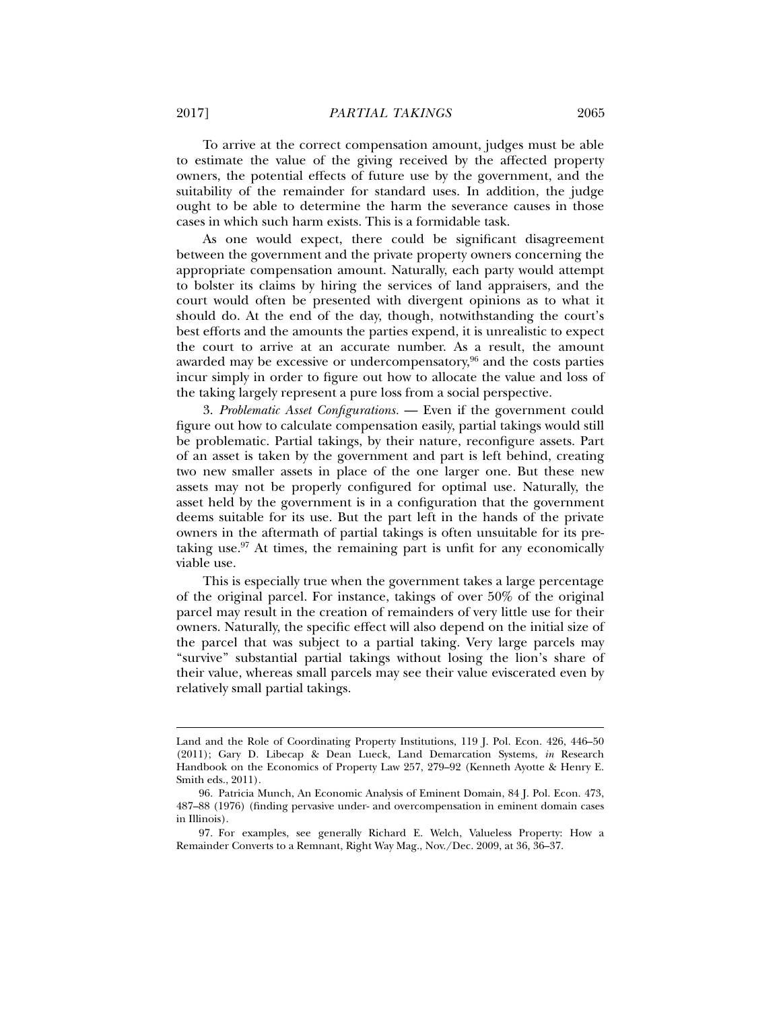To arrive at the correct compensation amount, judges must be able to estimate the value of the giving received by the affected property owners, the potential effects of future use by the government, and the suitability of the remainder for standard uses. In addition, the judge ought to be able to determine the harm the severance causes in those cases in which such harm exists. This is a formidable task.

As one would expect, there could be significant disagreement between the government and the private property owners concerning the appropriate compensation amount. Naturally, each party would attempt to bolster its claims by hiring the services of land appraisers, and the court would often be presented with divergent opinions as to what it should do. At the end of the day, though, notwithstanding the court's best efforts and the amounts the parties expend, it is unrealistic to expect the court to arrive at an accurate number. As a result, the amount awarded may be excessive or undercompensatory, $96$  and the costs parties incur simply in order to figure out how to allocate the value and loss of the taking largely represent a pure loss from a social perspective.

3. *Problematic Asset Configurations.* — Even if the government could figure out how to calculate compensation easily, partial takings would still be problematic. Partial takings, by their nature, reconfigure assets. Part of an asset is taken by the government and part is left behind, creating two new smaller assets in place of the one larger one. But these new assets may not be properly configured for optimal use. Naturally, the asset held by the government is in a configuration that the government deems suitable for its use. But the part left in the hands of the private owners in the aftermath of partial takings is often unsuitable for its pretaking use. $97$  At times, the remaining part is unfit for any economically viable use.

This is especially true when the government takes a large percentage of the original parcel. For instance, takings of over 50% of the original parcel may result in the creation of remainders of very little use for their owners. Naturally, the specific effect will also depend on the initial size of the parcel that was subject to a partial taking. Very large parcels may "survive" substantial partial takings without losing the lion's share of their value, whereas small parcels may see their value eviscerated even by relatively small partial takings.

Land and the Role of Coordinating Property Institutions, 119 J. Pol. Econ. 426, 446–50 (2011); Gary D. Libecap & Dean Lueck, Land Demarcation Systems, *in* Research Handbook on the Economics of Property Law 257, 279–92 (Kenneth Ayotte & Henry E. Smith eds., 2011).

 <sup>96.</sup> Patricia Munch, An Economic Analysis of Eminent Domain, 84 J. Pol. Econ. 473, 487–88 (1976) (finding pervasive under- and overcompensation in eminent domain cases in Illinois).

 <sup>97.</sup> For examples, see generally Richard E. Welch, Valueless Property: How a Remainder Converts to a Remnant, Right Way Mag., Nov./Dec. 2009, at 36, 36–37.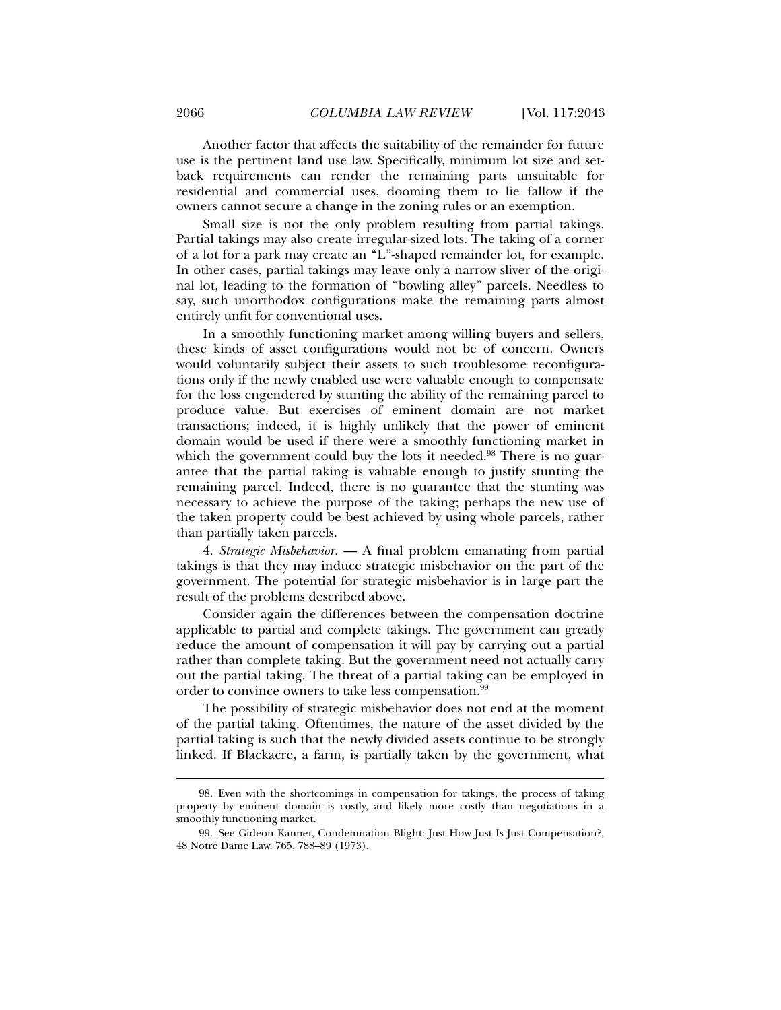Another factor that affects the suitability of the remainder for future use is the pertinent land use law. Specifically, minimum lot size and setback requirements can render the remaining parts unsuitable for residential and commercial uses, dooming them to lie fallow if the owners cannot secure a change in the zoning rules or an exemption.

Small size is not the only problem resulting from partial takings. Partial takings may also create irregular-sized lots. The taking of a corner of a lot for a park may create an "L"-shaped remainder lot, for example. In other cases, partial takings may leave only a narrow sliver of the original lot, leading to the formation of "bowling alley" parcels. Needless to say, such unorthodox configurations make the remaining parts almost entirely unfit for conventional uses.

In a smoothly functioning market among willing buyers and sellers, these kinds of asset configurations would not be of concern. Owners would voluntarily subject their assets to such troublesome reconfigurations only if the newly enabled use were valuable enough to compensate for the loss engendered by stunting the ability of the remaining parcel to produce value. But exercises of eminent domain are not market transactions; indeed, it is highly unlikely that the power of eminent domain would be used if there were a smoothly functioning market in which the government could buy the lots it needed.<sup>98</sup> There is no guarantee that the partial taking is valuable enough to justify stunting the remaining parcel. Indeed, there is no guarantee that the stunting was necessary to achieve the purpose of the taking; perhaps the new use of the taken property could be best achieved by using whole parcels, rather than partially taken parcels.

4. *Strategic Misbehavior.* — A final problem emanating from partial takings is that they may induce strategic misbehavior on the part of the government. The potential for strategic misbehavior is in large part the result of the problems described above.

Consider again the differences between the compensation doctrine applicable to partial and complete takings. The government can greatly reduce the amount of compensation it will pay by carrying out a partial rather than complete taking. But the government need not actually carry out the partial taking. The threat of a partial taking can be employed in order to convince owners to take less compensation.<sup>99</sup>

The possibility of strategic misbehavior does not end at the moment of the partial taking. Oftentimes, the nature of the asset divided by the partial taking is such that the newly divided assets continue to be strongly linked. If Blackacre, a farm, is partially taken by the government, what

 <sup>98.</sup> Even with the shortcomings in compensation for takings, the process of taking property by eminent domain is costly, and likely more costly than negotiations in a smoothly functioning market.

 <sup>99.</sup> See Gideon Kanner, Condemnation Blight: Just How Just Is Just Compensation?, 48 Notre Dame Law. 765, 788–89 (1973).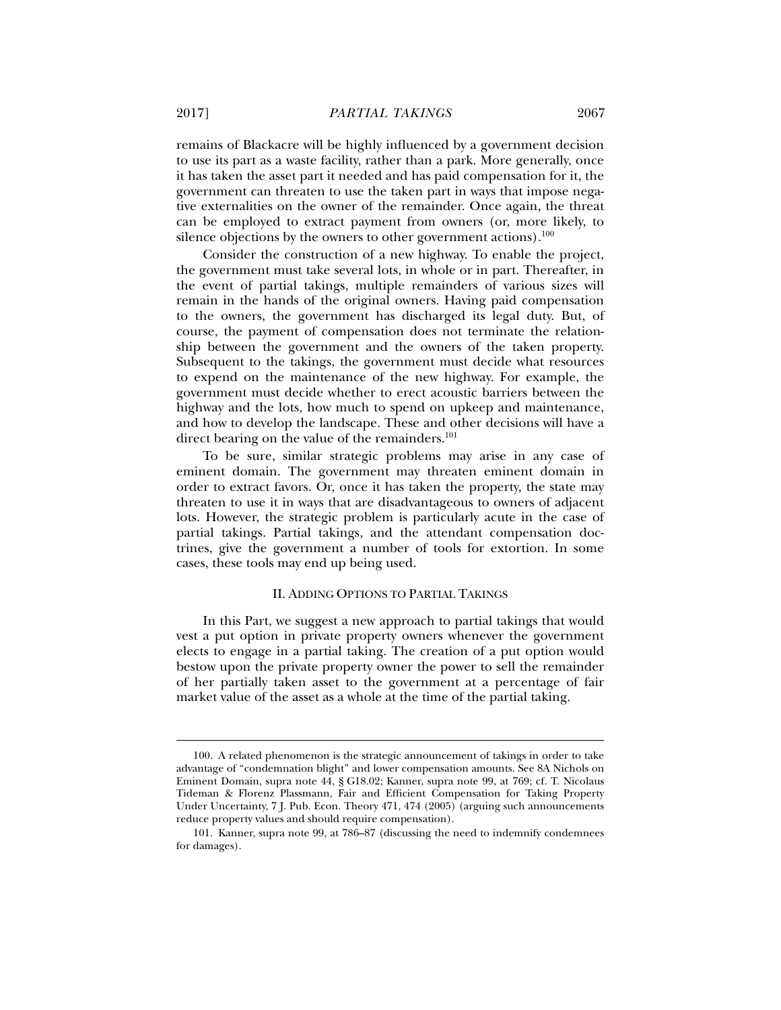remains of Blackacre will be highly influenced by a government decision to use its part as a waste facility, rather than a park. More generally, once it has taken the asset part it needed and has paid compensation for it, the government can threaten to use the taken part in ways that impose negative externalities on the owner of the remainder. Once again, the threat can be employed to extract payment from owners (or, more likely, to silence objections by the owners to other government actions). $100$ 

Consider the construction of a new highway. To enable the project, the government must take several lots, in whole or in part. Thereafter, in the event of partial takings, multiple remainders of various sizes will remain in the hands of the original owners. Having paid compensation to the owners, the government has discharged its legal duty. But, of course, the payment of compensation does not terminate the relationship between the government and the owners of the taken property. Subsequent to the takings, the government must decide what resources to expend on the maintenance of the new highway. For example, the government must decide whether to erect acoustic barriers between the highway and the lots, how much to spend on upkeep and maintenance, and how to develop the landscape. These and other decisions will have a direct bearing on the value of the remainders.<sup>101</sup>

To be sure, similar strategic problems may arise in any case of eminent domain. The government may threaten eminent domain in order to extract favors. Or, once it has taken the property, the state may threaten to use it in ways that are disadvantageous to owners of adjacent lots. However, the strategic problem is particularly acute in the case of partial takings. Partial takings, and the attendant compensation doctrines, give the government a number of tools for extortion. In some cases, these tools may end up being used.

#### II. ADDING OPTIONS TO PARTIAL TAKINGS

In this Part, we suggest a new approach to partial takings that would vest a put option in private property owners whenever the government elects to engage in a partial taking. The creation of a put option would bestow upon the private property owner the power to sell the remainder of her partially taken asset to the government at a percentage of fair market value of the asset as a whole at the time of the partial taking.

 <sup>100.</sup> A related phenomenon is the strategic announcement of takings in order to take advantage of "condemnation blight" and lower compensation amounts. See 8A Nichols on Eminent Domain, supra note 44, § G18.02; Kanner, supra note 99, at 769; cf. T. Nicolaus Tideman & Florenz Plassmann, Fair and Efficient Compensation for Taking Property Under Uncertainty, 7 J. Pub. Econ. Theory 471, 474 (2005) (arguing such announcements reduce property values and should require compensation).

 <sup>101.</sup> Kanner, supra note 99, at 786–87 (discussing the need to indemnify condemnees for damages).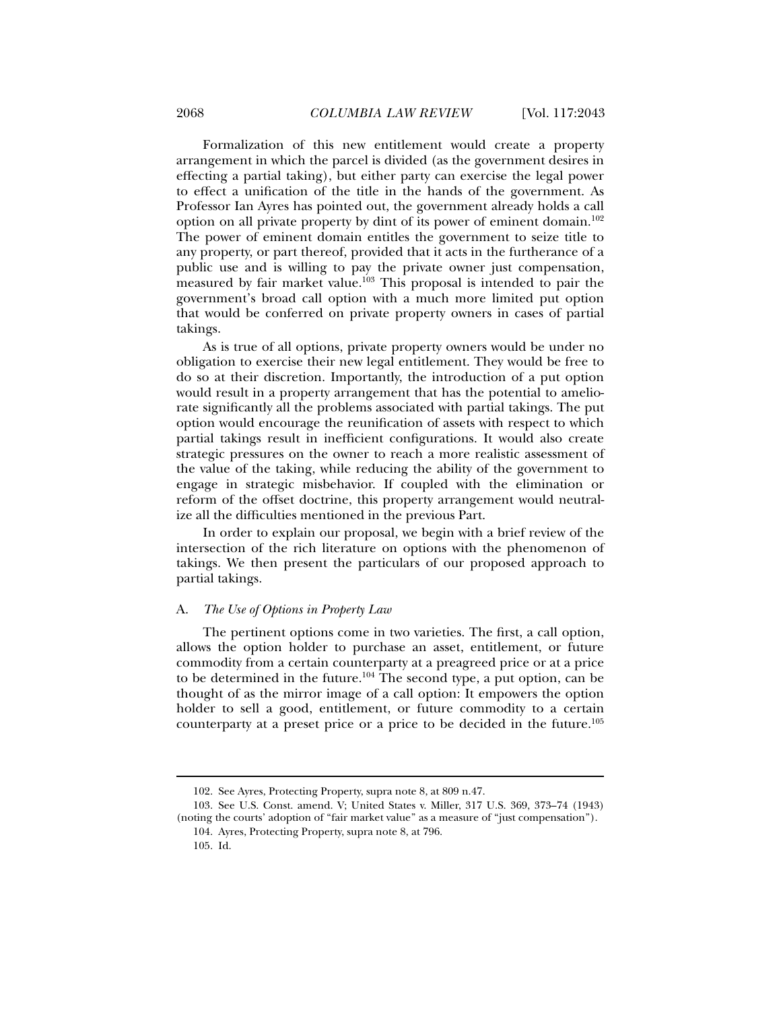Formalization of this new entitlement would create a property arrangement in which the parcel is divided (as the government desires in effecting a partial taking), but either party can exercise the legal power to effect a unification of the title in the hands of the government. As Professor Ian Ayres has pointed out, the government already holds a call option on all private property by dint of its power of eminent domain.<sup>102</sup> The power of eminent domain entitles the government to seize title to any property, or part thereof, provided that it acts in the furtherance of a public use and is willing to pay the private owner just compensation, measured by fair market value.103 This proposal is intended to pair the government's broad call option with a much more limited put option that would be conferred on private property owners in cases of partial takings.

As is true of all options, private property owners would be under no obligation to exercise their new legal entitlement. They would be free to do so at their discretion. Importantly, the introduction of a put option would result in a property arrangement that has the potential to ameliorate significantly all the problems associated with partial takings. The put option would encourage the reunification of assets with respect to which partial takings result in inefficient configurations. It would also create strategic pressures on the owner to reach a more realistic assessment of the value of the taking, while reducing the ability of the government to engage in strategic misbehavior. If coupled with the elimination or reform of the offset doctrine, this property arrangement would neutralize all the difficulties mentioned in the previous Part.

In order to explain our proposal, we begin with a brief review of the intersection of the rich literature on options with the phenomenon of takings. We then present the particulars of our proposed approach to partial takings.

#### A. *The Use of Options in Property Law*

The pertinent options come in two varieties. The first, a call option, allows the option holder to purchase an asset, entitlement, or future commodity from a certain counterparty at a preagreed price or at a price to be determined in the future.<sup>104</sup> The second type, a put option, can be thought of as the mirror image of a call option: It empowers the option holder to sell a good, entitlement, or future commodity to a certain counterparty at a preset price or a price to be decided in the future.105

 <sup>102.</sup> See Ayres, Protecting Property, supra note 8, at 809 n.47.

 <sup>103.</sup> See U.S. Const. amend. V; United States v. Miller, 317 U.S. 369, 373–74 (1943) (noting the courts' adoption of "fair market value" as a measure of "just compensation").

 <sup>104.</sup> Ayres, Protecting Property, supra note 8, at 796.

 <sup>105.</sup> Id.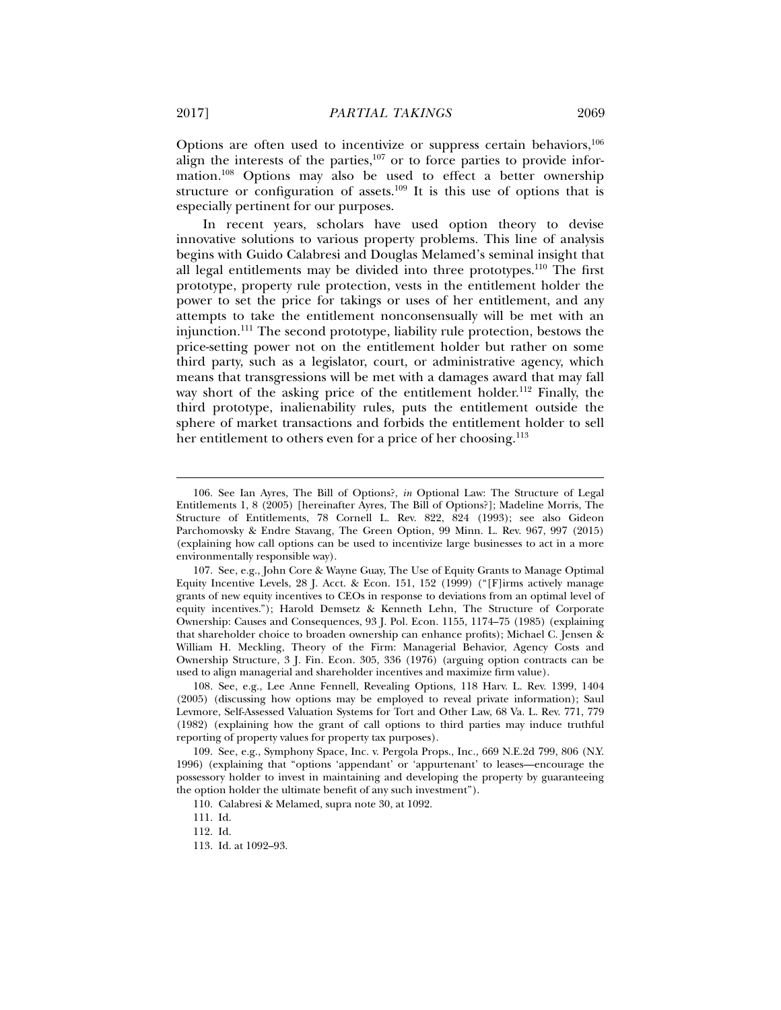Options are often used to incentivize or suppress certain behaviors,106 align the interests of the parties, $107$  or to force parties to provide information.108 Options may also be used to effect a better ownership structure or configuration of assets.<sup>109</sup> It is this use of options that is especially pertinent for our purposes.

In recent years, scholars have used option theory to devise innovative solutions to various property problems. This line of analysis begins with Guido Calabresi and Douglas Melamed's seminal insight that all legal entitlements may be divided into three prototypes.<sup>110</sup> The first prototype, property rule protection, vests in the entitlement holder the power to set the price for takings or uses of her entitlement, and any attempts to take the entitlement nonconsensually will be met with an injunction.111 The second prototype, liability rule protection, bestows the price-setting power not on the entitlement holder but rather on some third party, such as a legislator, court, or administrative agency, which means that transgressions will be met with a damages award that may fall way short of the asking price of the entitlement holder.<sup>112</sup> Finally, the third prototype, inalienability rules, puts the entitlement outside the sphere of market transactions and forbids the entitlement holder to sell her entitlement to others even for a price of her choosing.<sup>113</sup>

 <sup>106.</sup> See Ian Ayres, The Bill of Options?, *in* Optional Law: The Structure of Legal Entitlements 1, 8 (2005) [hereinafter Ayres, The Bill of Options?]; Madeline Morris, The Structure of Entitlements, 78 Cornell L. Rev. 822, 824 (1993); see also Gideon Parchomovsky & Endre Stavang, The Green Option, 99 Minn. L. Rev. 967, 997 (2015) (explaining how call options can be used to incentivize large businesses to act in a more environmentally responsible way).

 <sup>107.</sup> See, e.g., John Core & Wayne Guay, The Use of Equity Grants to Manage Optimal Equity Incentive Levels, 28 J. Acct. & Econ. 151, 152 (1999) ("[F]irms actively manage grants of new equity incentives to CEOs in response to deviations from an optimal level of equity incentives."); Harold Demsetz & Kenneth Lehn, The Structure of Corporate Ownership: Causes and Consequences, 93 J. Pol. Econ. 1155, 1174–75 (1985) (explaining that shareholder choice to broaden ownership can enhance profits); Michael C. Jensen & William H. Meckling, Theory of the Firm: Managerial Behavior, Agency Costs and Ownership Structure, 3 J. Fin. Econ. 305, 336 (1976) (arguing option contracts can be used to align managerial and shareholder incentives and maximize firm value).

 <sup>108.</sup> See, e.g., Lee Anne Fennell, Revealing Options, 118 Harv. L. Rev. 1399, 1404 (2005) (discussing how options may be employed to reveal private information); Saul Levmore, Self-Assessed Valuation Systems for Tort and Other Law, 68 Va. L. Rev. 771, 779 (1982) (explaining how the grant of call options to third parties may induce truthful reporting of property values for property tax purposes).

 <sup>109.</sup> See, e.g., Symphony Space, Inc. v. Pergola Props., Inc., 669 N.E.2d 799, 806 (N.Y. 1996) (explaining that "options 'appendant' or 'appurtenant' to leases—encourage the possessory holder to invest in maintaining and developing the property by guaranteeing the option holder the ultimate benefit of any such investment").

 <sup>110.</sup> Calabresi & Melamed, supra note 30, at 1092.

 <sup>111.</sup> Id.

 <sup>112.</sup> Id.

 <sup>113.</sup> Id. at 1092–93.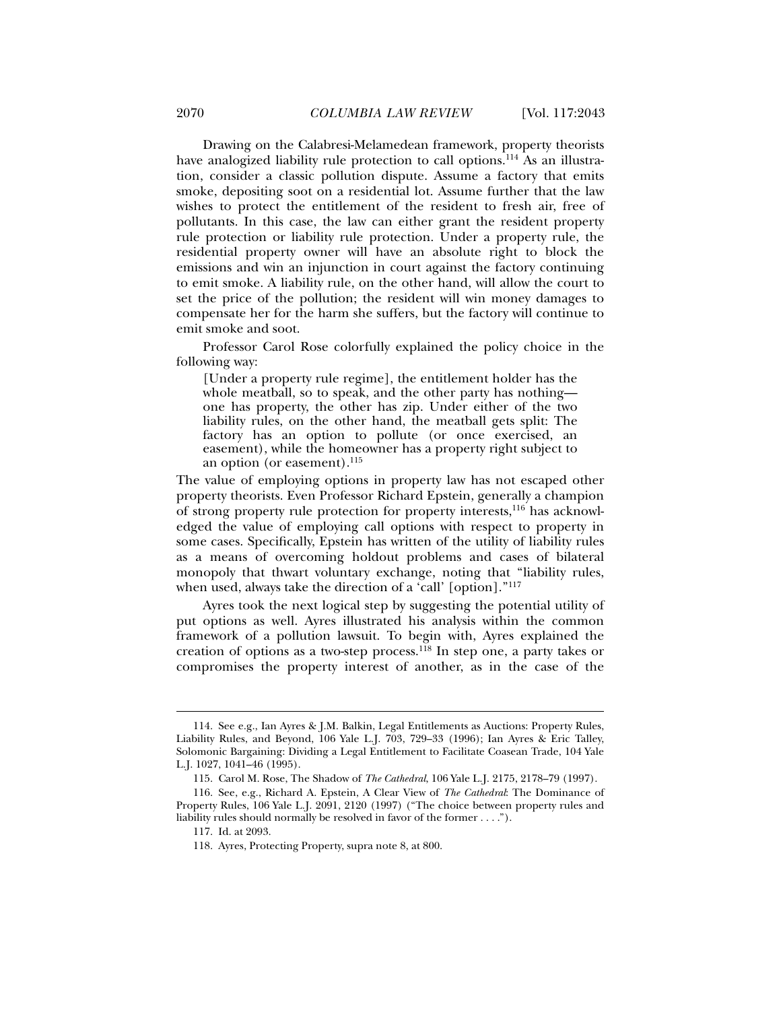Drawing on the Calabresi-Melamedean framework, property theorists have analogized liability rule protection to call options.<sup>114</sup> As an illustration, consider a classic pollution dispute. Assume a factory that emits smoke, depositing soot on a residential lot. Assume further that the law wishes to protect the entitlement of the resident to fresh air, free of pollutants. In this case, the law can either grant the resident property rule protection or liability rule protection. Under a property rule, the residential property owner will have an absolute right to block the emissions and win an injunction in court against the factory continuing to emit smoke. A liability rule, on the other hand, will allow the court to set the price of the pollution; the resident will win money damages to compensate her for the harm she suffers, but the factory will continue to emit smoke and soot.

Professor Carol Rose colorfully explained the policy choice in the following way:

[Under a property rule regime], the entitlement holder has the whole meatball, so to speak, and the other party has nothing one has property, the other has zip. Under either of the two liability rules, on the other hand, the meatball gets split: The factory has an option to pollute (or once exercised, an easement), while the homeowner has a property right subject to an option (or easement).<sup>115</sup>

The value of employing options in property law has not escaped other property theorists. Even Professor Richard Epstein, generally a champion of strong property rule protection for property interests,116 has acknowledged the value of employing call options with respect to property in some cases. Specifically, Epstein has written of the utility of liability rules as a means of overcoming holdout problems and cases of bilateral monopoly that thwart voluntary exchange, noting that "liability rules, when used, always take the direction of a 'call' [option]."<sup>117</sup>

Ayres took the next logical step by suggesting the potential utility of put options as well. Ayres illustrated his analysis within the common framework of a pollution lawsuit. To begin with, Ayres explained the creation of options as a two-step process.118 In step one, a party takes or compromises the property interest of another, as in the case of the

 <sup>114.</sup> See e.g., Ian Ayres & J.M. Balkin, Legal Entitlements as Auctions: Property Rules, Liability Rules, and Beyond, 106 Yale L.J. 703, 729–33 (1996); Ian Ayres & Eric Talley, Solomonic Bargaining: Dividing a Legal Entitlement to Facilitate Coasean Trade, 104 Yale L.J. 1027, 1041–46 (1995).

 <sup>115.</sup> Carol M. Rose, The Shadow of *The Cathedral*, 106 Yale L.J. 2175, 2178–79 (1997).

 <sup>116.</sup> See, e.g., Richard A. Epstein, A Clear View of *The Cathedral*: The Dominance of Property Rules, 106 Yale L.J. 2091, 2120 (1997) ("The choice between property rules and liability rules should normally be resolved in favor of the former . . . .").

 <sup>117.</sup> Id. at 2093.

 <sup>118.</sup> Ayres, Protecting Property, supra note 8, at 800.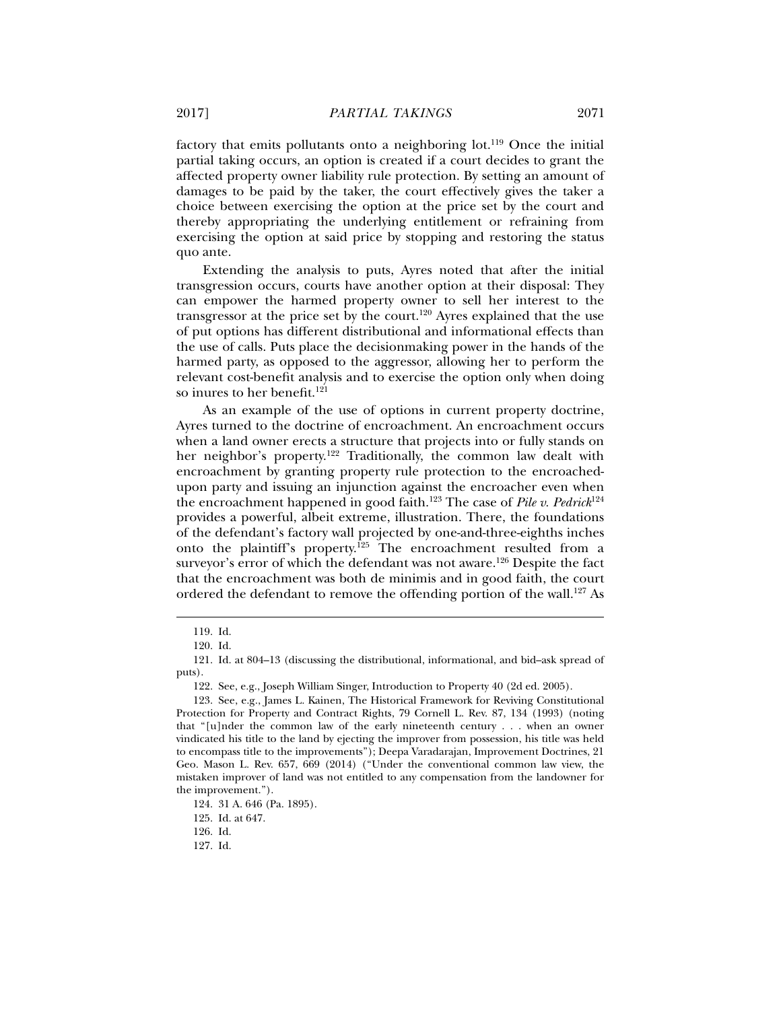factory that emits pollutants onto a neighboring lot.<sup>119</sup> Once the initial partial taking occurs, an option is created if a court decides to grant the affected property owner liability rule protection. By setting an amount of damages to be paid by the taker, the court effectively gives the taker a choice between exercising the option at the price set by the court and thereby appropriating the underlying entitlement or refraining from exercising the option at said price by stopping and restoring the status quo ante.

Extending the analysis to puts, Ayres noted that after the initial transgression occurs, courts have another option at their disposal: They can empower the harmed property owner to sell her interest to the transgressor at the price set by the court.<sup>120</sup> Ayres explained that the use of put options has different distributional and informational effects than the use of calls. Puts place the decisionmaking power in the hands of the harmed party, as opposed to the aggressor, allowing her to perform the relevant cost-benefit analysis and to exercise the option only when doing so inures to her benefit.<sup>121</sup>

As an example of the use of options in current property doctrine, Ayres turned to the doctrine of encroachment. An encroachment occurs when a land owner erects a structure that projects into or fully stands on her neighbor's property.<sup>122</sup> Traditionally, the common law dealt with encroachment by granting property rule protection to the encroachedupon party and issuing an injunction against the encroacher even when the encroachment happened in good faith.123 The case of *Pile v. Pedrick*<sup>124</sup> provides a powerful, albeit extreme, illustration. There, the foundations of the defendant's factory wall projected by one-and-three-eighths inches onto the plaintiff's property.125 The encroachment resulted from a surveyor's error of which the defendant was not aware.<sup>126</sup> Despite the fact that the encroachment was both de minimis and in good faith, the court ordered the defendant to remove the offending portion of the wall.127 As

j

125. Id. at 647.

126. Id.

127. Id.

 <sup>119.</sup> Id.

 <sup>120.</sup> Id.

 <sup>121.</sup> Id. at 804–13 (discussing the distributional, informational, and bid–ask spread of puts).

 <sup>122.</sup> See, e.g., Joseph William Singer, Introduction to Property 40 (2d ed. 2005).

 <sup>123.</sup> See, e.g., James L. Kainen, The Historical Framework for Reviving Constitutional Protection for Property and Contract Rights, 79 Cornell L. Rev. 87, 134 (1993) (noting that "[u]nder the common law of the early nineteenth century . . . when an owner vindicated his title to the land by ejecting the improver from possession, his title was held to encompass title to the improvements"); Deepa Varadarajan, Improvement Doctrines, 21 Geo. Mason L. Rev. 657, 669 (2014) ("Under the conventional common law view, the mistaken improver of land was not entitled to any compensation from the landowner for the improvement.").

 <sup>124. 31</sup> A. 646 (Pa. 1895).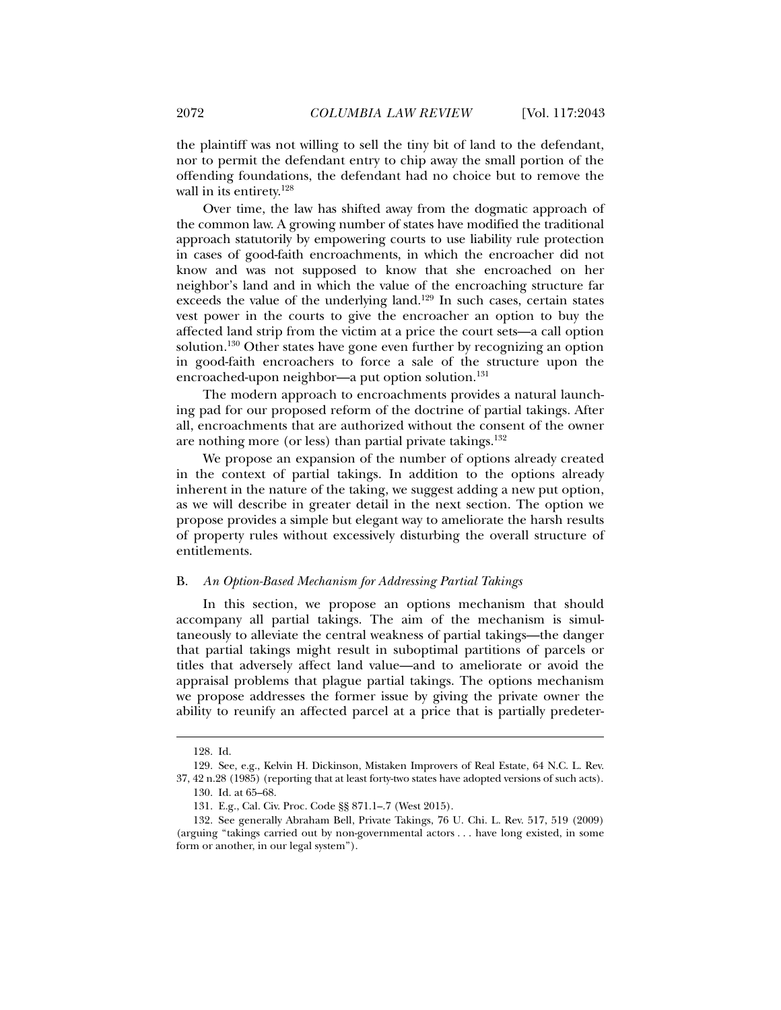the plaintiff was not willing to sell the tiny bit of land to the defendant, nor to permit the defendant entry to chip away the small portion of the offending foundations, the defendant had no choice but to remove the wall in its entirety.<sup>128</sup>

Over time, the law has shifted away from the dogmatic approach of the common law. A growing number of states have modified the traditional approach statutorily by empowering courts to use liability rule protection in cases of good-faith encroachments, in which the encroacher did not know and was not supposed to know that she encroached on her neighbor's land and in which the value of the encroaching structure far exceeds the value of the underlying land.<sup>129</sup> In such cases, certain states vest power in the courts to give the encroacher an option to buy the affected land strip from the victim at a price the court sets—a call option solution.130 Other states have gone even further by recognizing an option in good-faith encroachers to force a sale of the structure upon the encroached-upon neighbor—a put option solution.<sup>131</sup>

The modern approach to encroachments provides a natural launching pad for our proposed reform of the doctrine of partial takings. After all, encroachments that are authorized without the consent of the owner are nothing more (or less) than partial private takings.132

We propose an expansion of the number of options already created in the context of partial takings. In addition to the options already inherent in the nature of the taking, we suggest adding a new put option, as we will describe in greater detail in the next section. The option we propose provides a simple but elegant way to ameliorate the harsh results of property rules without excessively disturbing the overall structure of entitlements.

#### B. *An Option-Based Mechanism for Addressing Partial Takings*

In this section, we propose an options mechanism that should accompany all partial takings. The aim of the mechanism is simultaneously to alleviate the central weakness of partial takings—the danger that partial takings might result in suboptimal partitions of parcels or titles that adversely affect land value—and to ameliorate or avoid the appraisal problems that plague partial takings. The options mechanism we propose addresses the former issue by giving the private owner the ability to reunify an affected parcel at a price that is partially predeter-

 <sup>128.</sup> Id.

 <sup>129.</sup> See, e.g., Kelvin H. Dickinson, Mistaken Improvers of Real Estate, 64 N.C. L. Rev. 37, 42 n.28 (1985) (reporting that at least forty-two states have adopted versions of such acts). 130. Id. at 65–68.

 <sup>131.</sup> E.g., Cal. Civ. Proc. Code §§ 871.1–.7 (West 2015).

 <sup>132.</sup> See generally Abraham Bell, Private Takings, 76 U. Chi. L. Rev. 517, 519 (2009) (arguing "takings carried out by non-governmental actors . . . have long existed, in some form or another, in our legal system").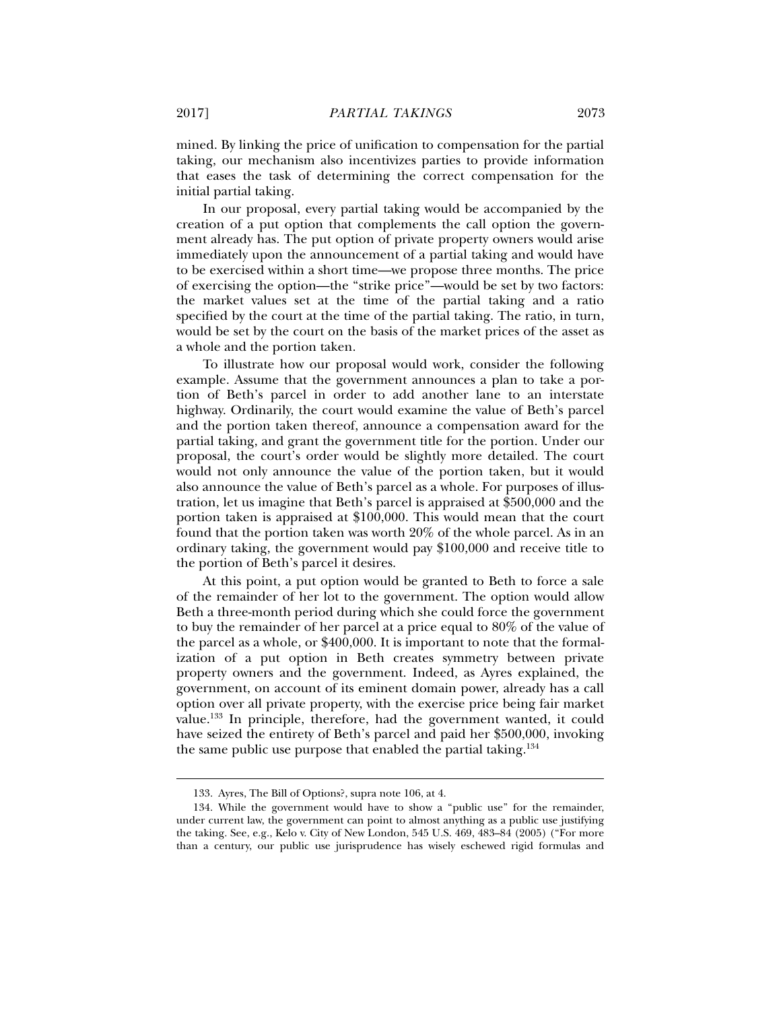mined. By linking the price of unification to compensation for the partial taking, our mechanism also incentivizes parties to provide information that eases the task of determining the correct compensation for the initial partial taking.

In our proposal, every partial taking would be accompanied by the creation of a put option that complements the call option the government already has. The put option of private property owners would arise immediately upon the announcement of a partial taking and would have to be exercised within a short time—we propose three months. The price of exercising the option—the "strike price"—would be set by two factors: the market values set at the time of the partial taking and a ratio specified by the court at the time of the partial taking. The ratio, in turn, would be set by the court on the basis of the market prices of the asset as a whole and the portion taken.

To illustrate how our proposal would work, consider the following example. Assume that the government announces a plan to take a portion of Beth's parcel in order to add another lane to an interstate highway. Ordinarily, the court would examine the value of Beth's parcel and the portion taken thereof, announce a compensation award for the partial taking, and grant the government title for the portion. Under our proposal, the court's order would be slightly more detailed. The court would not only announce the value of the portion taken, but it would also announce the value of Beth's parcel as a whole. For purposes of illustration, let us imagine that Beth's parcel is appraised at \$500,000 and the portion taken is appraised at \$100,000. This would mean that the court found that the portion taken was worth 20% of the whole parcel. As in an ordinary taking, the government would pay \$100,000 and receive title to the portion of Beth's parcel it desires.

At this point, a put option would be granted to Beth to force a sale of the remainder of her lot to the government. The option would allow Beth a three-month period during which she could force the government to buy the remainder of her parcel at a price equal to 80% of the value of the parcel as a whole, or \$400,000. It is important to note that the formalization of a put option in Beth creates symmetry between private property owners and the government. Indeed, as Ayres explained, the government, on account of its eminent domain power, already has a call option over all private property, with the exercise price being fair market value.133 In principle, therefore, had the government wanted, it could have seized the entirety of Beth's parcel and paid her \$500,000, invoking the same public use purpose that enabled the partial taking.134

 <sup>133.</sup> Ayres, The Bill of Options?, supra note 106, at 4.

 <sup>134.</sup> While the government would have to show a "public use" for the remainder, under current law, the government can point to almost anything as a public use justifying the taking. See, e.g., Kelo v. City of New London, 545 U.S. 469, 483–84 (2005) ("For more than a century, our public use jurisprudence has wisely eschewed rigid formulas and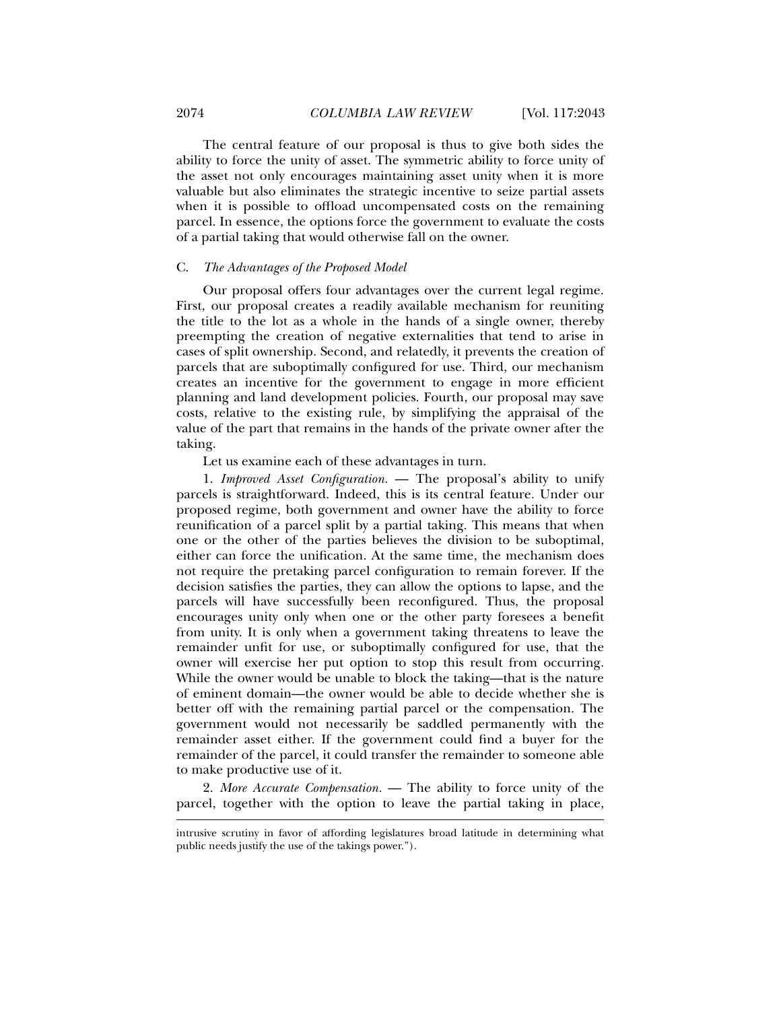The central feature of our proposal is thus to give both sides the ability to force the unity of asset. The symmetric ability to force unity of the asset not only encourages maintaining asset unity when it is more valuable but also eliminates the strategic incentive to seize partial assets when it is possible to offload uncompensated costs on the remaining parcel. In essence, the options force the government to evaluate the costs of a partial taking that would otherwise fall on the owner.

#### C. *The Advantages of the Proposed Model*

Our proposal offers four advantages over the current legal regime. First, our proposal creates a readily available mechanism for reuniting the title to the lot as a whole in the hands of a single owner, thereby preempting the creation of negative externalities that tend to arise in cases of split ownership. Second, and relatedly, it prevents the creation of parcels that are suboptimally configured for use. Third, our mechanism creates an incentive for the government to engage in more efficient planning and land development policies. Fourth, our proposal may save costs, relative to the existing rule, by simplifying the appraisal of the value of the part that remains in the hands of the private owner after the taking.

#### Let us examine each of these advantages in turn.

1. *Improved Asset Configuration.* — The proposal's ability to unify parcels is straightforward. Indeed, this is its central feature. Under our proposed regime, both government and owner have the ability to force reunification of a parcel split by a partial taking. This means that when one or the other of the parties believes the division to be suboptimal, either can force the unification. At the same time, the mechanism does not require the pretaking parcel configuration to remain forever. If the decision satisfies the parties, they can allow the options to lapse, and the parcels will have successfully been reconfigured. Thus, the proposal encourages unity only when one or the other party foresees a benefit from unity. It is only when a government taking threatens to leave the remainder unfit for use, or suboptimally configured for use, that the owner will exercise her put option to stop this result from occurring. While the owner would be unable to block the taking—that is the nature of eminent domain—the owner would be able to decide whether she is better off with the remaining partial parcel or the compensation. The government would not necessarily be saddled permanently with the remainder asset either. If the government could find a buyer for the remainder of the parcel, it could transfer the remainder to someone able to make productive use of it.

2. *More Accurate Compensation.* — The ability to force unity of the parcel, together with the option to leave the partial taking in place,

intrusive scrutiny in favor of affording legislatures broad latitude in determining what public needs justify the use of the takings power.").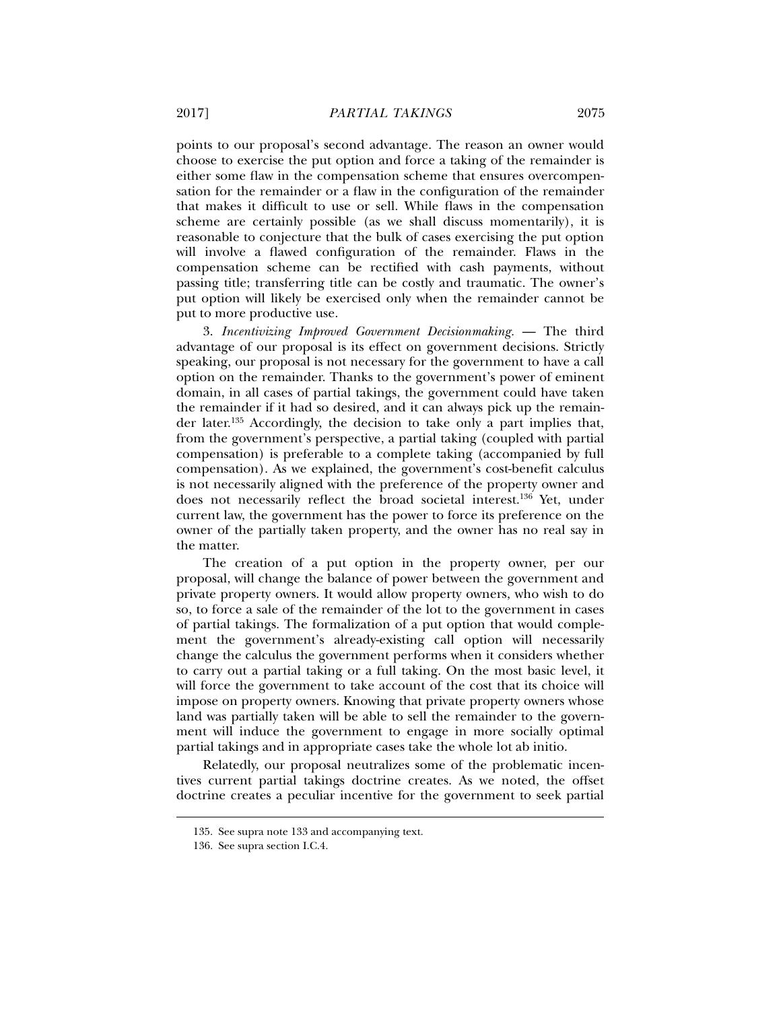points to our proposal's second advantage. The reason an owner would choose to exercise the put option and force a taking of the remainder is either some flaw in the compensation scheme that ensures overcompensation for the remainder or a flaw in the configuration of the remainder that makes it difficult to use or sell. While flaws in the compensation scheme are certainly possible (as we shall discuss momentarily), it is reasonable to conjecture that the bulk of cases exercising the put option will involve a flawed configuration of the remainder. Flaws in the compensation scheme can be rectified with cash payments, without passing title; transferring title can be costly and traumatic. The owner's put option will likely be exercised only when the remainder cannot be put to more productive use.

3. *Incentivizing Improved Government Decisionmaking.* — The third advantage of our proposal is its effect on government decisions. Strictly speaking, our proposal is not necessary for the government to have a call option on the remainder. Thanks to the government's power of eminent domain, in all cases of partial takings, the government could have taken the remainder if it had so desired, and it can always pick up the remainder later.135 Accordingly, the decision to take only a part implies that, from the government's perspective, a partial taking (coupled with partial compensation) is preferable to a complete taking (accompanied by full compensation). As we explained, the government's cost-benefit calculus is not necessarily aligned with the preference of the property owner and does not necessarily reflect the broad societal interest.<sup>136</sup> Yet, under current law, the government has the power to force its preference on the owner of the partially taken property, and the owner has no real say in the matter.

The creation of a put option in the property owner, per our proposal, will change the balance of power between the government and private property owners. It would allow property owners, who wish to do so, to force a sale of the remainder of the lot to the government in cases of partial takings. The formalization of a put option that would complement the government's already-existing call option will necessarily change the calculus the government performs when it considers whether to carry out a partial taking or a full taking. On the most basic level, it will force the government to take account of the cost that its choice will impose on property owners. Knowing that private property owners whose land was partially taken will be able to sell the remainder to the government will induce the government to engage in more socially optimal partial takings and in appropriate cases take the whole lot ab initio.

Relatedly, our proposal neutralizes some of the problematic incentives current partial takings doctrine creates. As we noted, the offset doctrine creates a peculiar incentive for the government to seek partial

 <sup>135.</sup> See supra note 133 and accompanying text.

 <sup>136.</sup> See supra section I.C.4.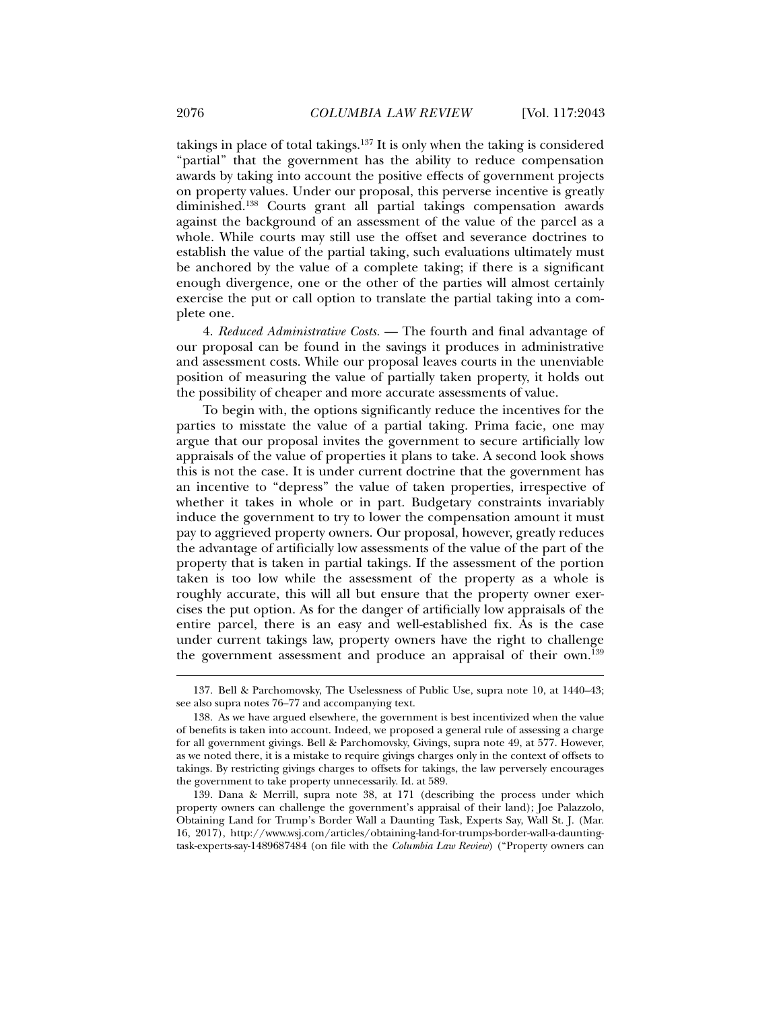takings in place of total takings.137 It is only when the taking is considered "partial" that the government has the ability to reduce compensation awards by taking into account the positive effects of government projects on property values. Under our proposal, this perverse incentive is greatly diminished.138 Courts grant all partial takings compensation awards against the background of an assessment of the value of the parcel as a whole. While courts may still use the offset and severance doctrines to establish the value of the partial taking, such evaluations ultimately must be anchored by the value of a complete taking; if there is a significant enough divergence, one or the other of the parties will almost certainly exercise the put or call option to translate the partial taking into a complete one.

4. *Reduced Administrative Costs.* — The fourth and final advantage of our proposal can be found in the savings it produces in administrative and assessment costs. While our proposal leaves courts in the unenviable position of measuring the value of partially taken property, it holds out the possibility of cheaper and more accurate assessments of value.

To begin with, the options significantly reduce the incentives for the parties to misstate the value of a partial taking. Prima facie, one may argue that our proposal invites the government to secure artificially low appraisals of the value of properties it plans to take. A second look shows this is not the case. It is under current doctrine that the government has an incentive to "depress" the value of taken properties, irrespective of whether it takes in whole or in part. Budgetary constraints invariably induce the government to try to lower the compensation amount it must pay to aggrieved property owners. Our proposal, however, greatly reduces the advantage of artificially low assessments of the value of the part of the property that is taken in partial takings. If the assessment of the portion taken is too low while the assessment of the property as a whole is roughly accurate, this will all but ensure that the property owner exercises the put option. As for the danger of artificially low appraisals of the entire parcel, there is an easy and well-established fix. As is the case under current takings law, property owners have the right to challenge the government assessment and produce an appraisal of their own.139

 <sup>137.</sup> Bell & Parchomovsky, The Uselessness of Public Use, supra note 10, at 1440–43; see also supra notes 76–77 and accompanying text.

 <sup>138.</sup> As we have argued elsewhere, the government is best incentivized when the value of benefits is taken into account. Indeed, we proposed a general rule of assessing a charge for all government givings. Bell & Parchomovsky, Givings, supra note 49, at 577. However, as we noted there, it is a mistake to require givings charges only in the context of offsets to takings. By restricting givings charges to offsets for takings, the law perversely encourages the government to take property unnecessarily. Id. at 589.

 <sup>139.</sup> Dana & Merrill, supra note 38, at 171 (describing the process under which property owners can challenge the government's appraisal of their land); Joe Palazzolo, Obtaining Land for Trump's Border Wall a Daunting Task, Experts Say, Wall St. J. (Mar. 16, 2017), http://www.wsj.com/articles/obtaining-land-for-trumps-border-wall-a-dauntingtask-experts-say-1489687484 (on file with the *Columbia Law Review*) ("Property owners can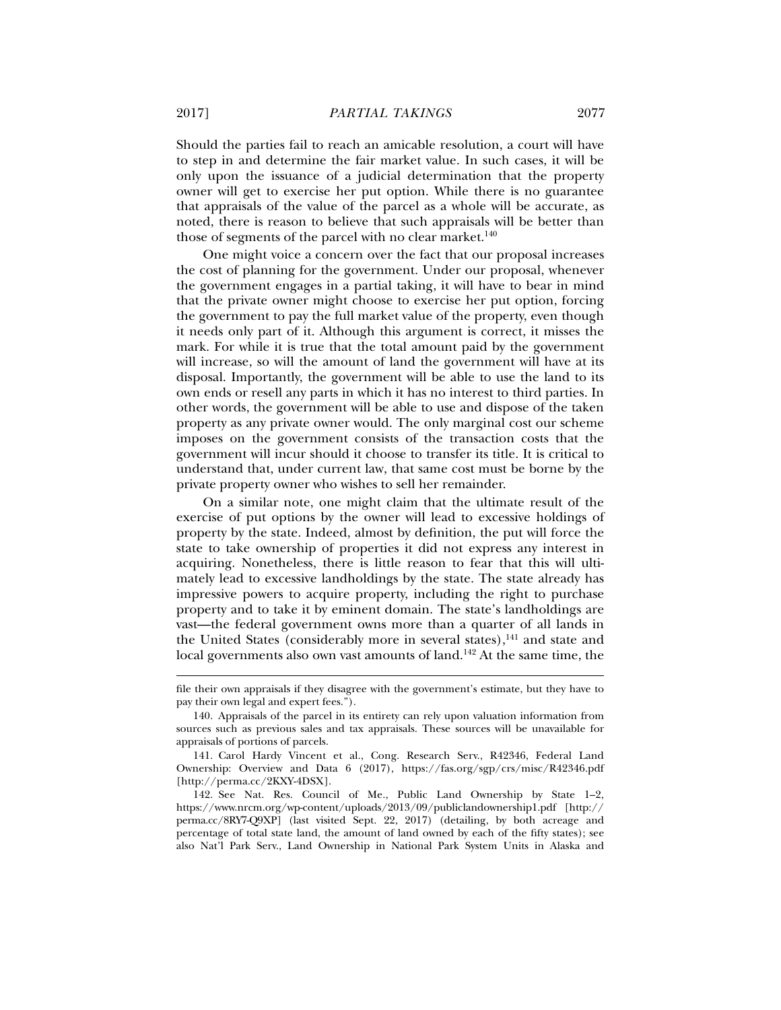Should the parties fail to reach an amicable resolution, a court will have to step in and determine the fair market value. In such cases, it will be only upon the issuance of a judicial determination that the property owner will get to exercise her put option. While there is no guarantee that appraisals of the value of the parcel as a whole will be accurate, as noted, there is reason to believe that such appraisals will be better than those of segments of the parcel with no clear market.<sup>140</sup>

One might voice a concern over the fact that our proposal increases the cost of planning for the government. Under our proposal, whenever the government engages in a partial taking, it will have to bear in mind that the private owner might choose to exercise her put option, forcing the government to pay the full market value of the property, even though it needs only part of it. Although this argument is correct, it misses the mark. For while it is true that the total amount paid by the government will increase, so will the amount of land the government will have at its disposal. Importantly, the government will be able to use the land to its own ends or resell any parts in which it has no interest to third parties. In other words, the government will be able to use and dispose of the taken property as any private owner would. The only marginal cost our scheme imposes on the government consists of the transaction costs that the government will incur should it choose to transfer its title. It is critical to understand that, under current law, that same cost must be borne by the private property owner who wishes to sell her remainder.

On a similar note, one might claim that the ultimate result of the exercise of put options by the owner will lead to excessive holdings of property by the state. Indeed, almost by definition, the put will force the state to take ownership of properties it did not express any interest in acquiring. Nonetheless, there is little reason to fear that this will ultimately lead to excessive landholdings by the state. The state already has impressive powers to acquire property, including the right to purchase property and to take it by eminent domain. The state's landholdings are vast—the federal government owns more than a quarter of all lands in the United States (considerably more in several states),<sup>141</sup> and state and local governments also own vast amounts of land.<sup>142</sup> At the same time, the

file their own appraisals if they disagree with the government's estimate, but they have to pay their own legal and expert fees.").

 <sup>140.</sup> Appraisals of the parcel in its entirety can rely upon valuation information from sources such as previous sales and tax appraisals. These sources will be unavailable for appraisals of portions of parcels.

 <sup>141.</sup> Carol Hardy Vincent et al., Cong. Research Serv., R42346, Federal Land Ownership: Overview and Data 6 (2017), https://fas.org/sgp/crs/misc/R42346.pdf [http://perma.cc/2KXY-4DSX].

 <sup>142.</sup> See Nat. Res. Council of Me., Public Land Ownership by State 1–2, https://www.nrcm.org/wp-content/uploads/2013/09/publiclandownership1.pdf [http:// perma.cc/8RY7-Q9XP] (last visited Sept. 22, 2017) (detailing, by both acreage and percentage of total state land, the amount of land owned by each of the fifty states); see also Nat'l Park Serv., Land Ownership in National Park System Units in Alaska and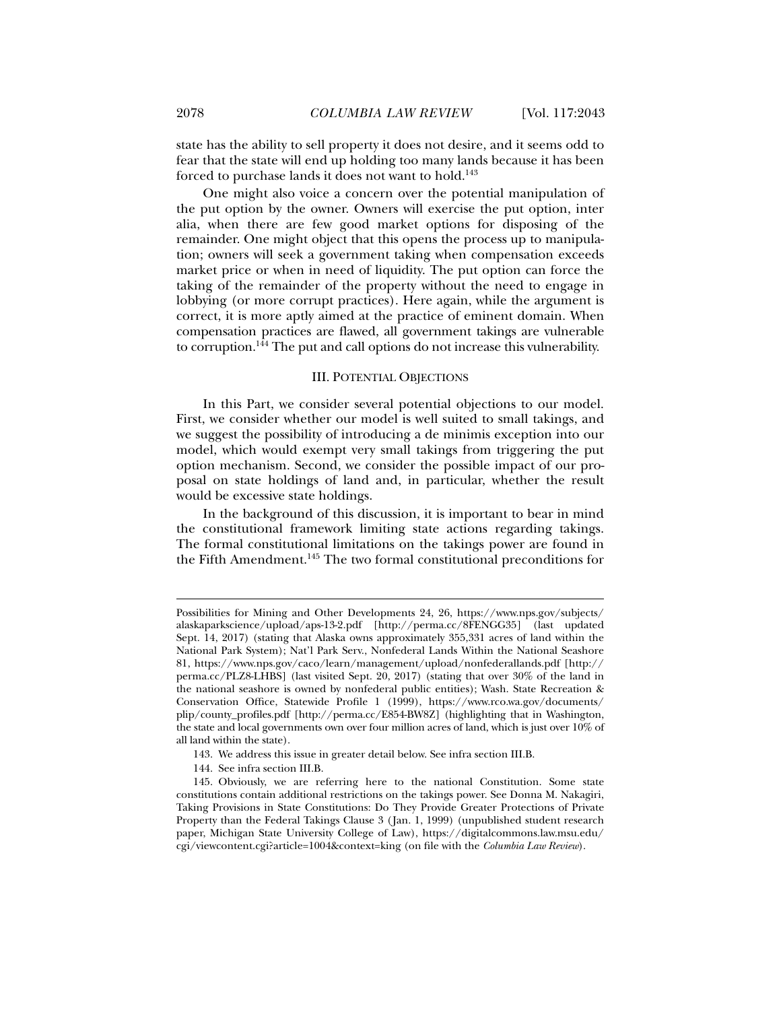state has the ability to sell property it does not desire, and it seems odd to fear that the state will end up holding too many lands because it has been forced to purchase lands it does not want to hold.<sup>143</sup>

One might also voice a concern over the potential manipulation of the put option by the owner. Owners will exercise the put option, inter alia, when there are few good market options for disposing of the remainder. One might object that this opens the process up to manipulation; owners will seek a government taking when compensation exceeds market price or when in need of liquidity. The put option can force the taking of the remainder of the property without the need to engage in lobbying (or more corrupt practices). Here again, while the argument is correct, it is more aptly aimed at the practice of eminent domain. When compensation practices are flawed, all government takings are vulnerable to corruption.<sup>144</sup> The put and call options do not increase this vulnerability.

#### III. POTENTIAL OBJECTIONS

In this Part, we consider several potential objections to our model. First, we consider whether our model is well suited to small takings, and we suggest the possibility of introducing a de minimis exception into our model, which would exempt very small takings from triggering the put option mechanism. Second, we consider the possible impact of our proposal on state holdings of land and, in particular, whether the result would be excessive state holdings.

In the background of this discussion, it is important to bear in mind the constitutional framework limiting state actions regarding takings. The formal constitutional limitations on the takings power are found in the Fifth Amendment.145 The two formal constitutional preconditions for

144. See infra section III.B.

Possibilities for Mining and Other Developments 24, 26, https://www.nps.gov/subjects/ alaskaparkscience/upload/aps-13-2.pdf [http://perma.cc/8FENGG35] (last updated Sept. 14, 2017) (stating that Alaska owns approximately 355,331 acres of land within the National Park System); Nat'l Park Serv., Nonfederal Lands Within the National Seashore 81, https://www.nps.gov/caco/learn/management/upload/nonfederallands.pdf [http:// perma.cc/PLZ8-LHBS] (last visited Sept. 20, 2017) (stating that over 30% of the land in the national seashore is owned by nonfederal public entities); Wash. State Recreation & Conservation Office, Statewide Profile 1 (1999), https://www.rco.wa.gov/documents/ plip/county\_profiles.pdf [http://perma.cc/E854-BW8Z] (highlighting that in Washington, the state and local governments own over four million acres of land, which is just over 10% of all land within the state).

 <sup>143.</sup> We address this issue in greater detail below. See infra section III.B.

 <sup>145.</sup> Obviously, we are referring here to the national Constitution. Some state constitutions contain additional restrictions on the takings power. See Donna M. Nakagiri, Taking Provisions in State Constitutions: Do They Provide Greater Protections of Private Property than the Federal Takings Clause 3 (Jan. 1, 1999) (unpublished student research paper, Michigan State University College of Law), https://digitalcommons.law.msu.edu/ cgi/viewcontent.cgi?article=1004&context=king (on file with the *Columbia Law Review*).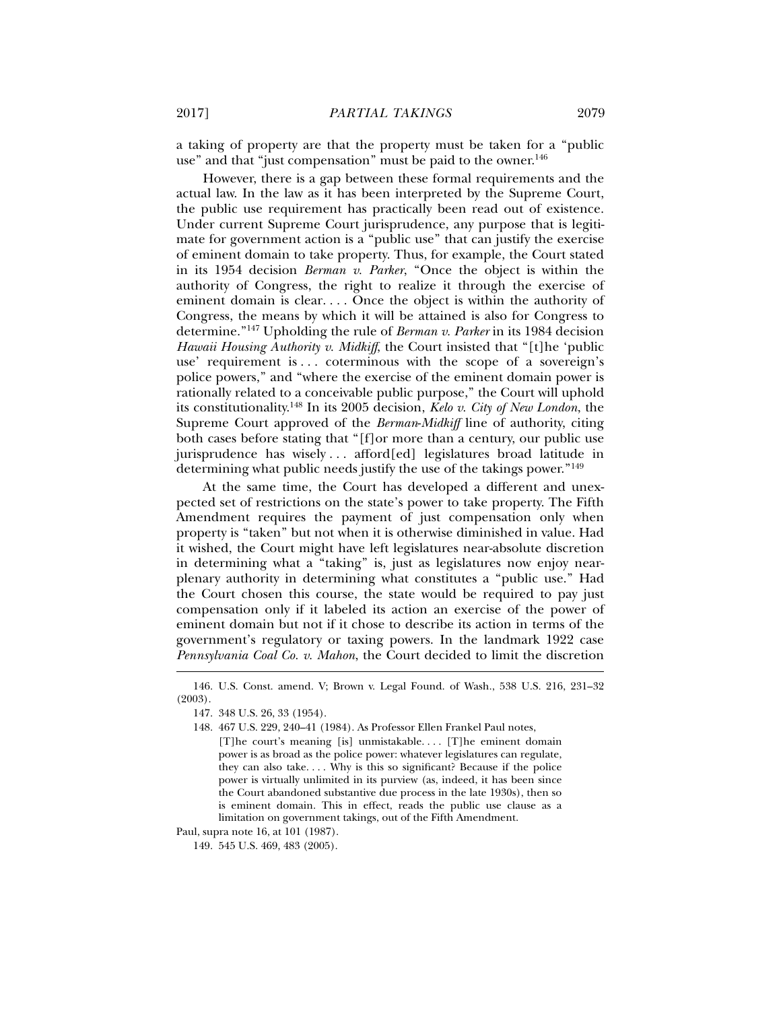a taking of property are that the property must be taken for a "public use" and that "just compensation" must be paid to the owner.<sup>146</sup>

However, there is a gap between these formal requirements and the actual law. In the law as it has been interpreted by the Supreme Court, the public use requirement has practically been read out of existence. Under current Supreme Court jurisprudence, any purpose that is legitimate for government action is a "public use" that can justify the exercise of eminent domain to take property. Thus, for example, the Court stated in its 1954 decision *Berman v. Parker*, "Once the object is within the authority of Congress, the right to realize it through the exercise of eminent domain is clear. . . . Once the object is within the authority of Congress, the means by which it will be attained is also for Congress to determine."147 Upholding the rule of *Berman v. Parker* in its 1984 decision *Hawaii Housing Authority v. Midkiff*, the Court insisted that "[t]he 'public use' requirement is . . . coterminous with the scope of a sovereign's police powers," and "where the exercise of the eminent domain power is rationally related to a conceivable public purpose," the Court will uphold its constitutionality.148 In its 2005 decision, *Kelo v. City of New London*, the Supreme Court approved of the *Berman*-*Midkiff* line of authority, citing both cases before stating that "[f]or more than a century, our public use jurisprudence has wisely . . . afford[ed] legislatures broad latitude in determining what public needs justify the use of the takings power."149

At the same time, the Court has developed a different and unexpected set of restrictions on the state's power to take property. The Fifth Amendment requires the payment of just compensation only when property is "taken" but not when it is otherwise diminished in value. Had it wished, the Court might have left legislatures near-absolute discretion in determining what a "taking" is, just as legislatures now enjoy nearplenary authority in determining what constitutes a "public use." Had the Court chosen this course, the state would be required to pay just compensation only if it labeled its action an exercise of the power of eminent domain but not if it chose to describe its action in terms of the government's regulatory or taxing powers. In the landmark 1922 case *Pennsylvania Coal Co. v. Mahon*, the Court decided to limit the discretion

j

Paul, supra note 16, at 101 (1987).

149. 545 U.S. 469, 483 (2005).

 <sup>146.</sup> U.S. Const. amend. V; Brown v. Legal Found. of Wash., 538 U.S. 216, 231–32 (2003).

 <sup>147. 348</sup> U.S. 26, 33 (1954).

 <sup>148. 467</sup> U.S. 229, 240–41 (1984). As Professor Ellen Frankel Paul notes, [T]he court's meaning [is] unmistakable.... [T]he eminent domain power is as broad as the police power: whatever legislatures can regulate, they can also take. . . . Why is this so significant? Because if the police power is virtually unlimited in its purview (as, indeed, it has been since the Court abandoned substantive due process in the late 1930s), then so is eminent domain. This in effect, reads the public use clause as a limitation on government takings, out of the Fifth Amendment.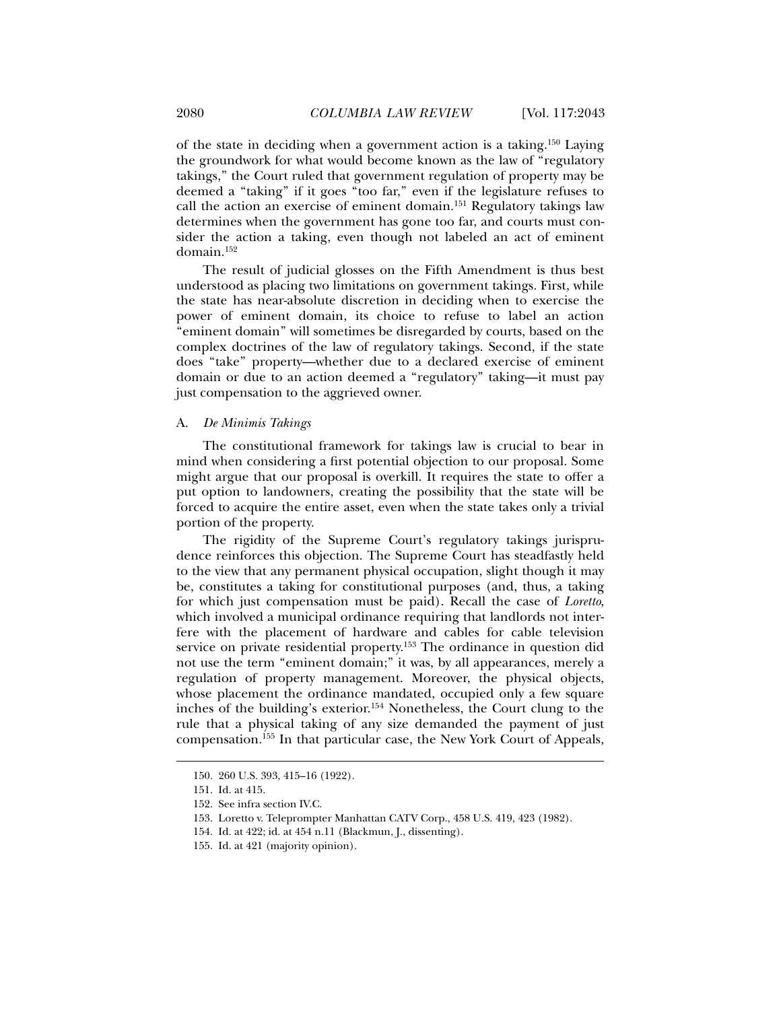of the state in deciding when a government action is a taking.150 Laying the groundwork for what would become known as the law of "regulatory takings," the Court ruled that government regulation of property may be deemed a "taking" if it goes "too far," even if the legislature refuses to call the action an exercise of eminent domain.<sup>151</sup> Regulatory takings law determines when the government has gone too far, and courts must consider the action a taking, even though not labeled an act of eminent domain.152

The result of judicial glosses on the Fifth Amendment is thus best understood as placing two limitations on government takings. First, while the state has near-absolute discretion in deciding when to exercise the power of eminent domain, its choice to refuse to label an action "eminent domain" will sometimes be disregarded by courts, based on the complex doctrines of the law of regulatory takings. Second, if the state does "take" property—whether due to a declared exercise of eminent domain or due to an action deemed a "regulatory" taking—it must pay just compensation to the aggrieved owner.

#### A. *De Minimis Takings*

The constitutional framework for takings law is crucial to bear in mind when considering a first potential objection to our proposal. Some might argue that our proposal is overkill. It requires the state to offer a put option to landowners, creating the possibility that the state will be forced to acquire the entire asset, even when the state takes only a trivial portion of the property.

The rigidity of the Supreme Court's regulatory takings jurisprudence reinforces this objection. The Supreme Court has steadfastly held to the view that any permanent physical occupation, slight though it may be, constitutes a taking for constitutional purposes (and, thus, a taking for which just compensation must be paid). Recall the case of *Loretto*, which involved a municipal ordinance requiring that landlords not interfere with the placement of hardware and cables for cable television service on private residential property.153 The ordinance in question did not use the term "eminent domain;" it was, by all appearances, merely a regulation of property management. Moreover, the physical objects, whose placement the ordinance mandated, occupied only a few square inches of the building's exterior.154 Nonetheless, the Court clung to the rule that a physical taking of any size demanded the payment of just compensation.155 In that particular case, the New York Court of Appeals,

- 153. Loretto v. Teleprompter Manhattan CATV Corp., 458 U.S. 419, 423 (1982).
- 154. Id. at 422; id. at 454 n.11 (Blackmun, J., dissenting).

 <sup>150. 260</sup> U.S. 393, 415–16 (1922).

 <sup>151.</sup> Id. at 415.

 <sup>152.</sup> See infra section IV.C.

 <sup>155.</sup> Id. at 421 (majority opinion).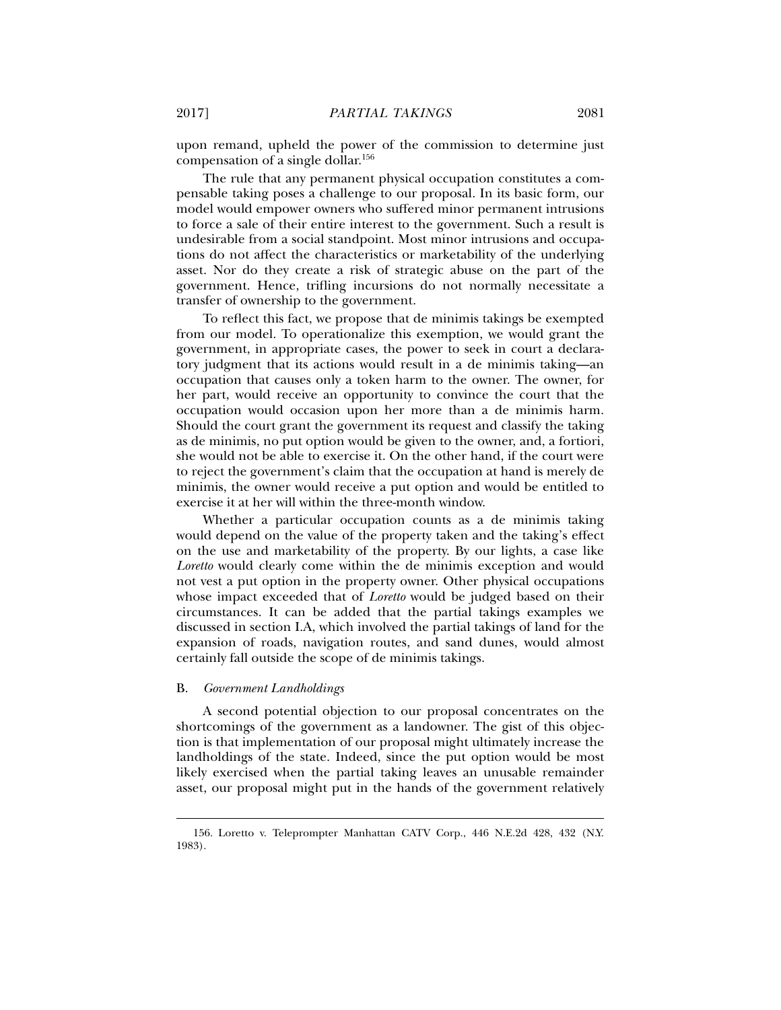upon remand, upheld the power of the commission to determine just compensation of a single dollar.156

The rule that any permanent physical occupation constitutes a compensable taking poses a challenge to our proposal. In its basic form, our model would empower owners who suffered minor permanent intrusions to force a sale of their entire interest to the government. Such a result is undesirable from a social standpoint. Most minor intrusions and occupations do not affect the characteristics or marketability of the underlying asset. Nor do they create a risk of strategic abuse on the part of the government. Hence, trifling incursions do not normally necessitate a transfer of ownership to the government.

To reflect this fact, we propose that de minimis takings be exempted from our model. To operationalize this exemption, we would grant the government, in appropriate cases, the power to seek in court a declaratory judgment that its actions would result in a de minimis taking—an occupation that causes only a token harm to the owner. The owner, for her part, would receive an opportunity to convince the court that the occupation would occasion upon her more than a de minimis harm. Should the court grant the government its request and classify the taking as de minimis, no put option would be given to the owner, and, a fortiori, she would not be able to exercise it. On the other hand, if the court were to reject the government's claim that the occupation at hand is merely de minimis, the owner would receive a put option and would be entitled to exercise it at her will within the three-month window.

Whether a particular occupation counts as a de minimis taking would depend on the value of the property taken and the taking's effect on the use and marketability of the property. By our lights, a case like *Loretto* would clearly come within the de minimis exception and would not vest a put option in the property owner. Other physical occupations whose impact exceeded that of *Loretto* would be judged based on their circumstances. It can be added that the partial takings examples we discussed in section I.A, which involved the partial takings of land for the expansion of roads, navigation routes, and sand dunes, would almost certainly fall outside the scope of de minimis takings.

#### B. *Government Landholdings*

j

A second potential objection to our proposal concentrates on the shortcomings of the government as a landowner. The gist of this objection is that implementation of our proposal might ultimately increase the landholdings of the state. Indeed, since the put option would be most likely exercised when the partial taking leaves an unusable remainder asset, our proposal might put in the hands of the government relatively

 <sup>156.</sup> Loretto v. Teleprompter Manhattan CATV Corp., 446 N.E.2d 428, 432 (N.Y. 1983).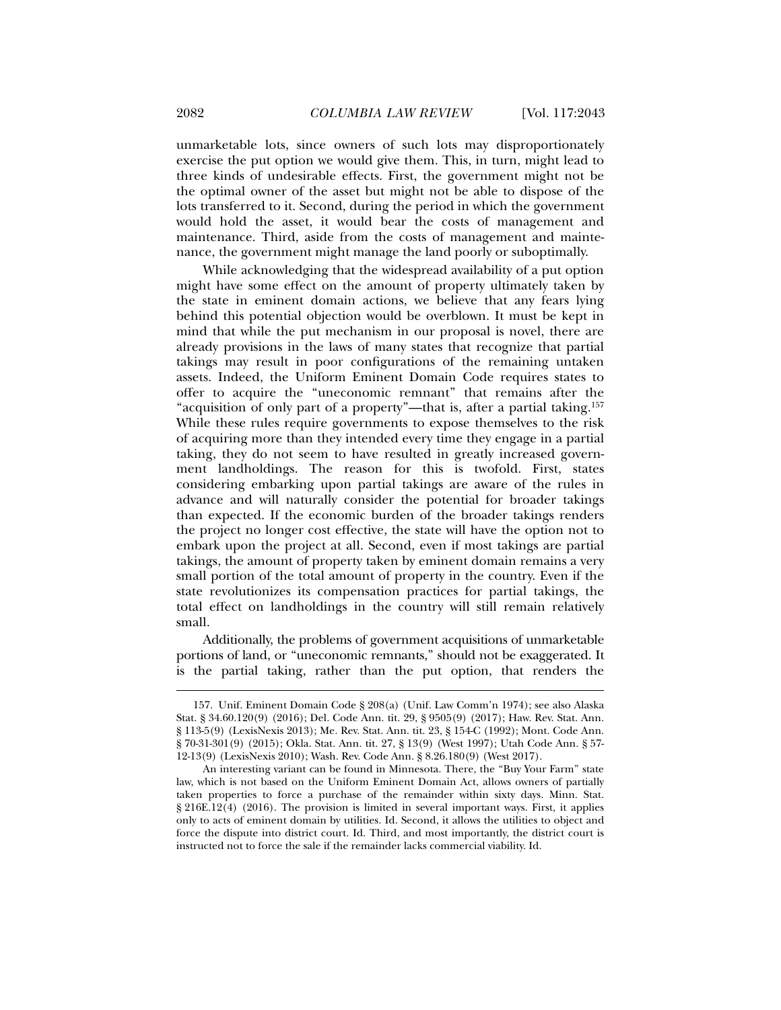unmarketable lots, since owners of such lots may disproportionately exercise the put option we would give them. This, in turn, might lead to three kinds of undesirable effects. First, the government might not be the optimal owner of the asset but might not be able to dispose of the lots transferred to it. Second, during the period in which the government would hold the asset, it would bear the costs of management and maintenance. Third, aside from the costs of management and maintenance, the government might manage the land poorly or suboptimally.

While acknowledging that the widespread availability of a put option might have some effect on the amount of property ultimately taken by the state in eminent domain actions, we believe that any fears lying behind this potential objection would be overblown. It must be kept in mind that while the put mechanism in our proposal is novel, there are already provisions in the laws of many states that recognize that partial takings may result in poor configurations of the remaining untaken assets. Indeed, the Uniform Eminent Domain Code requires states to offer to acquire the "uneconomic remnant" that remains after the "acquisition of only part of a property"—that is, after a partial taking.157 While these rules require governments to expose themselves to the risk of acquiring more than they intended every time they engage in a partial taking, they do not seem to have resulted in greatly increased government landholdings. The reason for this is twofold. First, states considering embarking upon partial takings are aware of the rules in advance and will naturally consider the potential for broader takings than expected. If the economic burden of the broader takings renders the project no longer cost effective, the state will have the option not to embark upon the project at all. Second, even if most takings are partial takings, the amount of property taken by eminent domain remains a very small portion of the total amount of property in the country. Even if the state revolutionizes its compensation practices for partial takings, the total effect on landholdings in the country will still remain relatively small.

Additionally, the problems of government acquisitions of unmarketable portions of land, or "uneconomic remnants," should not be exaggerated. It is the partial taking, rather than the put option, that renders the

 <sup>157.</sup> Unif. Eminent Domain Code § 208(a) (Unif. Law Comm'n 1974); see also Alaska Stat. § 34.60.120(9) (2016); Del. Code Ann. tit. 29, § 9505(9) (2017); Haw. Rev. Stat. Ann. § 113-5(9) (LexisNexis 2013); Me. Rev. Stat. Ann. tit. 23, § 154-C (1992); Mont. Code Ann. § 70-31-301(9) (2015); Okla. Stat. Ann. tit. 27, § 13(9) (West 1997); Utah Code Ann. § 57- 12-13(9) (LexisNexis 2010); Wash. Rev. Code Ann. § 8.26.180(9) (West 2017).

An interesting variant can be found in Minnesota. There, the "Buy Your Farm" state law, which is not based on the Uniform Eminent Domain Act, allows owners of partially taken properties to force a purchase of the remainder within sixty days. Minn. Stat. § 216E.12(4) (2016). The provision is limited in several important ways. First, it applies only to acts of eminent domain by utilities. Id. Second, it allows the utilities to object and force the dispute into district court. Id. Third, and most importantly, the district court is instructed not to force the sale if the remainder lacks commercial viability. Id.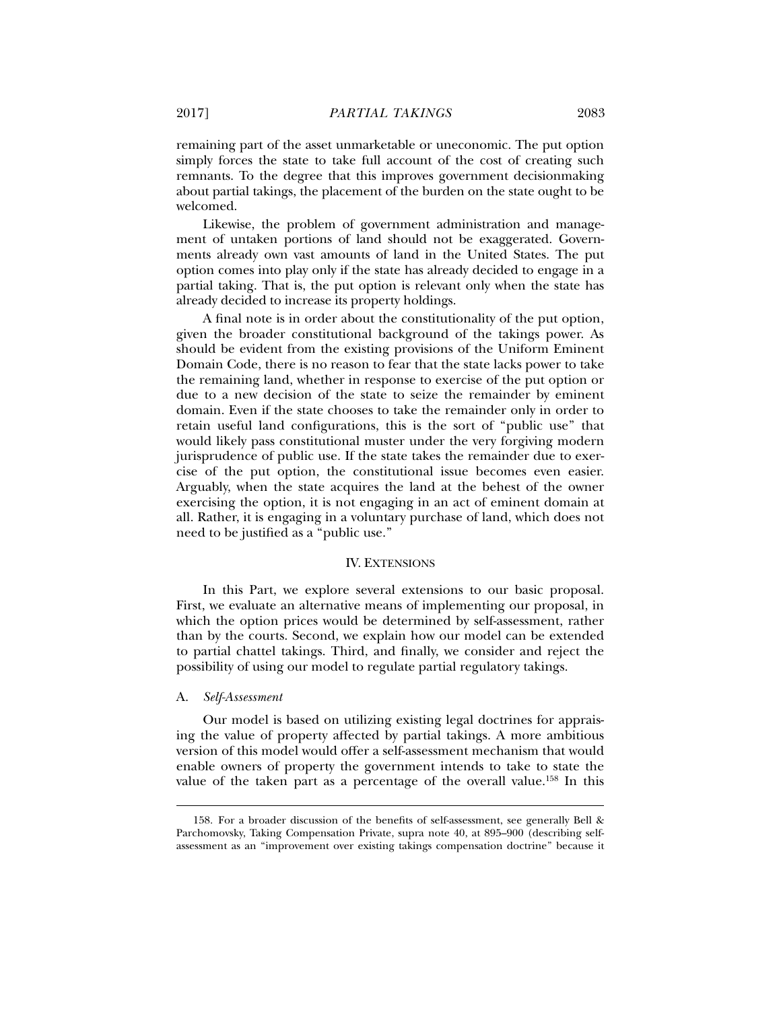remaining part of the asset unmarketable or uneconomic. The put option simply forces the state to take full account of the cost of creating such remnants. To the degree that this improves government decisionmaking about partial takings, the placement of the burden on the state ought to be welcomed.

Likewise, the problem of government administration and management of untaken portions of land should not be exaggerated. Governments already own vast amounts of land in the United States. The put option comes into play only if the state has already decided to engage in a partial taking. That is, the put option is relevant only when the state has already decided to increase its property holdings.

A final note is in order about the constitutionality of the put option, given the broader constitutional background of the takings power. As should be evident from the existing provisions of the Uniform Eminent Domain Code, there is no reason to fear that the state lacks power to take the remaining land, whether in response to exercise of the put option or due to a new decision of the state to seize the remainder by eminent domain. Even if the state chooses to take the remainder only in order to retain useful land configurations, this is the sort of "public use" that would likely pass constitutional muster under the very forgiving modern jurisprudence of public use. If the state takes the remainder due to exercise of the put option, the constitutional issue becomes even easier. Arguably, when the state acquires the land at the behest of the owner exercising the option, it is not engaging in an act of eminent domain at all. Rather, it is engaging in a voluntary purchase of land, which does not need to be justified as a "public use."

#### IV. EXTENSIONS

In this Part, we explore several extensions to our basic proposal. First, we evaluate an alternative means of implementing our proposal, in which the option prices would be determined by self-assessment, rather than by the courts. Second, we explain how our model can be extended to partial chattel takings. Third, and finally, we consider and reject the possibility of using our model to regulate partial regulatory takings.

#### A. *Self-Assessment*

j

Our model is based on utilizing existing legal doctrines for appraising the value of property affected by partial takings. A more ambitious version of this model would offer a self-assessment mechanism that would enable owners of property the government intends to take to state the value of the taken part as a percentage of the overall value.158 In this

 <sup>158.</sup> For a broader discussion of the benefits of self-assessment, see generally Bell & Parchomovsky, Taking Compensation Private, supra note 40, at 895–900 (describing selfassessment as an "improvement over existing takings compensation doctrine" because it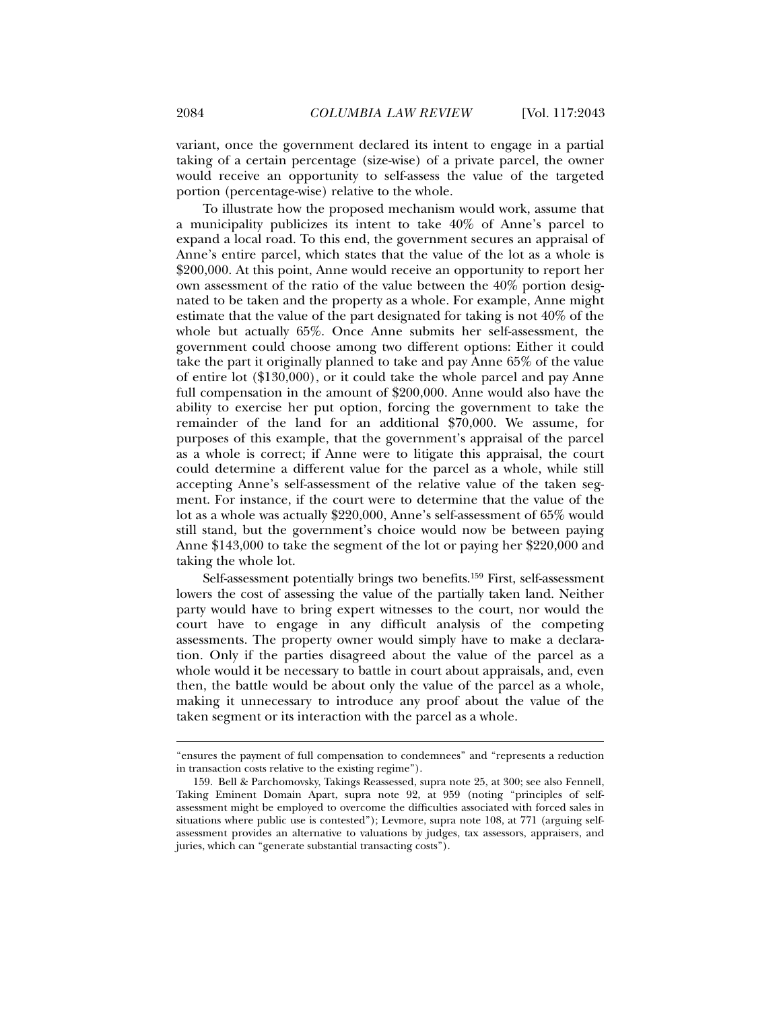variant, once the government declared its intent to engage in a partial taking of a certain percentage (size-wise) of a private parcel, the owner would receive an opportunity to self-assess the value of the targeted portion (percentage-wise) relative to the whole.

To illustrate how the proposed mechanism would work, assume that a municipality publicizes its intent to take 40% of Anne's parcel to expand a local road. To this end, the government secures an appraisal of Anne's entire parcel, which states that the value of the lot as a whole is \$200,000. At this point, Anne would receive an opportunity to report her own assessment of the ratio of the value between the 40% portion designated to be taken and the property as a whole. For example, Anne might estimate that the value of the part designated for taking is not 40% of the whole but actually 65%. Once Anne submits her self-assessment, the government could choose among two different options: Either it could take the part it originally planned to take and pay Anne 65% of the value of entire lot (\$130,000), or it could take the whole parcel and pay Anne full compensation in the amount of \$200,000. Anne would also have the ability to exercise her put option, forcing the government to take the remainder of the land for an additional \$70,000. We assume, for purposes of this example, that the government's appraisal of the parcel as a whole is correct; if Anne were to litigate this appraisal, the court could determine a different value for the parcel as a whole, while still accepting Anne's self-assessment of the relative value of the taken segment. For instance, if the court were to determine that the value of the lot as a whole was actually \$220,000, Anne's self-assessment of 65% would still stand, but the government's choice would now be between paying Anne \$143,000 to take the segment of the lot or paying her \$220,000 and taking the whole lot.

Self-assessment potentially brings two benefits.159 First, self-assessment lowers the cost of assessing the value of the partially taken land. Neither party would have to bring expert witnesses to the court, nor would the court have to engage in any difficult analysis of the competing assessments. The property owner would simply have to make a declaration. Only if the parties disagreed about the value of the parcel as a whole would it be necessary to battle in court about appraisals, and, even then, the battle would be about only the value of the parcel as a whole, making it unnecessary to introduce any proof about the value of the taken segment or its interaction with the parcel as a whole.

<sup>&</sup>quot;ensures the payment of full compensation to condemnees" and "represents a reduction in transaction costs relative to the existing regime").

 <sup>159.</sup> Bell & Parchomovsky, Takings Reassessed, supra note 25, at 300; see also Fennell, Taking Eminent Domain Apart, supra note 92, at 959 (noting "principles of selfassessment might be employed to overcome the difficulties associated with forced sales in situations where public use is contested"); Levmore, supra note 108, at 771 (arguing selfassessment provides an alternative to valuations by judges, tax assessors, appraisers, and juries, which can "generate substantial transacting costs").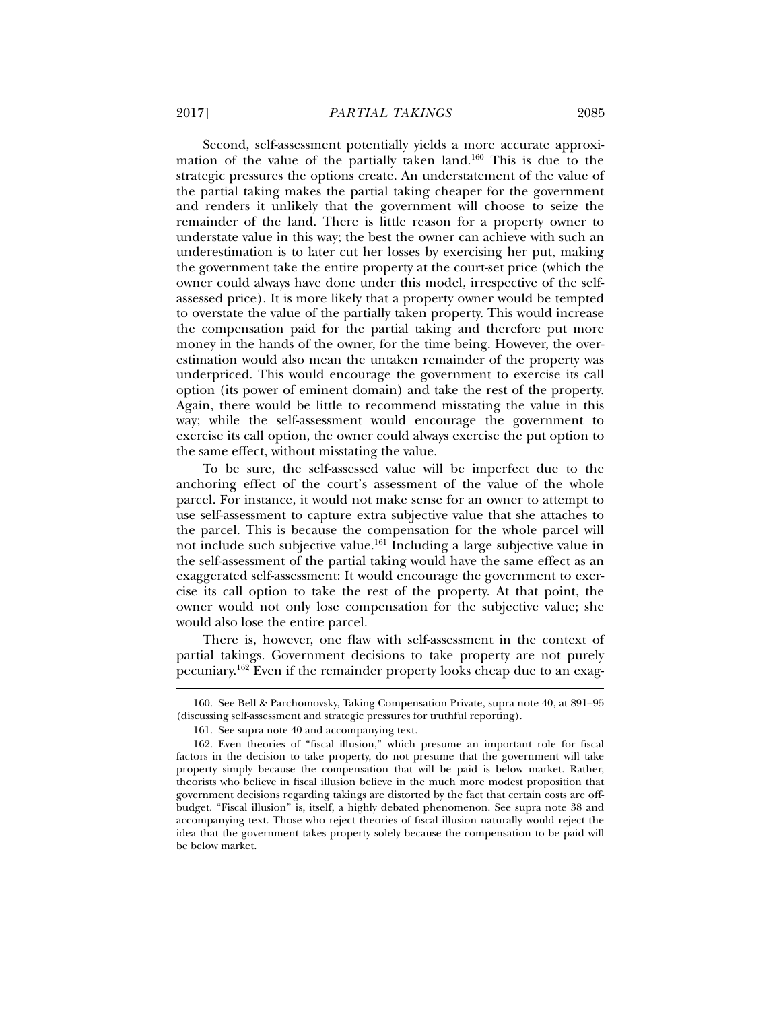Second, self-assessment potentially yields a more accurate approximation of the value of the partially taken land.160 This is due to the strategic pressures the options create. An understatement of the value of the partial taking makes the partial taking cheaper for the government and renders it unlikely that the government will choose to seize the remainder of the land. There is little reason for a property owner to understate value in this way; the best the owner can achieve with such an underestimation is to later cut her losses by exercising her put, making the government take the entire property at the court-set price (which the owner could always have done under this model, irrespective of the selfassessed price). It is more likely that a property owner would be tempted to overstate the value of the partially taken property. This would increase the compensation paid for the partial taking and therefore put more money in the hands of the owner, for the time being. However, the overestimation would also mean the untaken remainder of the property was underpriced. This would encourage the government to exercise its call option (its power of eminent domain) and take the rest of the property. Again, there would be little to recommend misstating the value in this way; while the self-assessment would encourage the government to exercise its call option, the owner could always exercise the put option to the same effect, without misstating the value.

To be sure, the self-assessed value will be imperfect due to the anchoring effect of the court's assessment of the value of the whole parcel. For instance, it would not make sense for an owner to attempt to use self-assessment to capture extra subjective value that she attaches to the parcel. This is because the compensation for the whole parcel will not include such subjective value.161 Including a large subjective value in the self-assessment of the partial taking would have the same effect as an exaggerated self-assessment: It would encourage the government to exercise its call option to take the rest of the property. At that point, the owner would not only lose compensation for the subjective value; she would also lose the entire parcel.

There is, however, one flaw with self-assessment in the context of partial takings. Government decisions to take property are not purely pecuniary.162 Even if the remainder property looks cheap due to an exag-

 <sup>160.</sup> See Bell & Parchomovsky, Taking Compensation Private, supra note 40, at 891–95 (discussing self-assessment and strategic pressures for truthful reporting).

 <sup>161.</sup> See supra note 40 and accompanying text.

 <sup>162.</sup> Even theories of "fiscal illusion," which presume an important role for fiscal factors in the decision to take property, do not presume that the government will take property simply because the compensation that will be paid is below market. Rather, theorists who believe in fiscal illusion believe in the much more modest proposition that government decisions regarding takings are distorted by the fact that certain costs are offbudget. "Fiscal illusion" is, itself, a highly debated phenomenon. See supra note 38 and accompanying text. Those who reject theories of fiscal illusion naturally would reject the idea that the government takes property solely because the compensation to be paid will be below market.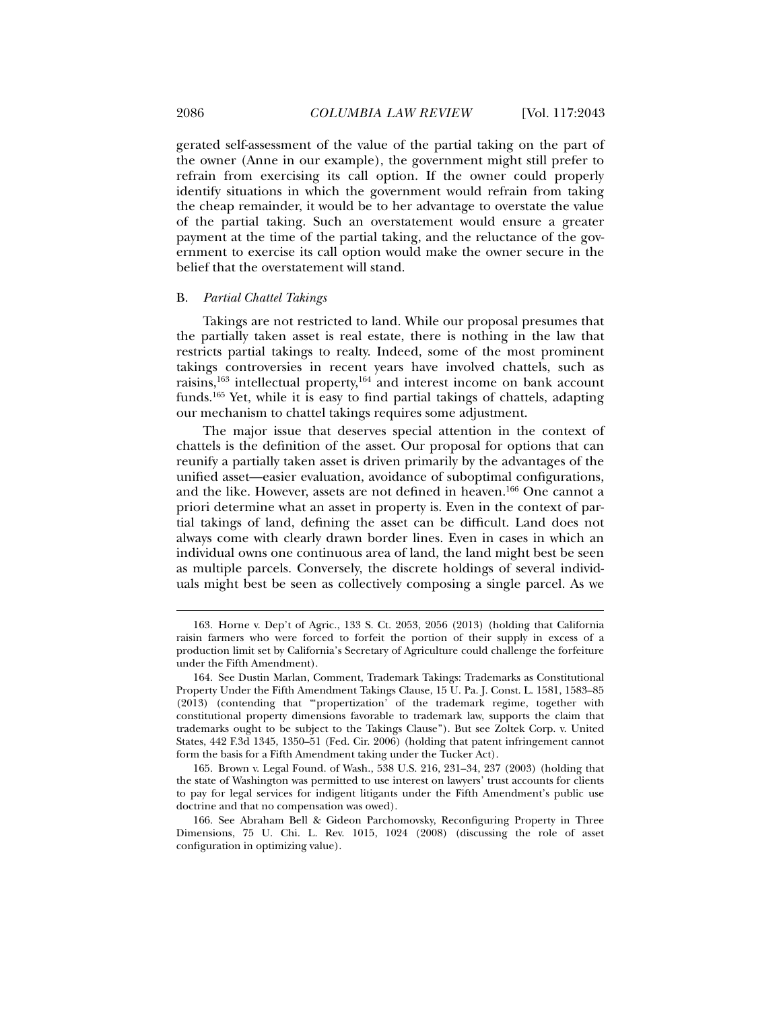gerated self-assessment of the value of the partial taking on the part of the owner (Anne in our example), the government might still prefer to refrain from exercising its call option. If the owner could properly identify situations in which the government would refrain from taking the cheap remainder, it would be to her advantage to overstate the value of the partial taking. Such an overstatement would ensure a greater payment at the time of the partial taking, and the reluctance of the government to exercise its call option would make the owner secure in the belief that the overstatement will stand.

#### B. *Partial Chattel Takings*

Takings are not restricted to land. While our proposal presumes that the partially taken asset is real estate, there is nothing in the law that restricts partial takings to realty. Indeed, some of the most prominent takings controversies in recent years have involved chattels, such as raisins, $163$  intellectual property, $164$  and interest income on bank account funds.165 Yet, while it is easy to find partial takings of chattels, adapting our mechanism to chattel takings requires some adjustment.

The major issue that deserves special attention in the context of chattels is the definition of the asset. Our proposal for options that can reunify a partially taken asset is driven primarily by the advantages of the unified asset—easier evaluation, avoidance of suboptimal configurations, and the like. However, assets are not defined in heaven.<sup>166</sup> One cannot a priori determine what an asset in property is. Even in the context of partial takings of land, defining the asset can be difficult. Land does not always come with clearly drawn border lines. Even in cases in which an individual owns one continuous area of land, the land might best be seen as multiple parcels. Conversely, the discrete holdings of several individuals might best be seen as collectively composing a single parcel. As we

 <sup>163.</sup> Horne v. Dep't of Agric., 133 S. Ct. 2053, 2056 (2013) (holding that California raisin farmers who were forced to forfeit the portion of their supply in excess of a production limit set by California's Secretary of Agriculture could challenge the forfeiture under the Fifth Amendment).

 <sup>164.</sup> See Dustin Marlan, Comment, Trademark Takings: Trademarks as Constitutional Property Under the Fifth Amendment Takings Clause, 15 U. Pa. J. Const. L. 1581, 1583–85 (2013) (contending that "'propertization' of the trademark regime, together with constitutional property dimensions favorable to trademark law, supports the claim that trademarks ought to be subject to the Takings Clause"). But see Zoltek Corp. v. United States, 442 F.3d 1345, 1350–51 (Fed. Cir. 2006) (holding that patent infringement cannot form the basis for a Fifth Amendment taking under the Tucker Act).

 <sup>165.</sup> Brown v. Legal Found. of Wash., 538 U.S. 216, 231–34, 237 (2003) (holding that the state of Washington was permitted to use interest on lawyers' trust accounts for clients to pay for legal services for indigent litigants under the Fifth Amendment's public use doctrine and that no compensation was owed).

 <sup>166.</sup> See Abraham Bell & Gideon Parchomovsky, Reconfiguring Property in Three Dimensions, 75 U. Chi. L. Rev. 1015, 1024 (2008) (discussing the role of asset configuration in optimizing value).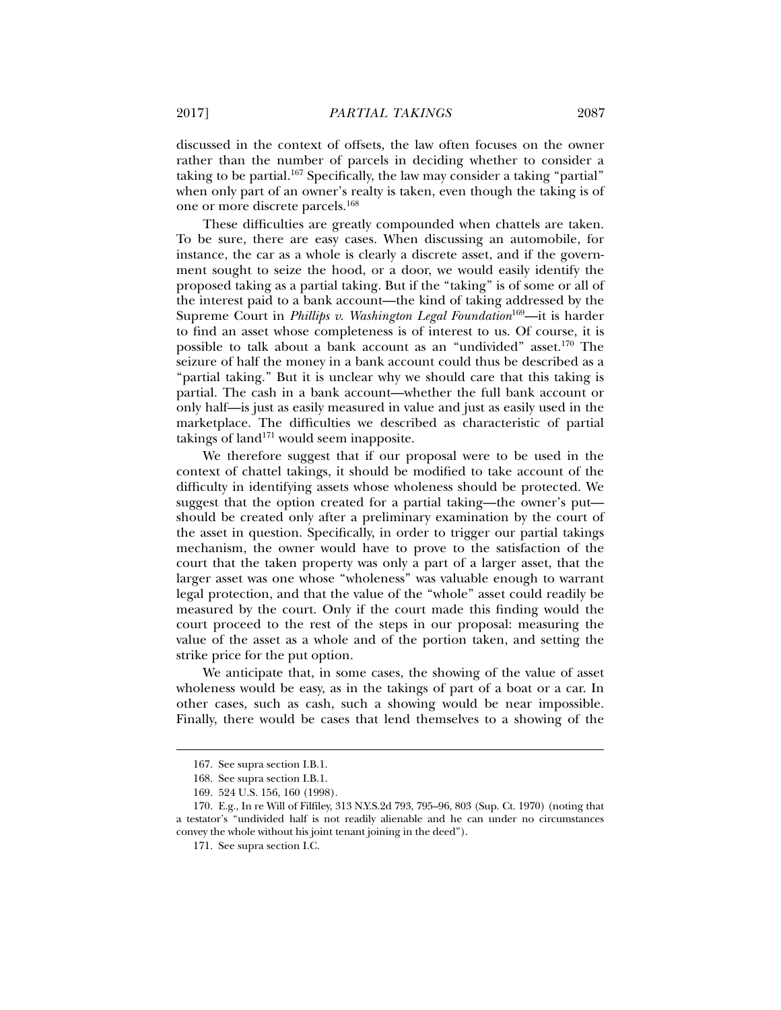discussed in the context of offsets, the law often focuses on the owner rather than the number of parcels in deciding whether to consider a taking to be partial.<sup>167</sup> Specifically, the law may consider a taking "partial" when only part of an owner's realty is taken, even though the taking is of one or more discrete parcels.168

These difficulties are greatly compounded when chattels are taken. To be sure, there are easy cases. When discussing an automobile, for instance, the car as a whole is clearly a discrete asset, and if the government sought to seize the hood, or a door, we would easily identify the proposed taking as a partial taking. But if the "taking" is of some or all of the interest paid to a bank account—the kind of taking addressed by the Supreme Court in *Phillips v. Washington Legal Foundation*169—it is harder to find an asset whose completeness is of interest to us. Of course, it is possible to talk about a bank account as an "undivided" asset.170 The seizure of half the money in a bank account could thus be described as a "partial taking." But it is unclear why we should care that this taking is partial. The cash in a bank account—whether the full bank account or only half—is just as easily measured in value and just as easily used in the marketplace. The difficulties we described as characteristic of partial takings of land<sup>171</sup> would seem inapposite.

We therefore suggest that if our proposal were to be used in the context of chattel takings, it should be modified to take account of the difficulty in identifying assets whose wholeness should be protected. We suggest that the option created for a partial taking—the owner's put should be created only after a preliminary examination by the court of the asset in question. Specifically, in order to trigger our partial takings mechanism, the owner would have to prove to the satisfaction of the court that the taken property was only a part of a larger asset, that the larger asset was one whose "wholeness" was valuable enough to warrant legal protection, and that the value of the "whole" asset could readily be measured by the court. Only if the court made this finding would the court proceed to the rest of the steps in our proposal: measuring the value of the asset as a whole and of the portion taken, and setting the strike price for the put option.

We anticipate that, in some cases, the showing of the value of asset wholeness would be easy, as in the takings of part of a boat or a car. In other cases, such as cash, such a showing would be near impossible. Finally, there would be cases that lend themselves to a showing of the

 <sup>167.</sup> See supra section I.B.1.

 <sup>168.</sup> See supra section I.B.1.

 <sup>169. 524</sup> U.S. 156, 160 (1998).

 <sup>170.</sup> E.g., In re Will of Filfiley, 313 N.Y.S.2d 793, 795–96, 803 (Sup. Ct. 1970) (noting that a testator's "undivided half is not readily alienable and he can under no circumstances convey the whole without his joint tenant joining in the deed").

 <sup>171.</sup> See supra section I.C.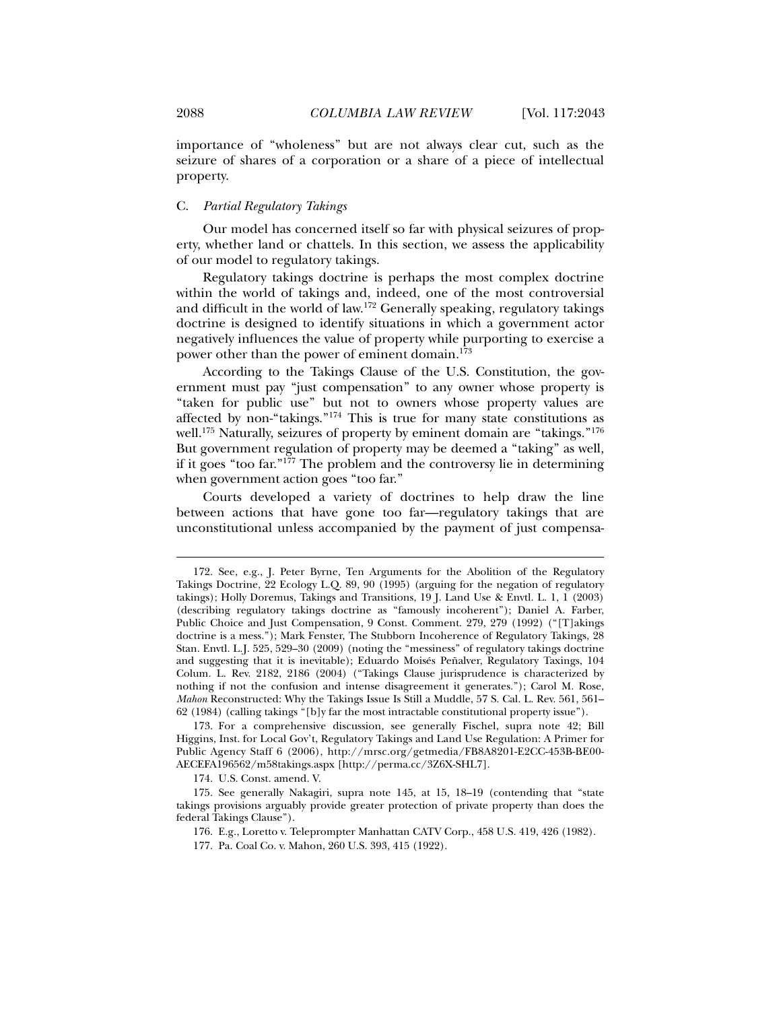importance of "wholeness" but are not always clear cut, such as the seizure of shares of a corporation or a share of a piece of intellectual property.

#### C. *Partial Regulatory Takings*

Our model has concerned itself so far with physical seizures of property, whether land or chattels. In this section, we assess the applicability of our model to regulatory takings.

Regulatory takings doctrine is perhaps the most complex doctrine within the world of takings and, indeed, one of the most controversial and difficult in the world of law.172 Generally speaking, regulatory takings doctrine is designed to identify situations in which a government actor negatively influences the value of property while purporting to exercise a power other than the power of eminent domain.<sup>173</sup>

According to the Takings Clause of the U.S. Constitution, the government must pay "just compensation" to any owner whose property is "taken for public use" but not to owners whose property values are affected by non-"takings."174 This is true for many state constitutions as well.<sup>175</sup> Naturally, seizures of property by eminent domain are "takings."<sup>176</sup> But government regulation of property may be deemed a "taking" as well, if it goes "too far."177 The problem and the controversy lie in determining when government action goes "too far."

Courts developed a variety of doctrines to help draw the line between actions that have gone too far—regulatory takings that are unconstitutional unless accompanied by the payment of just compensa-

174. U.S. Const. amend. V.

 <sup>172.</sup> See, e.g., J. Peter Byrne, Ten Arguments for the Abolition of the Regulatory Takings Doctrine, 22 Ecology L.Q. 89, 90 (1995) (arguing for the negation of regulatory takings); Holly Doremus, Takings and Transitions, 19 J. Land Use & Envtl. L. 1, 1 (2003) (describing regulatory takings doctrine as "famously incoherent"); Daniel A. Farber, Public Choice and Just Compensation, 9 Const. Comment. 279, 279 (1992) ("[T]akings doctrine is a mess."); Mark Fenster, The Stubborn Incoherence of Regulatory Takings, 28 Stan. Envtl. L.J. 525, 529–30 (2009) (noting the "messiness" of regulatory takings doctrine and suggesting that it is inevitable); Eduardo Moisés Peñalver, Regulatory Taxings, 104 Colum. L. Rev. 2182, 2186 (2004) ("Takings Clause jurisprudence is characterized by nothing if not the confusion and intense disagreement it generates."); Carol M. Rose, *Mahon* Reconstructed: Why the Takings Issue Is Still a Muddle, 57 S. Cal. L. Rev. 561, 561– 62 (1984) (calling takings "[b]y far the most intractable constitutional property issue").

 <sup>173.</sup> For a comprehensive discussion, see generally Fischel, supra note 42; Bill Higgins, Inst. for Local Gov't, Regulatory Takings and Land Use Regulation: A Primer for Public Agency Staff 6 (2006), http://mrsc.org/getmedia/FB8A8201-E2CC-453B-BE00- AECEFA196562/m58takings.aspx [http://perma.cc/3Z6X-SHL7].

 <sup>175.</sup> See generally Nakagiri, supra note 145, at 15, 18–19 (contending that "state takings provisions arguably provide greater protection of private property than does the federal Takings Clause").

 <sup>176.</sup> E.g., Loretto v. Teleprompter Manhattan CATV Corp., 458 U.S. 419, 426 (1982).

 <sup>177.</sup> Pa. Coal Co. v. Mahon, 260 U.S. 393, 415 (1922).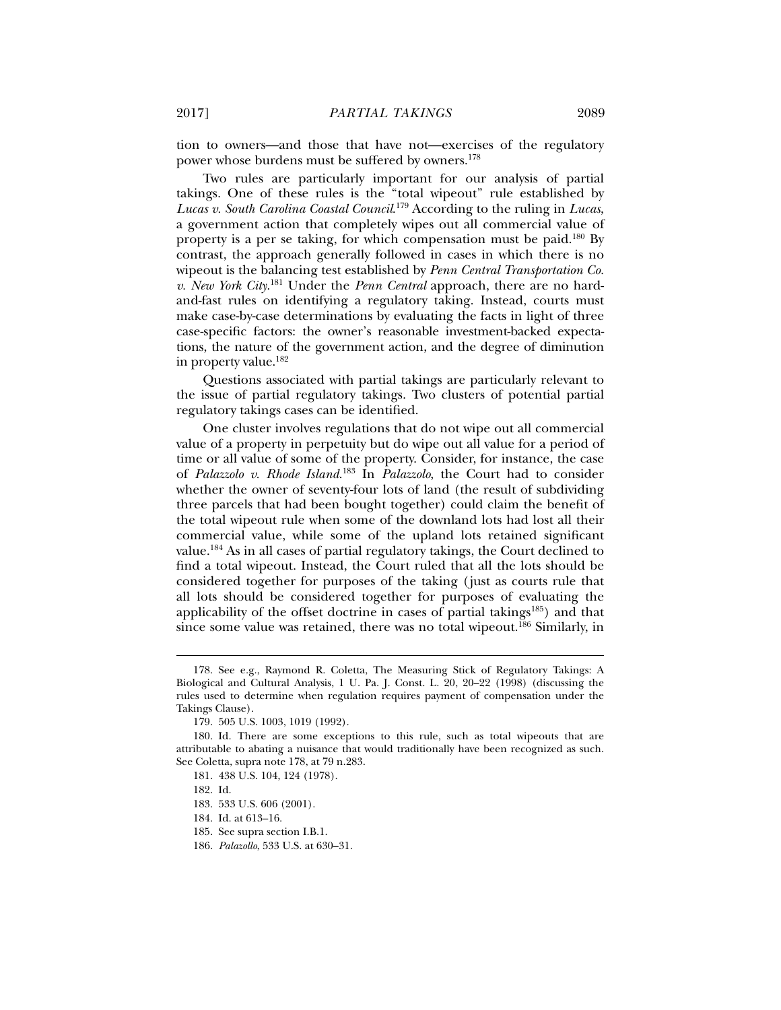tion to owners—and those that have not—exercises of the regulatory power whose burdens must be suffered by owners.178

Two rules are particularly important for our analysis of partial takings. One of these rules is the "total wipeout" rule established by *Lucas v. South Carolina Coastal Council*. 179 According to the ruling in *Lucas*, a government action that completely wipes out all commercial value of property is a per se taking, for which compensation must be paid.180 By contrast, the approach generally followed in cases in which there is no wipeout is the balancing test established by *Penn Central Transportation Co. v. New York City*. 181 Under the *Penn Central* approach, there are no hardand-fast rules on identifying a regulatory taking. Instead, courts must make case-by-case determinations by evaluating the facts in light of three case-specific factors: the owner's reasonable investment-backed expectations, the nature of the government action, and the degree of diminution in property value.182

Questions associated with partial takings are particularly relevant to the issue of partial regulatory takings. Two clusters of potential partial regulatory takings cases can be identified.

One cluster involves regulations that do not wipe out all commercial value of a property in perpetuity but do wipe out all value for a period of time or all value of some of the property. Consider, for instance, the case of *Palazzolo v. Rhode Island*. 183 In *Palazzolo*, the Court had to consider whether the owner of seventy-four lots of land (the result of subdividing three parcels that had been bought together) could claim the benefit of the total wipeout rule when some of the downland lots had lost all their commercial value, while some of the upland lots retained significant value.184 As in all cases of partial regulatory takings, the Court declined to find a total wipeout. Instead, the Court ruled that all the lots should be considered together for purposes of the taking (just as courts rule that all lots should be considered together for purposes of evaluating the applicability of the offset doctrine in cases of partial takings<sup>185</sup>) and that since some value was retained, there was no total wipeout.<sup>186</sup> Similarly, in

 <sup>178.</sup> See e.g., Raymond R. Coletta, The Measuring Stick of Regulatory Takings: A Biological and Cultural Analysis, 1 U. Pa. J. Const. L. 20, 20–22 (1998) (discussing the rules used to determine when regulation requires payment of compensation under the Takings Clause).

 <sup>179. 505</sup> U.S. 1003, 1019 (1992).

 <sup>180.</sup> Id. There are some exceptions to this rule, such as total wipeouts that are attributable to abating a nuisance that would traditionally have been recognized as such. See Coletta, supra note 178, at 79 n.283.

 <sup>181. 438</sup> U.S. 104, 124 (1978).

 <sup>182.</sup> Id.

 <sup>183. 533</sup> U.S. 606 (2001).

 <sup>184.</sup> Id. at 613–16.

 <sup>185.</sup> See supra section I.B.1.

 <sup>186.</sup> *Palazollo*, 533 U.S. at 630–31.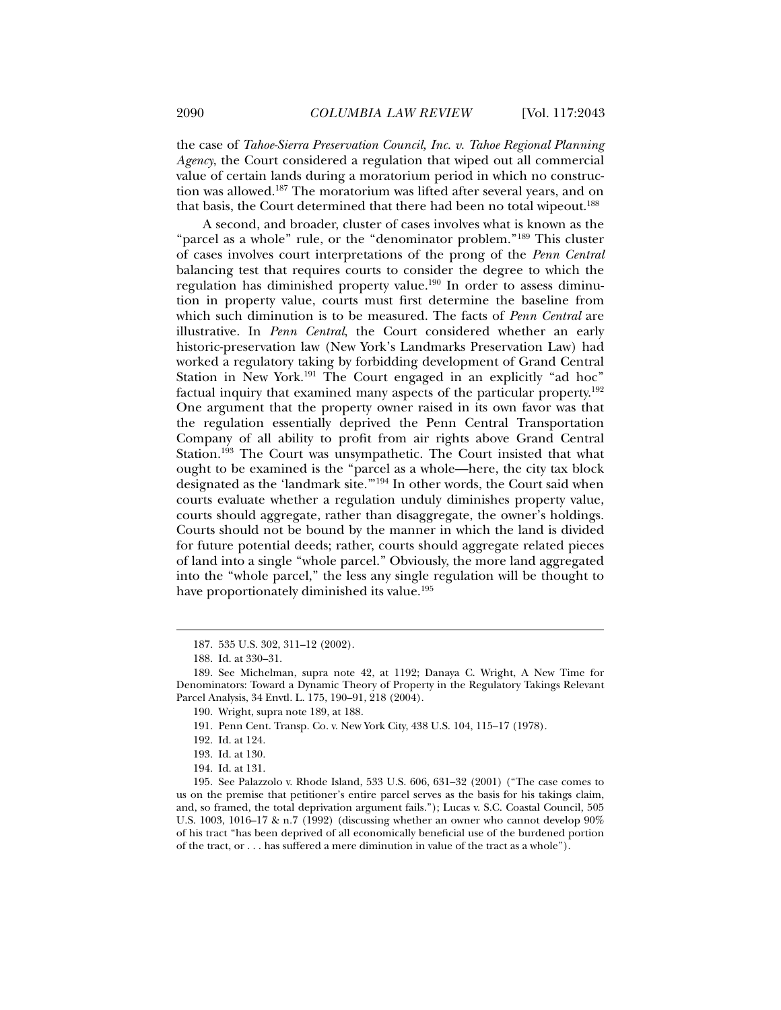the case of *Tahoe-Sierra Preservation Council, Inc. v. Tahoe Regional Planning Agency*, the Court considered a regulation that wiped out all commercial value of certain lands during a moratorium period in which no construction was allowed.187 The moratorium was lifted after several years, and on that basis, the Court determined that there had been no total wipeout.<sup>188</sup>

A second, and broader, cluster of cases involves what is known as the "parcel as a whole" rule, or the "denominator problem."189 This cluster of cases involves court interpretations of the prong of the *Penn Central* balancing test that requires courts to consider the degree to which the regulation has diminished property value.<sup>190</sup> In order to assess diminution in property value, courts must first determine the baseline from which such diminution is to be measured. The facts of *Penn Central* are illustrative. In *Penn Central*, the Court considered whether an early historic-preservation law (New York's Landmarks Preservation Law) had worked a regulatory taking by forbidding development of Grand Central Station in New York.<sup>191</sup> The Court engaged in an explicitly "ad hoc" factual inquiry that examined many aspects of the particular property.192 One argument that the property owner raised in its own favor was that the regulation essentially deprived the Penn Central Transportation Company of all ability to profit from air rights above Grand Central Station.<sup>193</sup> The Court was unsympathetic. The Court insisted that what ought to be examined is the "parcel as a whole—here, the city tax block designated as the 'landmark site.'"194 In other words, the Court said when courts evaluate whether a regulation unduly diminishes property value, courts should aggregate, rather than disaggregate, the owner's holdings. Courts should not be bound by the manner in which the land is divided for future potential deeds; rather, courts should aggregate related pieces of land into a single "whole parcel." Obviously, the more land aggregated into the "whole parcel," the less any single regulation will be thought to have proportionately diminished its value.<sup>195</sup>

 <sup>187. 535</sup> U.S. 302, 311–12 (2002).

 <sup>188.</sup> Id. at 330–31.

 <sup>189.</sup> See Michelman, supra note 42, at 1192; Danaya C. Wright, A New Time for Denominators: Toward a Dynamic Theory of Property in the Regulatory Takings Relevant Parcel Analysis, 34 Envtl. L. 175, 190–91, 218 (2004).

 <sup>190.</sup> Wright, supra note 189, at 188.

 <sup>191.</sup> Penn Cent. Transp. Co. v. New York City, 438 U.S. 104, 115–17 (1978).

 <sup>192.</sup> Id. at 124.

 <sup>193.</sup> Id. at 130.

 <sup>194.</sup> Id. at 131.

 <sup>195.</sup> See Palazzolo v. Rhode Island, 533 U.S. 606, 631–32 (2001) ("The case comes to us on the premise that petitioner's entire parcel serves as the basis for his takings claim, and, so framed, the total deprivation argument fails."); Lucas v. S.C. Coastal Council, 505 U.S. 1003, 1016–17 & n.7 (1992) (discussing whether an owner who cannot develop 90% of his tract "has been deprived of all economically beneficial use of the burdened portion of the tract, or . . . has suffered a mere diminution in value of the tract as a whole").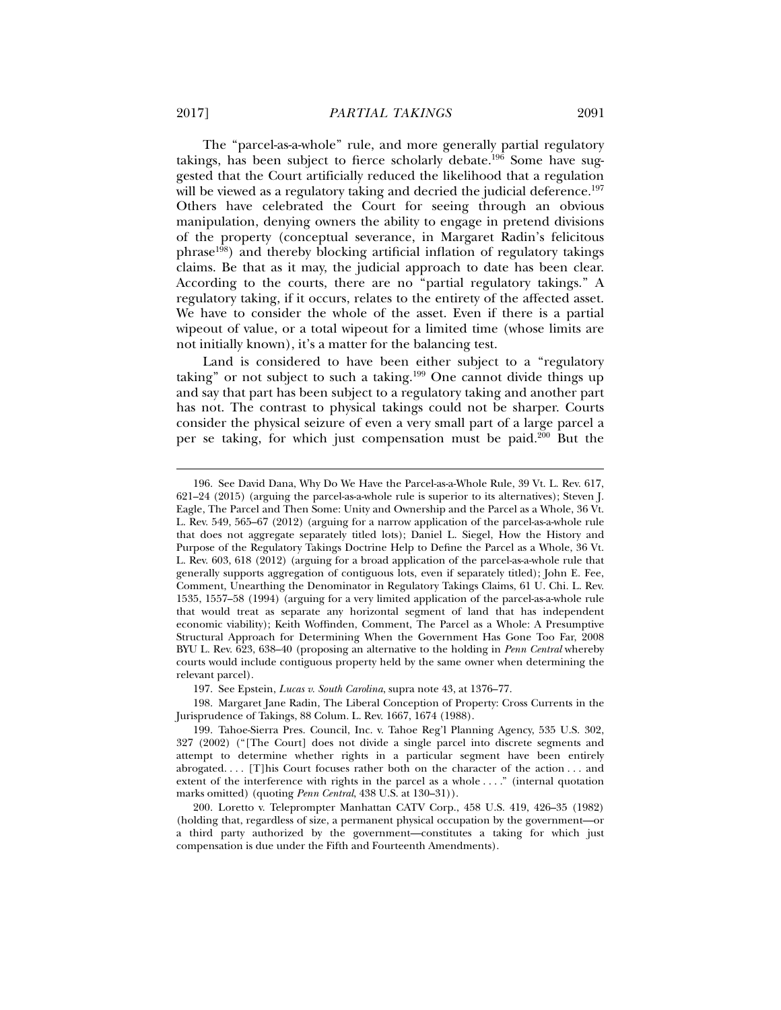The "parcel-as-a-whole" rule, and more generally partial regulatory takings, has been subject to fierce scholarly debate.<sup>196</sup> Some have suggested that the Court artificially reduced the likelihood that a regulation will be viewed as a regulatory taking and decried the judicial deference.<sup>197</sup> Others have celebrated the Court for seeing through an obvious manipulation, denying owners the ability to engage in pretend divisions of the property (conceptual severance, in Margaret Radin's felicitous phrase198) and thereby blocking artificial inflation of regulatory takings claims. Be that as it may, the judicial approach to date has been clear. According to the courts, there are no "partial regulatory takings." A regulatory taking, if it occurs, relates to the entirety of the affected asset. We have to consider the whole of the asset. Even if there is a partial wipeout of value, or a total wipeout for a limited time (whose limits are not initially known), it's a matter for the balancing test.

Land is considered to have been either subject to a "regulatory taking" or not subject to such a taking.<sup>199</sup> One cannot divide things up and say that part has been subject to a regulatory taking and another part has not. The contrast to physical takings could not be sharper. Courts consider the physical seizure of even a very small part of a large parcel a per se taking, for which just compensation must be paid.200 But the

 <sup>196.</sup> See David Dana, Why Do We Have the Parcel-as-a-Whole Rule, 39 Vt. L. Rev. 617, 621–24 (2015) (arguing the parcel-as-a-whole rule is superior to its alternatives); Steven J. Eagle, The Parcel and Then Some: Unity and Ownership and the Parcel as a Whole, 36 Vt. L. Rev. 549, 565–67 (2012) (arguing for a narrow application of the parcel-as-a-whole rule that does not aggregate separately titled lots); Daniel L. Siegel, How the History and Purpose of the Regulatory Takings Doctrine Help to Define the Parcel as a Whole, 36 Vt. L. Rev. 603, 618 (2012) (arguing for a broad application of the parcel-as-a-whole rule that generally supports aggregation of contiguous lots, even if separately titled); John E. Fee, Comment, Unearthing the Denominator in Regulatory Takings Claims, 61 U. Chi. L. Rev. 1535, 1557–58 (1994) (arguing for a very limited application of the parcel-as-a-whole rule that would treat as separate any horizontal segment of land that has independent economic viability); Keith Woffinden, Comment, The Parcel as a Whole: A Presumptive Structural Approach for Determining When the Government Has Gone Too Far, 2008 BYU L. Rev. 623, 638–40 (proposing an alternative to the holding in *Penn Central* whereby courts would include contiguous property held by the same owner when determining the relevant parcel).

 <sup>197.</sup> See Epstein, *Lucas v. South Carolina*, supra note 43, at 1376–77.

 <sup>198.</sup> Margaret Jane Radin, The Liberal Conception of Property: Cross Currents in the Jurisprudence of Takings, 88 Colum. L. Rev. 1667, 1674 (1988).

 <sup>199.</sup> Tahoe-Sierra Pres. Council, Inc. v. Tahoe Reg'l Planning Agency, 535 U.S. 302, 327 (2002) ("[The Court] does not divide a single parcel into discrete segments and attempt to determine whether rights in a particular segment have been entirely abrogated. . . . [T]his Court focuses rather both on the character of the action . . . and extent of the interference with rights in the parcel as a whole . . . ." (internal quotation marks omitted) (quoting *Penn Central*, 438 U.S. at 130–31)).

 <sup>200.</sup> Loretto v. Teleprompter Manhattan CATV Corp., 458 U.S. 419, 426–35 (1982) (holding that, regardless of size, a permanent physical occupation by the government—or a third party authorized by the government—constitutes a taking for which just compensation is due under the Fifth and Fourteenth Amendments).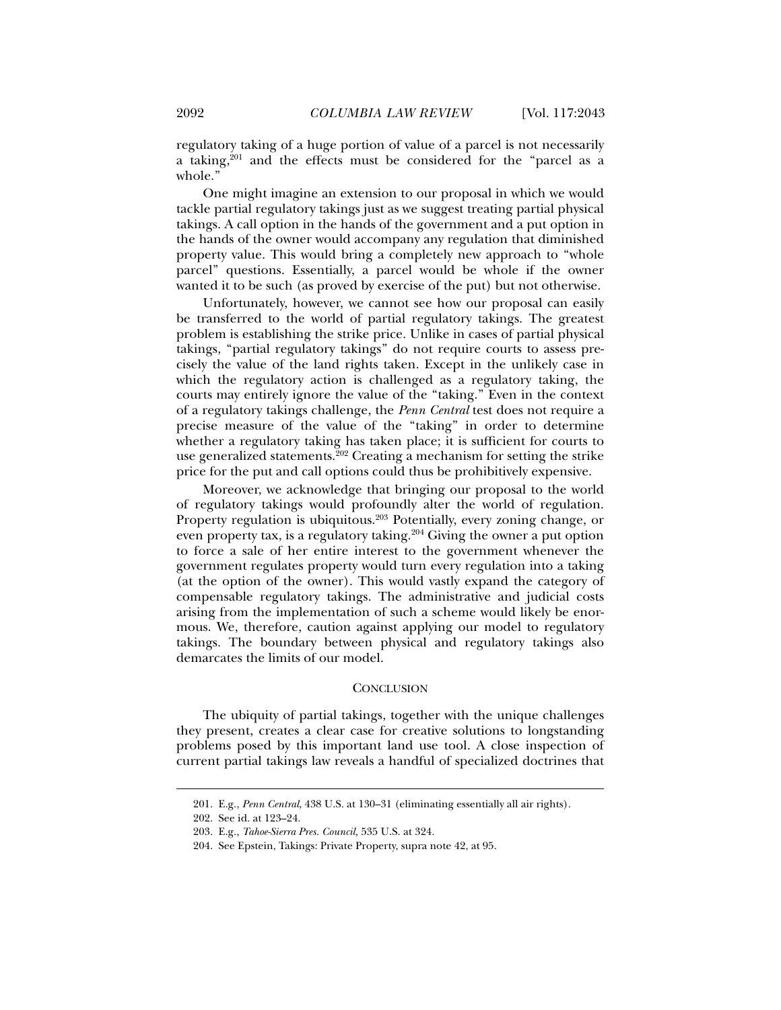regulatory taking of a huge portion of value of a parcel is not necessarily a taking,<sup>201</sup> and the effects must be considered for the "parcel as a whole."

One might imagine an extension to our proposal in which we would tackle partial regulatory takings just as we suggest treating partial physical takings. A call option in the hands of the government and a put option in the hands of the owner would accompany any regulation that diminished property value. This would bring a completely new approach to "whole parcel" questions. Essentially, a parcel would be whole if the owner wanted it to be such (as proved by exercise of the put) but not otherwise.

Unfortunately, however, we cannot see how our proposal can easily be transferred to the world of partial regulatory takings. The greatest problem is establishing the strike price. Unlike in cases of partial physical takings, "partial regulatory takings" do not require courts to assess precisely the value of the land rights taken. Except in the unlikely case in which the regulatory action is challenged as a regulatory taking, the courts may entirely ignore the value of the "taking." Even in the context of a regulatory takings challenge, the *Penn Central* test does not require a precise measure of the value of the "taking" in order to determine whether a regulatory taking has taken place; it is sufficient for courts to use generalized statements.<sup>202</sup> Creating a mechanism for setting the strike price for the put and call options could thus be prohibitively expensive.

Moreover, we acknowledge that bringing our proposal to the world of regulatory takings would profoundly alter the world of regulation. Property regulation is ubiquitous.<sup>203</sup> Potentially, every zoning change, or even property tax, is a regulatory taking.<sup>204</sup> Giving the owner a put option to force a sale of her entire interest to the government whenever the government regulates property would turn every regulation into a taking (at the option of the owner). This would vastly expand the category of compensable regulatory takings. The administrative and judicial costs arising from the implementation of such a scheme would likely be enormous. We, therefore, caution against applying our model to regulatory takings. The boundary between physical and regulatory takings also demarcates the limits of our model.

#### **CONCLUSION**

The ubiquity of partial takings, together with the unique challenges they present, creates a clear case for creative solutions to longstanding problems posed by this important land use tool. A close inspection of current partial takings law reveals a handful of specialized doctrines that

 <sup>201.</sup> E.g., *Penn Central*, 438 U.S. at 130–31 (eliminating essentially all air rights).

 <sup>202.</sup> See id. at 123–24.

 <sup>203.</sup> E.g., *Tahoe-Sierra Pres. Council,* 535 U.S. at 324.

 <sup>204.</sup> See Epstein, Takings: Private Property, supra note 42, at 95.